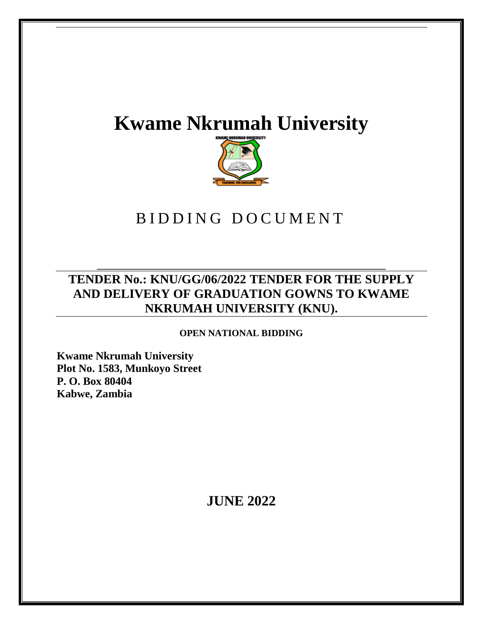# **Kwame Nkrumah University**



# BIDDING DOCUMENT

### **TENDER No.: KNU/GG/06/2022 TENDER FOR THE SUPPLY AND DELIVERY OF GRADUATION GOWNS TO KWAME NKRUMAH UNIVERSITY (KNU).**

**\_\_\_\_\_\_\_\_\_\_\_\_\_\_\_\_\_\_\_\_\_\_\_\_\_\_\_\_\_\_\_\_\_\_\_\_\_\_\_\_\_\_\_\_\_\_\_\_\_\_\_\_\_\_\_\_\_\_\_\_\_**

**OPEN NATIONAL BIDDING**

**Kwame Nkrumah University Plot No. 1583, Munkoyo Street P. O. Box 80404 Kabwe, Zambia**

**JUNE 2022**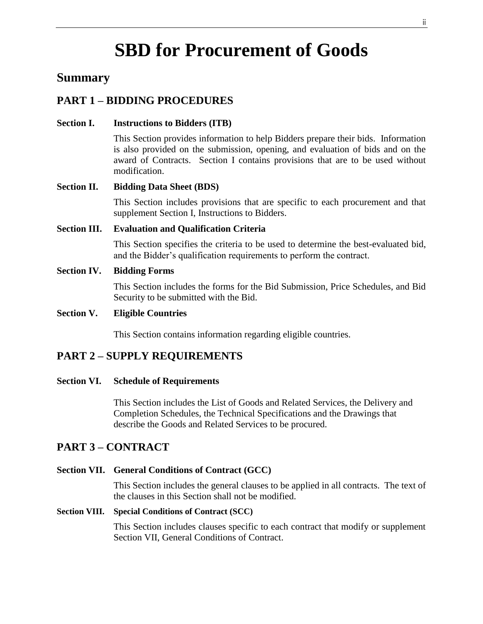# **SBD for Procurement of Goods**

### **Summary**

### **PART 1 – BIDDING PROCEDURES**

#### **Section I. Instructions to Bidders (ITB)**

This Section provides information to help Bidders prepare their bids. Information is also provided on the submission, opening, and evaluation of bids and on the award of Contracts. Section I contains provisions that are to be used without modification.

#### **Section II. Bidding Data Sheet (BDS)**

This Section includes provisions that are specific to each procurement and that supplement Section I, Instructions to Bidders.

#### **Section III. Evaluation and Qualification Criteria**

This Section specifies the criteria to be used to determine the best-evaluated bid, and the Bidder's qualification requirements to perform the contract.

#### **Section IV. Bidding Forms**

This Section includes the forms for the Bid Submission, Price Schedules, and Bid Security to be submitted with the Bid.

#### **Section V. Eligible Countries**

This Section contains information regarding eligible countries.

#### **PART 2 – SUPPLY REQUIREMENTS**

#### **Section VI. Schedule of Requirements**

This Section includes the List of Goods and Related Services, the Delivery and Completion Schedules, the Technical Specifications and the Drawings that describe the Goods and Related Services to be procured.

#### **PART 3 – CONTRACT**

#### **Section VII. General Conditions of Contract (GCC)**

This Section includes the general clauses to be applied in all contracts. The text of the clauses in this Section shall not be modified.

#### **Section VIII. Special Conditions of Contract (SCC)**

This Section includes clauses specific to each contract that modify or supplement Section VII, General Conditions of Contract.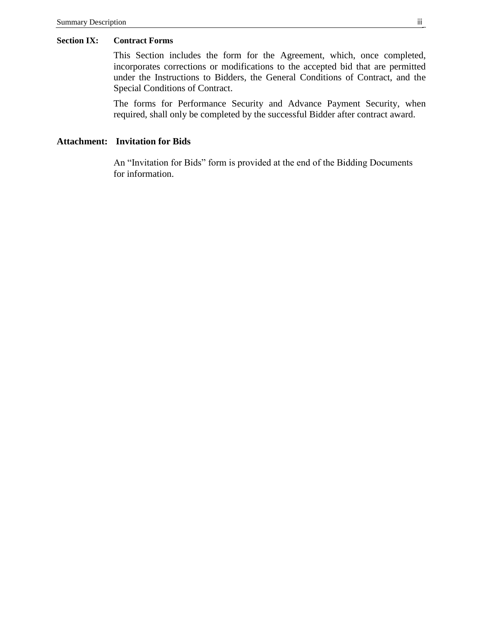#### **Section IX: Contract Forms**

This Section includes the form for the Agreement, which, once completed, incorporates corrections or modifications to the accepted bid that are permitted under the Instructions to Bidders, the General Conditions of Contract, and the Special Conditions of Contract.

The forms for Performance Security and Advance Payment Security, when required, shall only be completed by the successful Bidder after contract award.

#### **Attachment: Invitation for Bids**

An "Invitation for Bids" form is provided at the end of the Bidding Documents for information.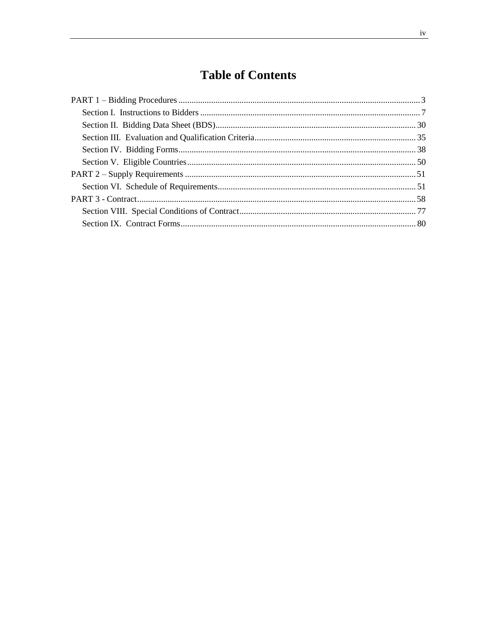## **Table of Contents**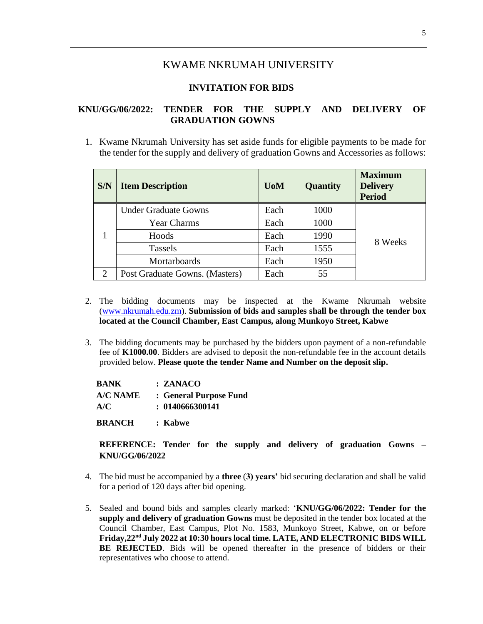#### KWAME NKRUMAH UNIVERSITY

#### **INVITATION FOR BIDS**

#### **KNU/GG/06/2022: TENDER FOR THE SUPPLY AND DELIVERY OF GRADUATION GOWNS**

1. Kwame Nkrumah University has set aside funds for eligible payments to be made for the tender for the supply and delivery of graduation Gowns and Accessories as follows:

| <b>S/N</b> | <b>Item Description</b>        | <b>U</b> oM | Quantity | <b>Maximum</b><br><b>Delivery</b><br><b>Period</b> |
|------------|--------------------------------|-------------|----------|----------------------------------------------------|
|            | <b>Under Graduate Gowns</b>    | Each        | 1000     |                                                    |
|            | <b>Year Charms</b>             | Each        | 1000     |                                                    |
|            | Hoods                          | Each        | 1990     | 8 Weeks                                            |
|            | <b>Tassels</b>                 | Each        | 1555     |                                                    |
|            | Mortarboards                   | Each        | 1950     |                                                    |
| 2          | Post Graduate Gowns. (Masters) | Each        | 55       |                                                    |

- 2. The bidding documents may be inspected at the Kwame Nkrumah website [\(www.nkrumah.edu.zm\)](http://www.nkrumah.edu.zm/). **Submission of bids and samples shall be through the tender box located at the Council Chamber, East Campus, along Munkoyo Street, Kabwe**
- 3. The bidding documents may be purchased by the bidders upon payment of a non-refundable fee of **K1000.00**. Bidders are advised to deposit the non-refundable fee in the account details provided below. **Please quote the tender Name and Number on the deposit slip.**

| <b>BANK</b>   | : ZANACO               |
|---------------|------------------------|
| A/C NAME      | : General Purpose Fund |
| A/C           | : 0140666300141        |
| <b>BRANCH</b> | : Kabwe                |

**REFERENCE: Tender for the supply and delivery of graduation Gowns – KNU/GG/06/2022**

- 4. The bid must be accompanied by a **three** (**3) years'** bid securing declaration and shall be valid for a period of 120 days after bid opening.
- 5. Sealed and bound bids and samples clearly marked: '**KNU/GG/06/2022: Tender for the supply and delivery of graduation Gowns** must be deposited in the tender box located at the Council Chamber, East Campus, Plot No. 1583, Munkoyo Street, Kabwe, on or before **Friday,22nd July 2022 at 10:30 hourslocal time. LATE, AND ELECTRONIC BIDS WILL BE REJECTED**. Bids will be opened thereafter in the presence of bidders or their representatives who choose to attend.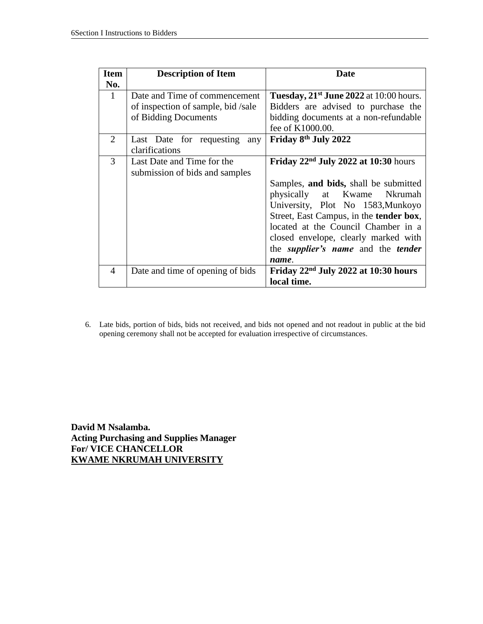| <b>Item</b><br>No. | <b>Description of Item</b>                                                                 | Date                                                                                                                                                                                                                                                                                                                                               |
|--------------------|--------------------------------------------------------------------------------------------|----------------------------------------------------------------------------------------------------------------------------------------------------------------------------------------------------------------------------------------------------------------------------------------------------------------------------------------------------|
| $\mathbf{1}$       | Date and Time of commencement<br>of inspection of sample, bid/sale<br>of Bidding Documents | Tuesday, $21st$ June 2022 at 10:00 hours.<br>Bidders are advised to purchase the<br>bidding documents at a non-refundable<br>fee of K1000.00.                                                                                                                                                                                                      |
| $\overline{2}$     | Last Date for requesting any<br>clarifications                                             | Friday 8 <sup>th</sup> July 2022                                                                                                                                                                                                                                                                                                                   |
| 3                  | Last Date and Time for the<br>submission of bids and samples                               | Friday $22nd$ July 2022 at 10:30 hours<br>Samples, and bids, shall be submitted<br>physically at Kwame Nkrumah<br>University, Plot No 1583, Munkoyo<br>Street, East Campus, in the <b>tender box</b> ,<br>located at the Council Chamber in a<br>closed envelope, clearly marked with<br>the <i>supplier's name</i> and the <i>tender</i><br>name. |
| 4                  | Date and time of opening of bids                                                           | Friday $22nd$ July 2022 at 10:30 hours<br>local time.                                                                                                                                                                                                                                                                                              |

6. Late bids, portion of bids, bids not received, and bids not opened and not readout in public at the bid opening ceremony shall not be accepted for evaluation irrespective of circumstances.

**David M Nsalamba. Acting Purchasing and Supplies Manager For/ VICE CHANCELLOR KWAME NKRUMAH UNIVERSITY**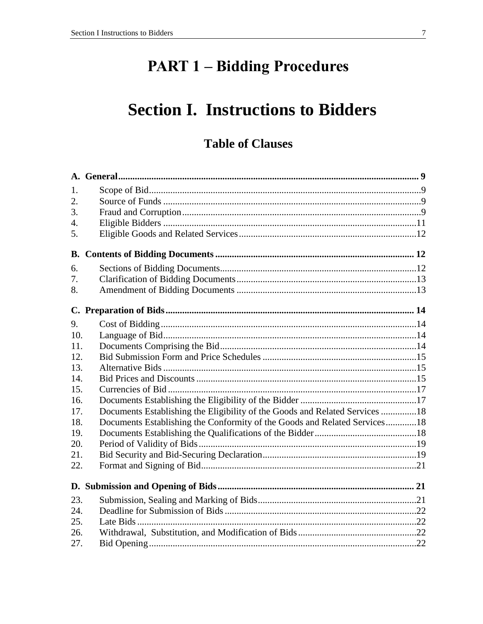# **PART 1 - Bidding Procedures**

# **Section I. Instructions to Bidders**

## **Table of Clauses**

| 1.               |                                                                             |  |
|------------------|-----------------------------------------------------------------------------|--|
| $\overline{2}$ . |                                                                             |  |
| 3.               |                                                                             |  |
| $\overline{4}$ . |                                                                             |  |
| 5.               |                                                                             |  |
|                  |                                                                             |  |
| 6.               |                                                                             |  |
| 7.               |                                                                             |  |
| 8.               |                                                                             |  |
|                  |                                                                             |  |
| 9.               |                                                                             |  |
| 10.              |                                                                             |  |
| 11.              |                                                                             |  |
| 12.              |                                                                             |  |
| 13.              |                                                                             |  |
| 14.              |                                                                             |  |
| 15.              |                                                                             |  |
| 16.              |                                                                             |  |
| 17.              | Documents Establishing the Eligibility of the Goods and Related Services 18 |  |
| 18.              | Documents Establishing the Conformity of the Goods and Related Services18   |  |
| 19.              |                                                                             |  |
| 20.              |                                                                             |  |
| 21.              |                                                                             |  |
| 22.              |                                                                             |  |
|                  |                                                                             |  |
| 23.              |                                                                             |  |
| 24.              |                                                                             |  |
| 25.              |                                                                             |  |
| 26.              |                                                                             |  |
| 27.              |                                                                             |  |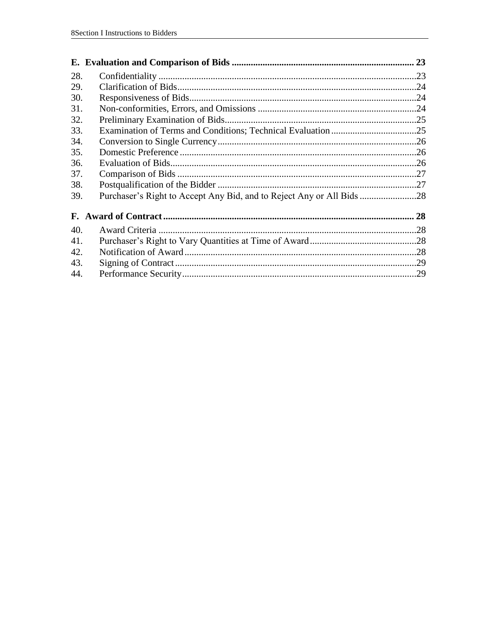|     |                                                                       | 23 |
|-----|-----------------------------------------------------------------------|----|
| 28. |                                                                       |    |
| 29. |                                                                       |    |
| 30. |                                                                       |    |
| 31. |                                                                       |    |
| 32. |                                                                       |    |
| 33. |                                                                       |    |
| 34. |                                                                       |    |
| 35. |                                                                       |    |
| 36. |                                                                       |    |
| 37. |                                                                       |    |
| 38. |                                                                       |    |
| 39. | Purchaser's Right to Accept Any Bid, and to Reject Any or All Bids 28 |    |
|     |                                                                       | 28 |
| 40. |                                                                       |    |
| 41. |                                                                       |    |
| 42. |                                                                       |    |
| 43. |                                                                       |    |
| 44. |                                                                       |    |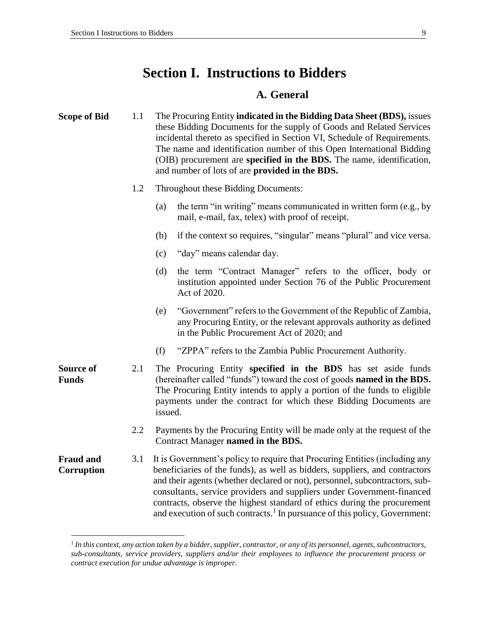### **Section I. Instructions to Bidders**

#### **A. General**

| <b>Scope of Bid</b> | 1.1 |     | The Procuring Entity <b>indicated in the Bidding Data Sheet (BDS)</b> , issues<br>these Bidding Documents for the supply of Goods and Related Services<br>incidental thereto as specified in Section VI, Schedule of Requirements.<br>The name and identification number of this Open International Bidding<br>(OIB) procurement are <b>specified in the BDS.</b> The name, identification,<br>and number of lots of are <b>provided in the BDS.</b> |  |  |  |
|---------------------|-----|-----|------------------------------------------------------------------------------------------------------------------------------------------------------------------------------------------------------------------------------------------------------------------------------------------------------------------------------------------------------------------------------------------------------------------------------------------------------|--|--|--|
|                     | 1.2 |     | Throughout these Bidding Documents:                                                                                                                                                                                                                                                                                                                                                                                                                  |  |  |  |
|                     |     | (a) | the term "in writing" means communicated in written form (e.g., by<br>mail, e-mail, fax, telex) with proof of receipt.                                                                                                                                                                                                                                                                                                                               |  |  |  |
|                     |     | (b) | if the context so requires, "singular" means "plural" and vice versa.                                                                                                                                                                                                                                                                                                                                                                                |  |  |  |
|                     |     | (c) | "day" means calendar day.                                                                                                                                                                                                                                                                                                                                                                                                                            |  |  |  |
|                     |     | (d) | the term "Contract Manager" refers to the officer, body or<br>institution appointed under Section 76 of the Public Procurement<br>Act of 2020.                                                                                                                                                                                                                                                                                                       |  |  |  |
|                     |     | (e) | "Government" refers to the Government of the Republic of Zambia,<br>any Dreaming Entity, or the relevant enneavels exthenity as defined.                                                                                                                                                                                                                                                                                                             |  |  |  |

- any Procuring Entity, or the relevant approvals authority as defined in the Public Procurement Act of 2020; and
- (f) "ZPPA" refers to the Zambia Public Procurement Authority.
- 2.1 The Procuring Entity **specified in the BDS** has set aside funds (hereinafter called "funds") toward the cost of goods **named in the BDS.** The Procuring Entity intends to apply a portion of the funds to eligible payments under the contract for which these Bidding Documents are issued.
	- 2.2 Payments by the Procuring Entity will be made only at the request of the Contract Manager **named in the BDS.**

**Fraud and Corruption** 3.1 It is Government's policy to require that Procuring Entities (including any beneficiaries of the funds), as well as bidders, suppliers, and contractors and their agents (whether declared or not), personnel, subcontractors, subconsultants, service providers and suppliers under Government-financed contracts, observe the highest standard of ethics during the procurement and execution of such contracts.<sup>1</sup> In pursuance of this policy, Government:

**Source of Funds**

 $\overline{a}$ 

<sup>1</sup> *In this context, any action taken by a bidder, supplier, contractor, or any of its personnel, agents, subcontractors, sub-consultants, service providers, suppliers and/or their employees to influence the procurement process or contract execution for undue advantage is improper.*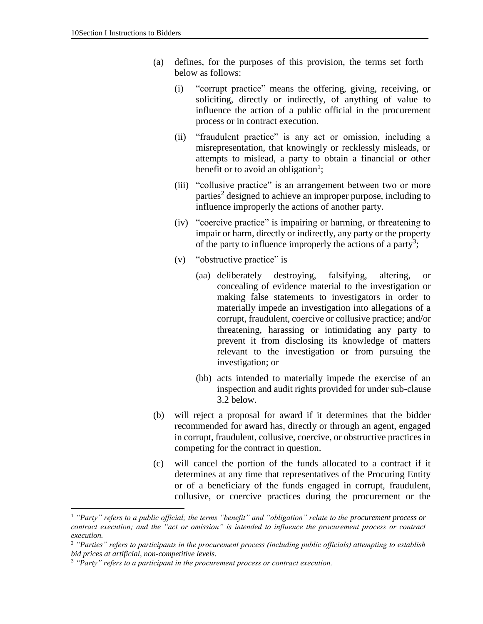- (a) defines, for the purposes of this provision, the terms set forth below as follows:
	- (i) "corrupt practice" means the offering, giving, receiving, or soliciting, directly or indirectly, of anything of value to influence the action of a public official in the procurement process or in contract execution.
	- (ii) "fraudulent practice" is any act or omission, including a misrepresentation, that knowingly or recklessly misleads, or attempts to mislead, a party to obtain a financial or other benefit or to avoid an obligation<sup>1</sup>;
	- (iii) "collusive practice" is an arrangement between two or more parties<sup>2</sup> designed to achieve an improper purpose, including to influence improperly the actions of another party.
	- (iv) "coercive practice" is impairing or harming, or threatening to impair or harm, directly or indirectly, any party or the property of the party to influence improperly the actions of a party<sup>3</sup>;
	- (v) "obstructive practice" is
		- (aa) deliberately destroying, falsifying, altering, or concealing of evidence material to the investigation or making false statements to investigators in order to materially impede an investigation into allegations of a corrupt, fraudulent, coercive or collusive practice; and/or threatening, harassing or intimidating any party to prevent it from disclosing its knowledge of matters relevant to the investigation or from pursuing the investigation; or
		- (bb) acts intended to materially impede the exercise of an inspection and audit rights provided for under sub-clause 3.2 below.
- (b) will reject a proposal for award if it determines that the bidder recommended for award has, directly or through an agent, engaged in corrupt, fraudulent, collusive, coercive, or obstructive practices in competing for the contract in question.
- (c) will cancel the portion of the funds allocated to a contract if it determines at any time that representatives of the Procuring Entity or of a beneficiary of the funds engaged in corrupt, fraudulent, collusive, or coercive practices during the procurement or the

 $\overline{a}$ 

<sup>1</sup> *"Party" refers to a public official; the terms "benefit" and "obligation" relate to the procurement process or contract execution; and the "act or omission" is intended to influence the procurement process or contract execution.*

<sup>2</sup> *"Parties" refers to participants in the procurement process (including public officials) attempting to establish bid prices at artificial, non-competitive levels.*

<sup>3</sup> *"Party" refers to a participant in the procurement process or contract execution.*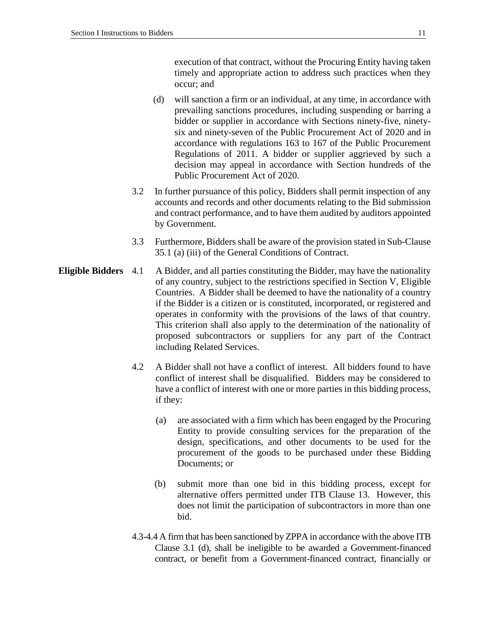execution of that contract, without the Procuring Entity having taken timely and appropriate action to address such practices when they occur; and

- (d) will sanction a firm or an individual, at any time, in accordance with prevailing sanctions procedures, including suspending or barring a bidder or supplier in accordance with Sections ninety-five, ninetysix and ninety-seven of the Public Procurement Act of 2020 and in accordance with regulations 163 to 167 of the Public Procurement Regulations of 2011. A bidder or supplier aggrieved by such a decision may appeal in accordance with Section hundreds of the Public Procurement Act of 2020.
- 3.2 In further pursuance of this policy, Bidders shall permit inspection of any accounts and records and other documents relating to the Bid submission and contract performance, and to have them audited by auditors appointed by Government.
- 3.3 Furthermore, Bidders shall be aware of the provision stated in Sub-Clause 35.1 (a) (iii) of the General Conditions of Contract.
- **Eligible Bidders** 4.1 A Bidder, and all parties constituting the Bidder, may have the nationality of any country, subject to the restrictions specified in Section V, Eligible Countries. A Bidder shall be deemed to have the nationality of a country if the Bidder is a citizen or is constituted, incorporated, or registered and operates in conformity with the provisions of the laws of that country. This criterion shall also apply to the determination of the nationality of proposed subcontractors or suppliers for any part of the Contract including Related Services.
	- 4.2 A Bidder shall not have a conflict of interest. All bidders found to have conflict of interest shall be disqualified. Bidders may be considered to have a conflict of interest with one or more parties in this bidding process, if they:
		- (a) are associated with a firm which has been engaged by the Procuring Entity to provide consulting services for the preparation of the design, specifications, and other documents to be used for the procurement of the goods to be purchased under these Bidding Documents; or
		- (b) submit more than one bid in this bidding process, except for alternative offers permitted under ITB Clause 13. However, this does not limit the participation of subcontractors in more than one bid.
	- 4.3-4.4 A firm that has been sanctioned by ZPPA in accordance with the above ITB Clause 3.1 (d), shall be ineligible to be awarded a Government-financed contract, or benefit from a Government-financed contract, financially or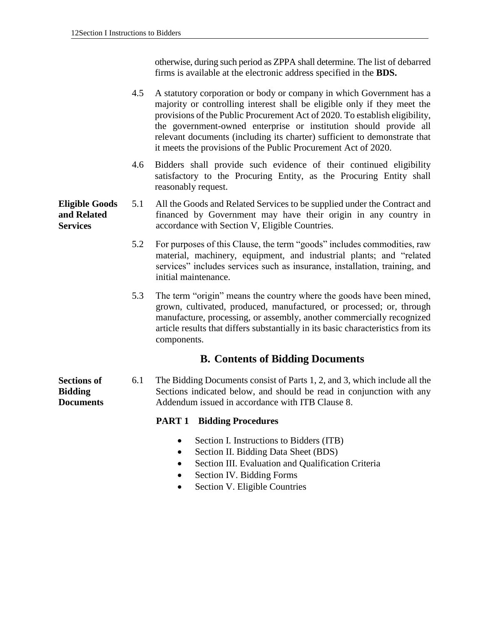otherwise, during such period as ZPPA shall determine. The list of debarred firms is available at the electronic address specified in the **BDS.**

- 4.5 A statutory corporation or body or company in which Government has a majority or controlling interest shall be eligible only if they meet the provisions of the Public Procurement Act of 2020. To establish eligibility, the government-owned enterprise or institution should provide all relevant documents (including its charter) sufficient to demonstrate that it meets the provisions of the Public Procurement Act of 2020.
- 4.6 Bidders shall provide such evidence of their continued eligibility satisfactory to the Procuring Entity, as the Procuring Entity shall reasonably request.
- **Eligible Goods and Related Services** 5.1 All the Goods and Related Services to be supplied under the Contract and financed by Government may have their origin in any country in accordance with Section V, Eligible Countries.
	- 5.2 For purposes of this Clause, the term "goods" includes commodities, raw material, machinery, equipment, and industrial plants; and "related services" includes services such as insurance, installation, training, and initial maintenance.
	- 5.3 The term "origin" means the country where the goods have been mined, grown, cultivated, produced, manufactured, or processed; or, through manufacture, processing, or assembly, another commercially recognized article results that differs substantially in its basic characteristics from its components.

#### **B. Contents of Bidding Documents**

**Sections of Bidding Documents** 6.1 The Bidding Documents consist of Parts 1, 2, and 3, which include all the Sections indicated below, and should be read in conjunction with any Addendum issued in accordance with ITB Clause 8.

#### **PART 1 Bidding Procedures**

- Section I. Instructions to Bidders (ITB)
- Section II. Bidding Data Sheet (BDS)
- Section III. Evaluation and Qualification Criteria
- Section IV. Bidding Forms
- Section V. Eligible Countries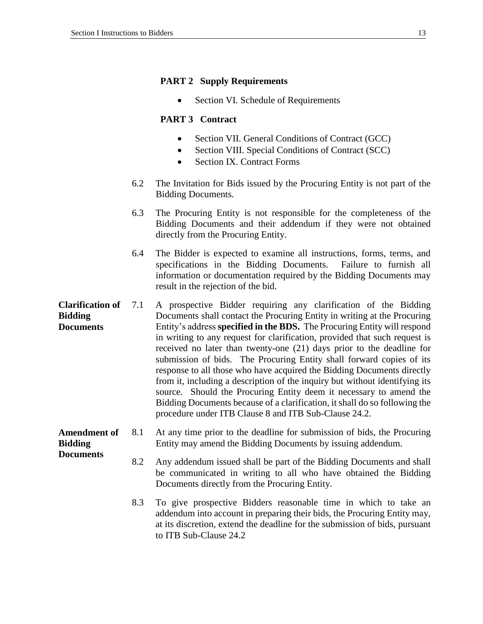#### **PART 2 Supply Requirements**

• Section VI. Schedule of Requirements

#### **PART 3 Contract**

- Section VII. General Conditions of Contract (GCC)
- Section VIII. Special Conditions of Contract (SCC)
- Section IX. Contract Forms
- 6.2 The Invitation for Bids issued by the Procuring Entity is not part of the Bidding Documents.
- 6.3 The Procuring Entity is not responsible for the completeness of the Bidding Documents and their addendum if they were not obtained directly from the Procuring Entity.
- 6.4 The Bidder is expected to examine all instructions, forms, terms, and specifications in the Bidding Documents. Failure to furnish all information or documentation required by the Bidding Documents may result in the rejection of the bid.
- **Clarification of Bidding Documents** 7.1 A prospective Bidder requiring any clarification of the Bidding Documents shall contact the Procuring Entity in writing at the Procuring Entity's address **specified in the BDS.** The Procuring Entity will respond in writing to any request for clarification, provided that such request is received no later than twenty-one (21) days prior to the deadline for submission of bids. The Procuring Entity shall forward copies of its response to all those who have acquired the Bidding Documents directly from it, including a description of the inquiry but without identifying its source. Should the Procuring Entity deem it necessary to amend the Bidding Documents because of a clarification, it shall do so following the procedure under ITB Clause 8 and ITB Sub-Clause 24.2.

#### **Amendment of Bidding Documents** 8.1 At any time prior to the deadline for submission of bids, the Procuring Entity may amend the Bidding Documents by issuing addendum.

- 8.2 Any addendum issued shall be part of the Bidding Documents and shall be communicated in writing to all who have obtained the Bidding Documents directly from the Procuring Entity.
- 8.3 To give prospective Bidders reasonable time in which to take an addendum into account in preparing their bids, the Procuring Entity may, at its discretion, extend the deadline for the submission of bids, pursuant to ITB Sub-Clause 24.2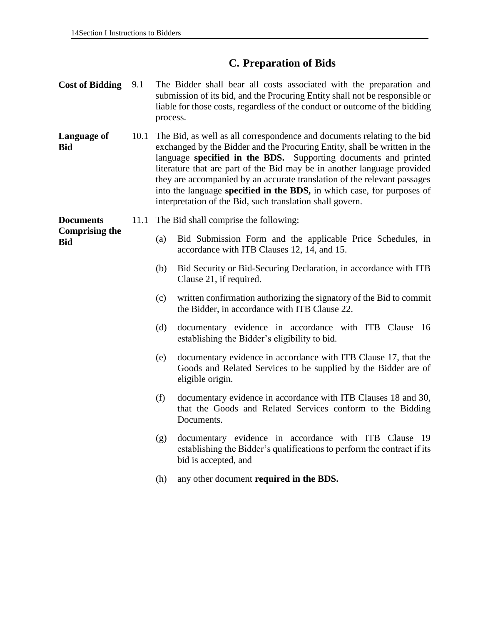### **C. Preparation of Bids**

- **Cost of Bidding** 9.1 The Bidder shall bear all costs associated with the preparation and submission of its bid, and the Procuring Entity shall not be responsible or liable for those costs, regardless of the conduct or outcome of the bidding process.
- **Language of Bid** 10.1 The Bid, as well as all correspondence and documents relating to the bid exchanged by the Bidder and the Procuring Entity, shall be written in the language **specified in the BDS.** Supporting documents and printed literature that are part of the Bid may be in another language provided they are accompanied by an accurate translation of the relevant passages into the language **specified in the BDS,** in which case, for purposes of interpretation of the Bid, such translation shall govern.

**Documents Comprising the Bid**

- 11.1 The Bid shall comprise the following:
	- (a) Bid Submission Form and the applicable Price Schedules, in accordance with ITB Clauses 12, 14, and 15.
	- (b) Bid Security or Bid-Securing Declaration, in accordance with ITB Clause 21, if required.
	- (c) written confirmation authorizing the signatory of the Bid to commit the Bidder, in accordance with ITB Clause 22.
	- (d) documentary evidence in accordance with ITB Clause 16 establishing the Bidder's eligibility to bid.
	- (e) documentary evidence in accordance with ITB Clause 17, that the Goods and Related Services to be supplied by the Bidder are of eligible origin.
	- (f) documentary evidence in accordance with ITB Clauses 18 and 30, that the Goods and Related Services conform to the Bidding Documents.
	- (g) documentary evidence in accordance with ITB Clause 19 establishing the Bidder's qualifications to perform the contract if its bid is accepted, and
	- (h) any other document **required in the BDS.**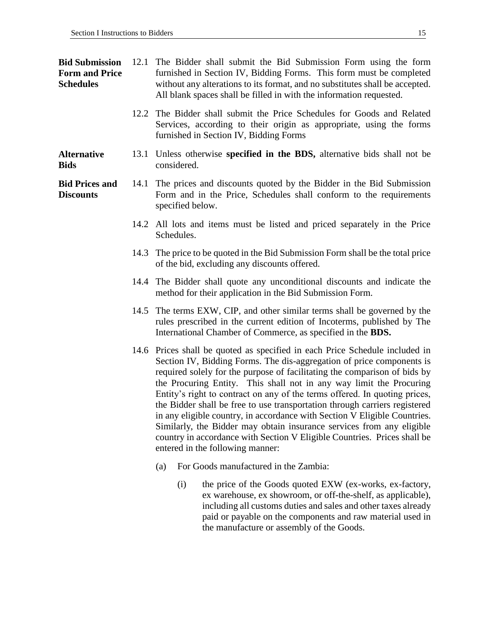**Bid Submission Form and Price Schedules**  12.1 The Bidder shall submit the Bid Submission Form using the form furnished in Section IV, Bidding Forms. This form must be completed without any alterations to its format, and no substitutes shall be accepted. All blank spaces shall be filled in with the information requested.

- 12.2 The Bidder shall submit the Price Schedules for Goods and Related Services, according to their origin as appropriate, using the forms furnished in Section IV, Bidding Forms
- **Alternative Bids** 13.1 Unless otherwise **specified in the BDS,** alternative bids shall not be considered.

**Bid Prices and Discounts** 14.1 The prices and discounts quoted by the Bidder in the Bid Submission Form and in the Price, Schedules shall conform to the requirements specified below.

- 14.2 All lots and items must be listed and priced separately in the Price Schedules.
- 14.3 The price to be quoted in the Bid Submission Form shall be the total price of the bid, excluding any discounts offered.
- 14.4 The Bidder shall quote any unconditional discounts and indicate the method for their application in the Bid Submission Form.
- 14.5 The terms EXW, CIP, and other similar terms shall be governed by the rules prescribed in the current edition of Incoterms, published by The International Chamber of Commerce, as specified in the **BDS.**
- 14.6 Prices shall be quoted as specified in each Price Schedule included in Section IV, Bidding Forms. The dis-aggregation of price components is required solely for the purpose of facilitating the comparison of bids by the Procuring Entity. This shall not in any way limit the Procuring Entity's right to contract on any of the terms offered. In quoting prices, the Bidder shall be free to use transportation through carriers registered in any eligible country, in accordance with Section V Eligible Countries. Similarly, the Bidder may obtain insurance services from any eligible country in accordance with Section V Eligible Countries. Prices shall be entered in the following manner:
	- (a) For Goods manufactured in the Zambia:
		- (i) the price of the Goods quoted EXW (ex-works, ex-factory, ex warehouse, ex showroom, or off-the-shelf, as applicable), including all customs duties and sales and other taxes already paid or payable on the components and raw material used in the manufacture or assembly of the Goods.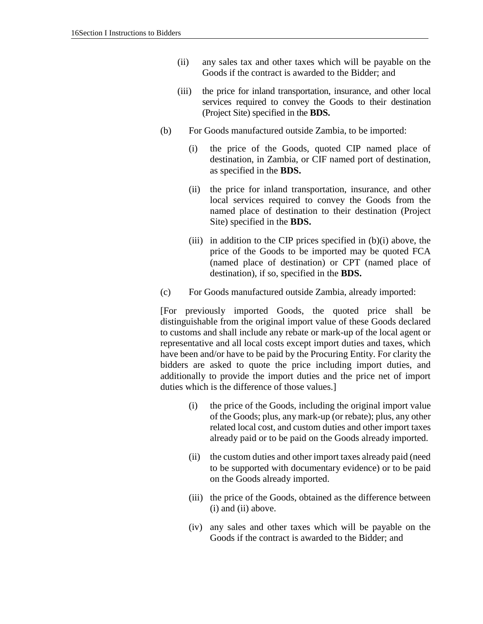- (ii) any sales tax and other taxes which will be payable on the Goods if the contract is awarded to the Bidder; and
- (iii) the price for inland transportation, insurance, and other local services required to convey the Goods to their destination (Project Site) specified in the **BDS.**
- (b) For Goods manufactured outside Zambia, to be imported:
	- (i) the price of the Goods, quoted CIP named place of destination, in Zambia, or CIF named port of destination, as specified in the **BDS.**
	- (ii) the price for inland transportation, insurance, and other local services required to convey the Goods from the named place of destination to their destination (Project Site) specified in the **BDS.**
	- (iii) in addition to the CIP prices specified in  $(b)(i)$  above, the price of the Goods to be imported may be quoted FCA (named place of destination) or CPT (named place of destination), if so, specified in the **BDS.**
- (c) For Goods manufactured outside Zambia, already imported:

[For previously imported Goods, the quoted price shall be distinguishable from the original import value of these Goods declared to customs and shall include any rebate or mark-up of the local agent or representative and all local costs except import duties and taxes, which have been and/or have to be paid by the Procuring Entity. For clarity the bidders are asked to quote the price including import duties, and additionally to provide the import duties and the price net of import duties which is the difference of those values.]

- (i) the price of the Goods, including the original import value of the Goods; plus, any mark-up (or rebate); plus, any other related local cost, and custom duties and other import taxes already paid or to be paid on the Goods already imported.
- (ii) the custom duties and other import taxes already paid (need to be supported with documentary evidence) or to be paid on the Goods already imported.
- (iii) the price of the Goods, obtained as the difference between (i) and (ii) above.
- (iv) any sales and other taxes which will be payable on the Goods if the contract is awarded to the Bidder; and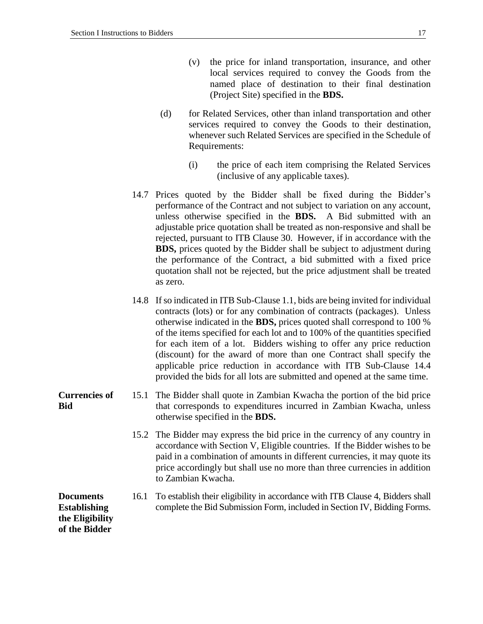- (v) the price for inland transportation, insurance, and other local services required to convey the Goods from the named place of destination to their final destination (Project Site) specified in the **BDS.**
- (d) for Related Services, other than inland transportation and other services required to convey the Goods to their destination, whenever such Related Services are specified in the Schedule of Requirements:
	- (i) the price of each item comprising the Related Services (inclusive of any applicable taxes).
- 14.7 Prices quoted by the Bidder shall be fixed during the Bidder's performance of the Contract and not subject to variation on any account, unless otherwise specified in the **BDS.** A Bid submitted with an adjustable price quotation shall be treated as non-responsive and shall be rejected, pursuant to ITB Clause 30. However, if in accordance with the **BDS,** prices quoted by the Bidder shall be subject to adjustment during the performance of the Contract, a bid submitted with a fixed price quotation shall not be rejected, but the price adjustment shall be treated as zero.
- 14.8 If so indicated in ITB Sub-Clause 1.1, bids are being invited for individual contracts (lots) or for any combination of contracts (packages). Unless otherwise indicated in the **BDS,** prices quoted shall correspond to 100 % of the items specified for each lot and to 100% of the quantities specified for each item of a lot. Bidders wishing to offer any price reduction (discount) for the award of more than one Contract shall specify the applicable price reduction in accordance with ITB Sub-Clause 14.4 provided the bids for all lots are submitted and opened at the same time.
- **Currencies of Bid** 15.1 The Bidder shall quote in Zambian Kwacha the portion of the bid price that corresponds to expenditures incurred in Zambian Kwacha, unless otherwise specified in the **BDS.**
	- 15.2 The Bidder may express the bid price in the currency of any country in accordance with Section V, Eligible countries. If the Bidder wishes to be paid in a combination of amounts in different currencies, it may quote its price accordingly but shall use no more than three currencies in addition to Zambian Kwacha.

**Documents Establishing the Eligibility of the Bidder**

16.1 To establish their eligibility in accordance with ITB Clause 4, Bidders shall complete the Bid Submission Form, included in Section IV, Bidding Forms.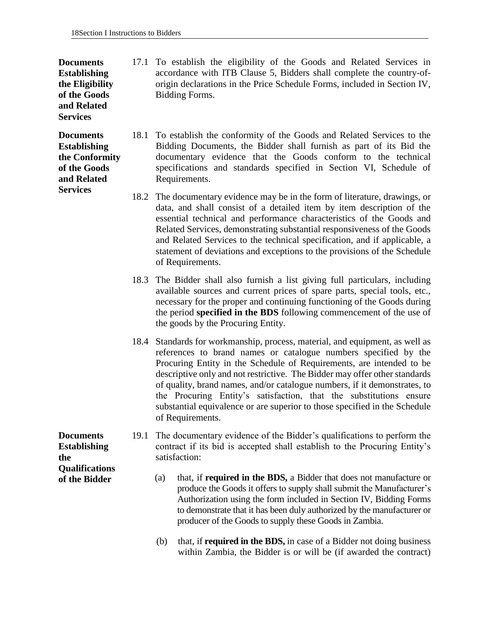#### **Documents Establishing the Eligibility of the Goods and Related Services**

**Documents Establishing the Conformity of the Goods and Related Services**

- 17.1 To establish the eligibility of the Goods and Related Services in accordance with ITB Clause 5, Bidders shall complete the country-oforigin declarations in the Price Schedule Forms, included in Section IV, Bidding Forms.
- 18.1 To establish the conformity of the Goods and Related Services to the Bidding Documents, the Bidder shall furnish as part of its Bid the documentary evidence that the Goods conform to the technical specifications and standards specified in Section VI, Schedule of Requirements.
- 18.2 The documentary evidence may be in the form of literature, drawings, or data, and shall consist of a detailed item by item description of the essential technical and performance characteristics of the Goods and Related Services, demonstrating substantial responsiveness of the Goods and Related Services to the technical specification, and if applicable, a statement of deviations and exceptions to the provisions of the Schedule of Requirements.
- 18.3 The Bidder shall also furnish a list giving full particulars, including available sources and current prices of spare parts, special tools, etc., necessary for the proper and continuing functioning of the Goods during the period **specified in the BDS** following commencement of the use of the goods by the Procuring Entity.
- 18.4 Standards for workmanship, process, material, and equipment, as well as references to brand names or catalogue numbers specified by the Procuring Entity in the Schedule of Requirements, are intended to be descriptive only and not restrictive. The Bidder may offer other standards of quality, brand names, and/or catalogue numbers, if it demonstrates, to the Procuring Entity's satisfaction, that the substitutions ensure substantial equivalence or are superior to those specified in the Schedule of Requirements.
- 19.1 The documentary evidence of the Bidder's qualifications to perform the contract if its bid is accepted shall establish to the Procuring Entity's satisfaction:
	- (a) that, if **required in the BDS,** a Bidder that does not manufacture or produce the Goods it offers to supply shall submit the Manufacturer's Authorization using the form included in Section IV, Bidding Forms to demonstrate that it has been duly authorized by the manufacturer or producer of the Goods to supply these Goods in Zambia.
	- (b) that, if **required in the BDS,** in case of a Bidder not doing business within Zambia, the Bidder is or will be (if awarded the contract)

**Documents Establishing the Qualifications of the Bidder**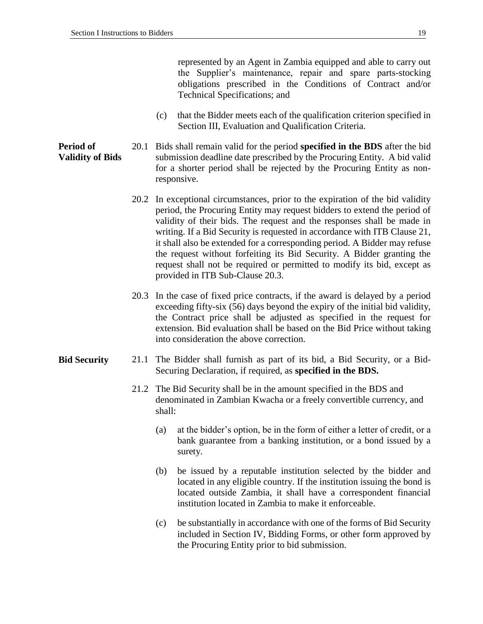represented by an Agent in Zambia equipped and able to carry out the Supplier's maintenance, repair and spare parts-stocking obligations prescribed in the Conditions of Contract and/or Technical Specifications; and

(c) that the Bidder meets each of the qualification criterion specified in Section III, Evaluation and Qualification Criteria.

**Period of Validity of Bids** 20.1 Bids shall remain valid for the period **specified in the BDS** after the bid submission deadline date prescribed by the Procuring Entity. A bid valid for a shorter period shall be rejected by the Procuring Entity as nonresponsive.

- 20.2 In exceptional circumstances, prior to the expiration of the bid validity period, the Procuring Entity may request bidders to extend the period of validity of their bids. The request and the responses shall be made in writing. If a Bid Security is requested in accordance with ITB Clause 21, it shall also be extended for a corresponding period. A Bidder may refuse the request without forfeiting its Bid Security. A Bidder granting the request shall not be required or permitted to modify its bid, except as provided in ITB Sub-Clause 20.3.
- 20.3 In the case of fixed price contracts, if the award is delayed by a period exceeding fifty-six (56) days beyond the expiry of the initial bid validity, the Contract price shall be adjusted as specified in the request for extension. Bid evaluation shall be based on the Bid Price without taking into consideration the above correction.
- **Bid Security** 21.1 The Bidder shall furnish as part of its bid, a Bid Security, or a Bid-Securing Declaration, if required, as **specified in the BDS.**
	- 21.2 The Bid Security shall be in the amount specified in the BDS and denominated in Zambian Kwacha or a freely convertible currency, and shall:
		- (a) at the bidder's option, be in the form of either a letter of credit, or a bank guarantee from a banking institution, or a bond issued by a surety.
		- (b) be issued by a reputable institution selected by the bidder and located in any eligible country. If the institution issuing the bond is located outside Zambia, it shall have a correspondent financial institution located in Zambia to make it enforceable.
		- (c) be substantially in accordance with one of the forms of Bid Security included in Section IV, Bidding Forms, or other form approved by the Procuring Entity prior to bid submission.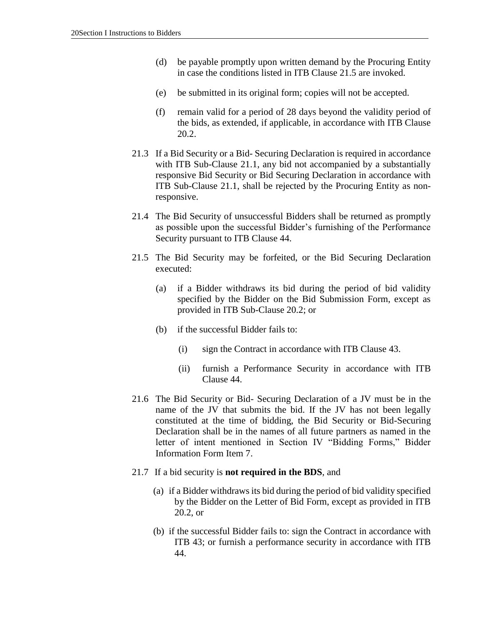- (d) be payable promptly upon written demand by the Procuring Entity in case the conditions listed in ITB Clause 21.5 are invoked.
- (e) be submitted in its original form; copies will not be accepted.
- (f) remain valid for a period of 28 days beyond the validity period of the bids, as extended, if applicable, in accordance with ITB Clause 20.2.
- 21.3 If a Bid Security or a Bid- Securing Declaration is required in accordance with ITB Sub-Clause 21.1, any bid not accompanied by a substantially responsive Bid Security or Bid Securing Declaration in accordance with ITB Sub-Clause 21.1, shall be rejected by the Procuring Entity as nonresponsive.
- 21.4 The Bid Security of unsuccessful Bidders shall be returned as promptly as possible upon the successful Bidder's furnishing of the Performance Security pursuant to ITB Clause 44.
- 21.5 The Bid Security may be forfeited, or the Bid Securing Declaration executed:
	- (a) if a Bidder withdraws its bid during the period of bid validity specified by the Bidder on the Bid Submission Form, except as provided in ITB Sub-Clause 20.2; or
	- (b) if the successful Bidder fails to:
		- (i) sign the Contract in accordance with ITB Clause 43.
		- (ii) furnish a Performance Security in accordance with ITB Clause 44.
- 21.6 The Bid Security or Bid- Securing Declaration of a JV must be in the name of the JV that submits the bid. If the JV has not been legally constituted at the time of bidding, the Bid Security or Bid-Securing Declaration shall be in the names of all future partners as named in the letter of intent mentioned in Section IV "Bidding Forms," Bidder Information Form Item 7.
- 21.7 If a bid security is **not required in the BDS**, and
	- (a) if a Bidder withdraws its bid during the period of bid validity specified by the Bidder on the Letter of Bid Form, except as provided in ITB 20.2, or
	- (b) if the successful Bidder fails to: sign the Contract in accordance with ITB 43; or furnish a performance security in accordance with ITB 44.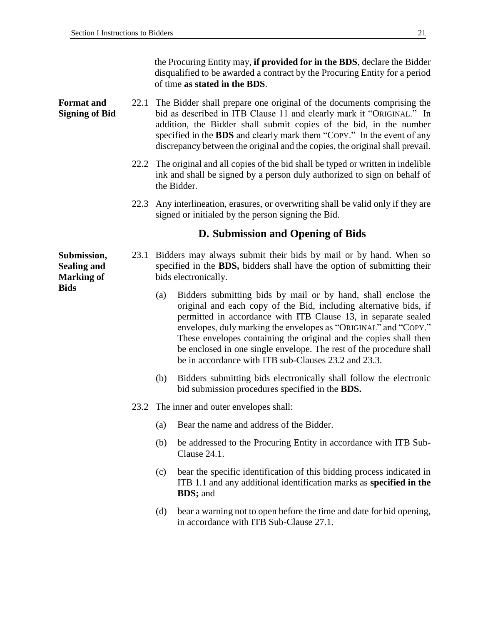the Procuring Entity may, **if provided for in the BDS**, declare the Bidder disqualified to be awarded a contract by the Procuring Entity for a period of time **as stated in the BDS**.

#### **Format and Signing of Bid** 22.1 The Bidder shall prepare one original of the documents comprising the bid as described in ITB Clause 11 and clearly mark it "ORIGINAL." In addition, the Bidder shall submit copies of the bid, in the number specified in the **BDS** and clearly mark them "COPY." In the event of any discrepancy between the original and the copies, the original shall prevail.

- 22.2 The original and all copies of the bid shall be typed or written in indelible ink and shall be signed by a person duly authorized to sign on behalf of the Bidder.
- 22.3 Any interlineation, erasures, or overwriting shall be valid only if they are signed or initialed by the person signing the Bid.

#### **D. Submission and Opening of Bids**

23.1 Bidders may always submit their bids by mail or by hand. When so specified in the **BDS,** bidders shall have the option of submitting their bids electronically.

- (a) Bidders submitting bids by mail or by hand, shall enclose the original and each copy of the Bid, including alternative bids, if permitted in accordance with ITB Clause 13, in separate sealed envelopes, duly marking the envelopes as "ORIGINAL" and "COPY." These envelopes containing the original and the copies shall then be enclosed in one single envelope. The rest of the procedure shall be in accordance with ITB sub-Clauses 23.2 and 23.3.
- (b) Bidders submitting bids electronically shall follow the electronic bid submission procedures specified in the **BDS.**
- 23.2 The inner and outer envelopes shall:
	- (a) Bear the name and address of the Bidder.
	- (b) be addressed to the Procuring Entity in accordance with ITB Sub-Clause 24.1.
	- (c) bear the specific identification of this bidding process indicated in ITB 1.1 and any additional identification marks as **specified in the BDS;** and
	- (d) bear a warning not to open before the time and date for bid opening, in accordance with ITB Sub-Clause 27.1.

**Submission, Sealing and Marking of Bids**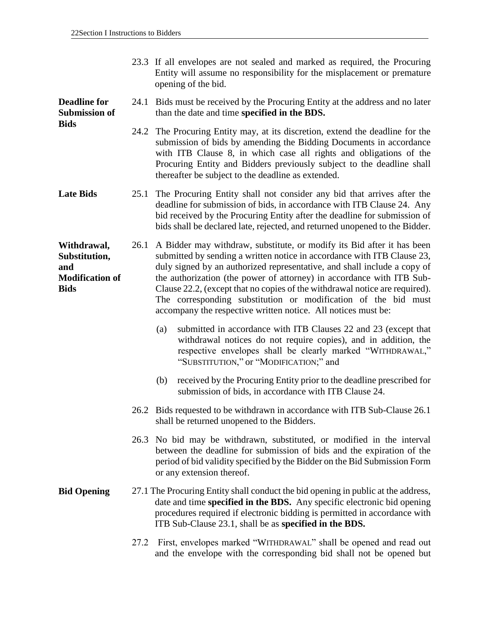**Bids**

| 23.3 If all envelopes are not sealed and marked as required, the Procuring |
|----------------------------------------------------------------------------|
| Entity will assume no responsibility for the misplacement or premature     |
| opening of the bid.                                                        |

**Deadline for Submission of**  24.1 Bids must be received by the Procuring Entity at the address and no later than the date and time **specified in the BDS.**

> 24.2 The Procuring Entity may, at its discretion, extend the deadline for the submission of bids by amending the Bidding Documents in accordance with ITB Clause 8, in which case all rights and obligations of the Procuring Entity and Bidders previously subject to the deadline shall thereafter be subject to the deadline as extended.

**Late Bids** 25.1 The Procuring Entity shall not consider any bid that arrives after the deadline for submission of bids, in accordance with ITB Clause 24. Any bid received by the Procuring Entity after the deadline for submission of bids shall be declared late, rejected, and returned unopened to the Bidder.

**Withdrawal, Substitution, and Modification of Bids**  26.1 A Bidder may withdraw, substitute, or modify its Bid after it has been submitted by sending a written notice in accordance with ITB Clause 23, duly signed by an authorized representative, and shall include a copy of the authorization (the power of attorney) in accordance with ITB Sub-Clause 22.2, (except that no copies of the withdrawal notice are required). The corresponding substitution or modification of the bid must accompany the respective written notice. All notices must be:

- (a) submitted in accordance with ITB Clauses 22 and 23 (except that withdrawal notices do not require copies), and in addition, the respective envelopes shall be clearly marked "WITHDRAWAL," "SUBSTITUTION," or "MODIFICATION;" and
- (b) received by the Procuring Entity prior to the deadline prescribed for submission of bids, in accordance with ITB Clause 24.
- 26.2 Bids requested to be withdrawn in accordance with ITB Sub-Clause 26.1 shall be returned unopened to the Bidders.
- 26.3 No bid may be withdrawn, substituted, or modified in the interval between the deadline for submission of bids and the expiration of the period of bid validity specified by the Bidder on the Bid Submission Form or any extension thereof.
- **Bid Opening** 27.1 The Procuring Entity shall conduct the bid opening in public at the address, date and time **specified in the BDS.** Any specific electronic bid opening procedures required if electronic bidding is permitted in accordance with ITB Sub-Clause 23.1, shall be as **specified in the BDS.**
	- 27.2 First, envelopes marked "WITHDRAWAL" shall be opened and read out and the envelope with the corresponding bid shall not be opened but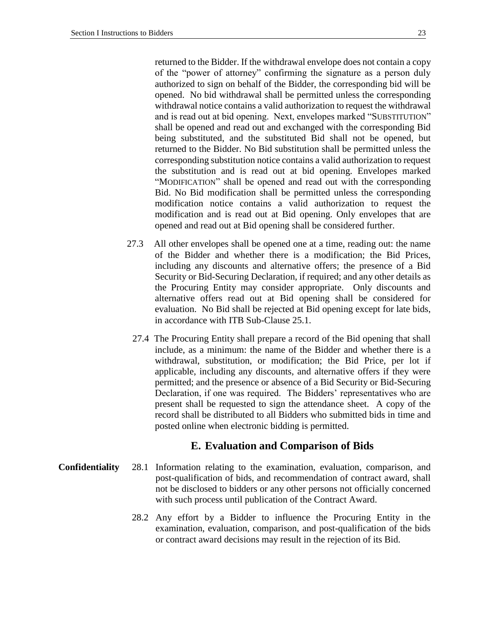returned to the Bidder. If the withdrawal envelope does not contain a copy of the "power of attorney" confirming the signature as a person duly authorized to sign on behalf of the Bidder, the corresponding bid will be opened. No bid withdrawal shall be permitted unless the corresponding withdrawal notice contains a valid authorization to request the withdrawal and is read out at bid opening. Next, envelopes marked "SUBSTITUTION" shall be opened and read out and exchanged with the corresponding Bid being substituted, and the substituted Bid shall not be opened, but returned to the Bidder. No Bid substitution shall be permitted unless the corresponding substitution notice contains a valid authorization to request the substitution and is read out at bid opening. Envelopes marked "MODIFICATION" shall be opened and read out with the corresponding Bid. No Bid modification shall be permitted unless the corresponding modification notice contains a valid authorization to request the modification and is read out at Bid opening. Only envelopes that are opened and read out at Bid opening shall be considered further.

- 27.3 All other envelopes shall be opened one at a time, reading out: the name of the Bidder and whether there is a modification; the Bid Prices, including any discounts and alternative offers; the presence of a Bid Security or Bid-Securing Declaration, if required; and any other details as the Procuring Entity may consider appropriate. Only discounts and alternative offers read out at Bid opening shall be considered for evaluation. No Bid shall be rejected at Bid opening except for late bids, in accordance with ITB Sub-Clause 25.1.
- 27.4 The Procuring Entity shall prepare a record of the Bid opening that shall include, as a minimum: the name of the Bidder and whether there is a withdrawal, substitution, or modification; the Bid Price, per lot if applicable, including any discounts, and alternative offers if they were permitted; and the presence or absence of a Bid Security or Bid-Securing Declaration, if one was required. The Bidders' representatives who are present shall be requested to sign the attendance sheet. A copy of the record shall be distributed to all Bidders who submitted bids in time and posted online when electronic bidding is permitted.

#### **E. Evaluation and Comparison of Bids**

- **Confidentiality** 28.1 Information relating to the examination, evaluation, comparison, and post-qualification of bids, and recommendation of contract award, shall not be disclosed to bidders or any other persons not officially concerned with such process until publication of the Contract Award.
	- 28.2 Any effort by a Bidder to influence the Procuring Entity in the examination, evaluation, comparison, and post-qualification of the bids or contract award decisions may result in the rejection of its Bid.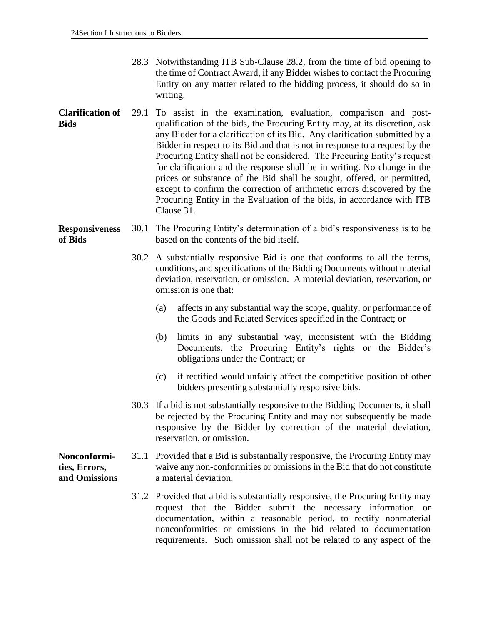- 28.3 Notwithstanding ITB Sub-Clause 28.2, from the time of bid opening to the time of Contract Award, if any Bidder wishes to contact the Procuring Entity on any matter related to the bidding process, it should do so in writing.
- **Clarification of Bids** 29.1 To assist in the examination, evaluation, comparison and postqualification of the bids, the Procuring Entity may, at its discretion, ask any Bidder for a clarification of its Bid. Any clarification submitted by a Bidder in respect to its Bid and that is not in response to a request by the Procuring Entity shall not be considered. The Procuring Entity's request for clarification and the response shall be in writing. No change in the prices or substance of the Bid shall be sought, offered, or permitted, except to confirm the correction of arithmetic errors discovered by the Procuring Entity in the Evaluation of the bids, in accordance with ITB Clause 31.

#### **Responsiveness of Bids** 30.1 The Procuring Entity's determination of a bid's responsiveness is to be based on the contents of the bid itself.

- 30.2 A substantially responsive Bid is one that conforms to all the terms, conditions, and specifications of the Bidding Documents without material deviation, reservation, or omission. A material deviation, reservation, or omission is one that:
	- (a) affects in any substantial way the scope, quality, or performance of the Goods and Related Services specified in the Contract; or
	- (b) limits in any substantial way, inconsistent with the Bidding Documents, the Procuring Entity's rights or the Bidder's obligations under the Contract; or
	- (c) if rectified would unfairly affect the competitive position of other bidders presenting substantially responsive bids.
- 30.3 If a bid is not substantially responsive to the Bidding Documents, it shall be rejected by the Procuring Entity and may not subsequently be made responsive by the Bidder by correction of the material deviation, reservation, or omission.

**Nonconformities, Errors, and Omissions** 31.1 Provided that a Bid is substantially responsive, the Procuring Entity may waive any non-conformities or omissions in the Bid that do not constitute a material deviation.

> 31.2 Provided that a bid is substantially responsive, the Procuring Entity may request that the Bidder submit the necessary information or documentation, within a reasonable period, to rectify nonmaterial nonconformities or omissions in the bid related to documentation requirements. Such omission shall not be related to any aspect of the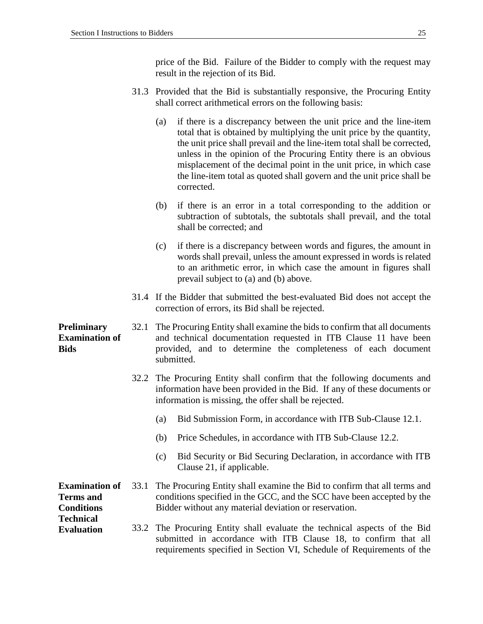price of the Bid. Failure of the Bidder to comply with the request may result in the rejection of its Bid.

- 31.3 Provided that the Bid is substantially responsive, the Procuring Entity shall correct arithmetical errors on the following basis:
	- (a) if there is a discrepancy between the unit price and the line-item total that is obtained by multiplying the unit price by the quantity, the unit price shall prevail and the line-item total shall be corrected, unless in the opinion of the Procuring Entity there is an obvious misplacement of the decimal point in the unit price, in which case the line-item total as quoted shall govern and the unit price shall be corrected.
	- (b) if there is an error in a total corresponding to the addition or subtraction of subtotals, the subtotals shall prevail, and the total shall be corrected; and
	- (c) if there is a discrepancy between words and figures, the amount in words shall prevail, unless the amount expressed in words is related to an arithmetic error, in which case the amount in figures shall prevail subject to (a) and (b) above.
- 31.4 If the Bidder that submitted the best-evaluated Bid does not accept the correction of errors, its Bid shall be rejected.

**Preliminary Examination of Bids** 32.1 The Procuring Entity shall examine the bids to confirm that all documents and technical documentation requested in ITB Clause 11 have been provided, and to determine the completeness of each document submitted.

- 32.2 The Procuring Entity shall confirm that the following documents and information have been provided in the Bid. If any of these documents or information is missing, the offer shall be rejected.
	- (a) Bid Submission Form, in accordance with ITB Sub-Clause 12.1.
	- (b) Price Schedules, in accordance with ITB Sub-Clause 12.2.
	- (c) Bid Security or Bid Securing Declaration, in accordance with ITB Clause 21, if applicable.
- **Examination of**  33.1 The Procuring Entity shall examine the Bid to confirm that all terms and conditions specified in the GCC, and the SCC have been accepted by the Bidder without any material deviation or reservation.

#### 33.2 The Procuring Entity shall evaluate the technical aspects of the Bid submitted in accordance with ITB Clause 18, to confirm that all requirements specified in Section VI, Schedule of Requirements of the

#### **Terms and Conditions Technical Evaluation**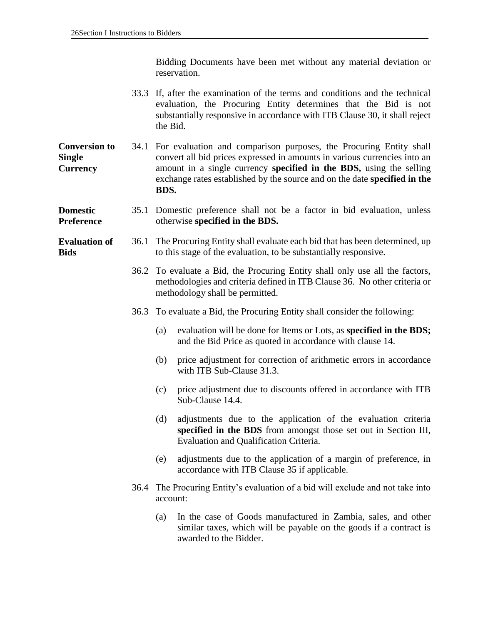Bidding Documents have been met without any material deviation or reservation.

- 33.3 If, after the examination of the terms and conditions and the technical evaluation, the Procuring Entity determines that the Bid is not substantially responsive in accordance with ITB Clause 30, it shall reject the Bid.
- **Conversion to Single Currency** 34.1 For evaluation and comparison purposes, the Procuring Entity shall convert all bid prices expressed in amounts in various currencies into an amount in a single currency **specified in the BDS,** using the selling exchange rates established by the source and on the date **specified in the BDS.**

**Domestic Preference** 35.1 Domestic preference shall not be a factor in bid evaluation, unless otherwise **specified in the BDS.**

**Evaluation of Bids** 36.1 The Procuring Entity shall evaluate each bid that has been determined, up to this stage of the evaluation, to be substantially responsive.

- 36.2 To evaluate a Bid, the Procuring Entity shall only use all the factors, methodologies and criteria defined in ITB Clause 36. No other criteria or methodology shall be permitted.
- 36.3 To evaluate a Bid, the Procuring Entity shall consider the following:
	- (a) evaluation will be done for Items or Lots, as **specified in the BDS;**  and the Bid Price as quoted in accordance with clause 14.
	- (b) price adjustment for correction of arithmetic errors in accordance with ITB Sub-Clause 31.3.
	- (c) price adjustment due to discounts offered in accordance with ITB Sub-Clause 14.4.
	- (d) adjustments due to the application of the evaluation criteria **specified in the BDS** from amongst those set out in Section III, Evaluation and Qualification Criteria.
	- (e) adjustments due to the application of a margin of preference, in accordance with ITB Clause 35 if applicable.
- 36.4 The Procuring Entity's evaluation of a bid will exclude and not take into account:
	- (a) In the case of Goods manufactured in Zambia, sales, and other similar taxes, which will be payable on the goods if a contract is awarded to the Bidder.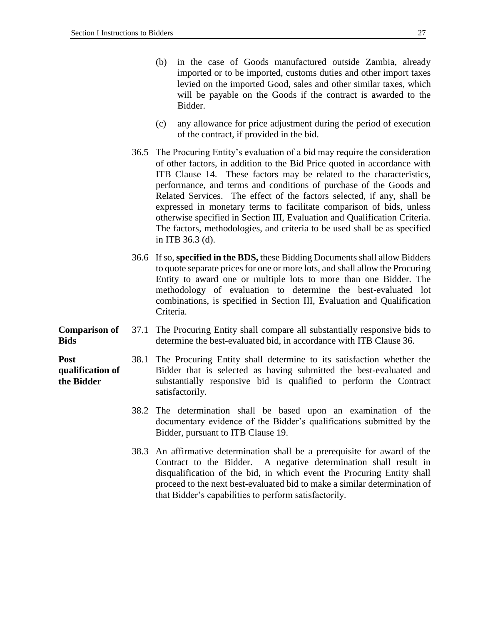- (b) in the case of Goods manufactured outside Zambia, already imported or to be imported, customs duties and other import taxes levied on the imported Good, sales and other similar taxes, which will be payable on the Goods if the contract is awarded to the Bidder.
- (c) any allowance for price adjustment during the period of execution of the contract, if provided in the bid.
- 36.5 The Procuring Entity's evaluation of a bid may require the consideration of other factors, in addition to the Bid Price quoted in accordance with ITB Clause 14. These factors may be related to the characteristics, performance, and terms and conditions of purchase of the Goods and Related Services. The effect of the factors selected, if any, shall be expressed in monetary terms to facilitate comparison of bids, unless otherwise specified in Section III, Evaluation and Qualification Criteria. The factors, methodologies, and criteria to be used shall be as specified in ITB 36.3 (d).
- 36.6 If so,**specified in the BDS,** these Bidding Documents shall allow Bidders to quote separate prices for one or more lots, and shall allow the Procuring Entity to award one or multiple lots to more than one Bidder. The methodology of evaluation to determine the best-evaluated lot combinations, is specified in Section III, Evaluation and Qualification Criteria.
- **Comparison of Bids** 37.1 The Procuring Entity shall compare all substantially responsive bids to determine the best-evaluated bid, in accordance with ITB Clause 36.

**Post qualification of the Bidder**

- 38.1 The Procuring Entity shall determine to its satisfaction whether the Bidder that is selected as having submitted the best-evaluated and substantially responsive bid is qualified to perform the Contract satisfactorily.
	- 38.2 The determination shall be based upon an examination of the documentary evidence of the Bidder's qualifications submitted by the Bidder, pursuant to ITB Clause 19.
	- 38.3 An affirmative determination shall be a prerequisite for award of the Contract to the Bidder. A negative determination shall result in disqualification of the bid, in which event the Procuring Entity shall proceed to the next best-evaluated bid to make a similar determination of that Bidder's capabilities to perform satisfactorily.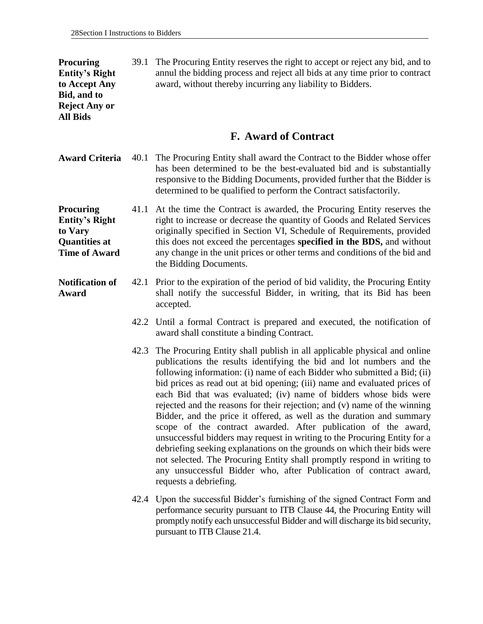**Procuring Entity's Right to Accept Any Bid, and to Reject Any or All Bids**

39.1 The Procuring Entity reserves the right to accept or reject any bid, and to annul the bidding process and reject all bids at any time prior to contract award, without thereby incurring any liability to Bidders.

### **F. Award of Contract**

- **Award Criteria** 40.1 The Procuring Entity shall award the Contract to the Bidder whose offer has been determined to be the best-evaluated bid and is substantially responsive to the Bidding Documents, provided further that the Bidder is determined to be qualified to perform the Contract satisfactorily.
- **Time of Award**  41.1 At the time the Contract is awarded, the Procuring Entity reserves the right to increase or decrease the quantity of Goods and Related Services originally specified in Section VI, Schedule of Requirements, provided this does not exceed the percentages **specified in the BDS,** and without any change in the unit prices or other terms and conditions of the bid and the Bidding Documents.
- **Notification of Award** 42.1 Prior to the expiration of the period of bid validity, the Procuring Entity shall notify the successful Bidder, in writing, that its Bid has been accepted.
	- 42.2 Until a formal Contract is prepared and executed, the notification of award shall constitute a binding Contract.
	- 42.3 The Procuring Entity shall publish in all applicable physical and online publications the results identifying the bid and lot numbers and the following information: (i) name of each Bidder who submitted a Bid; (ii) bid prices as read out at bid opening; (iii) name and evaluated prices of each Bid that was evaluated; (iv) name of bidders whose bids were rejected and the reasons for their rejection; and (v) name of the winning Bidder, and the price it offered, as well as the duration and summary scope of the contract awarded. After publication of the award, unsuccessful bidders may request in writing to the Procuring Entity for a debriefing seeking explanations on the grounds on which their bids were not selected. The Procuring Entity shall promptly respond in writing to any unsuccessful Bidder who, after Publication of contract award, requests a debriefing.
	- 42.4 Upon the successful Bidder's furnishing of the signed Contract Form and performance security pursuant to ITB Clause 44, the Procuring Entity will promptly notify each unsuccessful Bidder and will discharge its bid security, pursuant to ITB Clause 21.4.

**Procuring Entity's Right to Vary** 

**Quantities at**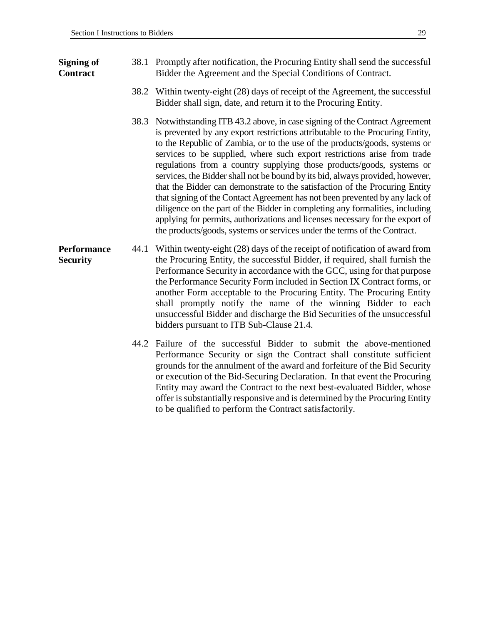#### **Signing of Contract**

- 38.1 Promptly after notification, the Procuring Entity shall send the successful Bidder the Agreement and the Special Conditions of Contract.
	- 38.2 Within twenty-eight (28) days of receipt of the Agreement, the successful Bidder shall sign, date, and return it to the Procuring Entity.
	- 38.3 Notwithstanding ITB 43.2 above, in case signing of the Contract Agreement is prevented by any export restrictions attributable to the Procuring Entity, to the Republic of Zambia, or to the use of the products/goods, systems or services to be supplied, where such export restrictions arise from trade regulations from a country supplying those products/goods, systems or services, the Bidder shall not be bound by its bid, always provided, however, that the Bidder can demonstrate to the satisfaction of the Procuring Entity that signing of the Contact Agreement has not been prevented by any lack of diligence on the part of the Bidder in completing any formalities, including applying for permits, authorizations and licenses necessary for the export of the products/goods, systems or services under the terms of the Contract.
- **Performance Security** 44.1 Within twenty-eight (28) days of the receipt of notification of award from the Procuring Entity, the successful Bidder, if required, shall furnish the Performance Security in accordance with the GCC, using for that purpose the Performance Security Form included in Section IX Contract forms, or another Form acceptable to the Procuring Entity. The Procuring Entity shall promptly notify the name of the winning Bidder to each unsuccessful Bidder and discharge the Bid Securities of the unsuccessful bidders pursuant to ITB Sub-Clause 21.4.
	- 44.2 Failure of the successful Bidder to submit the above-mentioned Performance Security or sign the Contract shall constitute sufficient grounds for the annulment of the award and forfeiture of the Bid Security or execution of the Bid-Securing Declaration. In that event the Procuring Entity may award the Contract to the next best-evaluated Bidder, whose offer is substantially responsive and is determined by the Procuring Entity to be qualified to perform the Contract satisfactorily.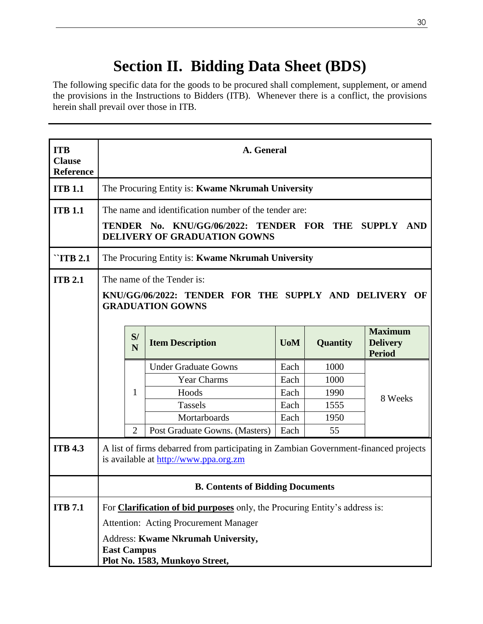# **Section II. Bidding Data Sheet (BDS)**

The following specific data for the goods to be procured shall complement, supplement, or amend the provisions in the Instructions to Bidders (ITB). Whenever there is a conflict, the provisions herein shall prevail over those in ITB.

| <b>ITB</b><br><b>Clause</b><br><b>Reference</b> | A. General                                                                                                                   |                                                                                                                                                  |                                                   |                  |                 |                                                    |
|-------------------------------------------------|------------------------------------------------------------------------------------------------------------------------------|--------------------------------------------------------------------------------------------------------------------------------------------------|---------------------------------------------------|------------------|-----------------|----------------------------------------------------|
| <b>ITB 1.1</b>                                  |                                                                                                                              |                                                                                                                                                  | The Procuring Entity is: Kwame Nkrumah University |                  |                 |                                                    |
| <b>ITB 1.1</b>                                  |                                                                                                                              | The name and identification number of the tender are:<br>TENDER No. KNU/GG/06/2022: TENDER FOR THE SUPPLY<br>AND<br>DELIVERY OF GRADUATION GOWNS |                                                   |                  |                 |                                                    |
| $\lq$ TTB 2.1                                   |                                                                                                                              |                                                                                                                                                  | The Procuring Entity is: Kwame Nkrumah University |                  |                 |                                                    |
| <b>ITB 2.1</b>                                  |                                                                                                                              | The name of the Tender is:<br>KNU/GG/06/2022: TENDER FOR THE SUPPLY AND DELIVERY OF<br><b>GRADUATION GOWNS</b>                                   |                                                   |                  |                 |                                                    |
|                                                 |                                                                                                                              | S/<br>N                                                                                                                                          | <b>Item Description</b>                           | U <sub>0</sub> M | <b>Quantity</b> | <b>Maximum</b><br><b>Delivery</b><br><b>Period</b> |
|                                                 |                                                                                                                              |                                                                                                                                                  | <b>Under Graduate Gowns</b>                       | Each             | 1000            |                                                    |
|                                                 |                                                                                                                              |                                                                                                                                                  | <b>Year Charms</b>                                | Each             | 1000            |                                                    |
|                                                 |                                                                                                                              | 1                                                                                                                                                | Hoods                                             | Each             | 1990            | 8 Weeks                                            |
|                                                 |                                                                                                                              |                                                                                                                                                  | <b>Tassels</b>                                    | Each             | 1555            |                                                    |
|                                                 |                                                                                                                              |                                                                                                                                                  | Mortarboards                                      | Each             | 1950            |                                                    |
|                                                 |                                                                                                                              | $\overline{2}$                                                                                                                                   | Post Graduate Gowns. (Masters)                    | Each             | 55              |                                                    |
| <b>ITB 4.3</b>                                  | A list of firms debarred from participating in Zambian Government-financed projects<br>is available at http://www.ppa.org.zm |                                                                                                                                                  |                                                   |                  |                 |                                                    |
|                                                 | <b>B. Contents of Bidding Documents</b>                                                                                      |                                                                                                                                                  |                                                   |                  |                 |                                                    |
| <b>ITB</b> 7.1                                  | For <b>Clarification of bid purposes</b> only, the Procuring Entity's address is:                                            |                                                                                                                                                  |                                                   |                  |                 |                                                    |
|                                                 | <b>Attention: Acting Procurement Manager</b>                                                                                 |                                                                                                                                                  |                                                   |                  |                 |                                                    |
|                                                 | Address: Kwame Nkrumah University,<br><b>East Campus</b><br>Plot No. 1583, Munkoyo Street,                                   |                                                                                                                                                  |                                                   |                  |                 |                                                    |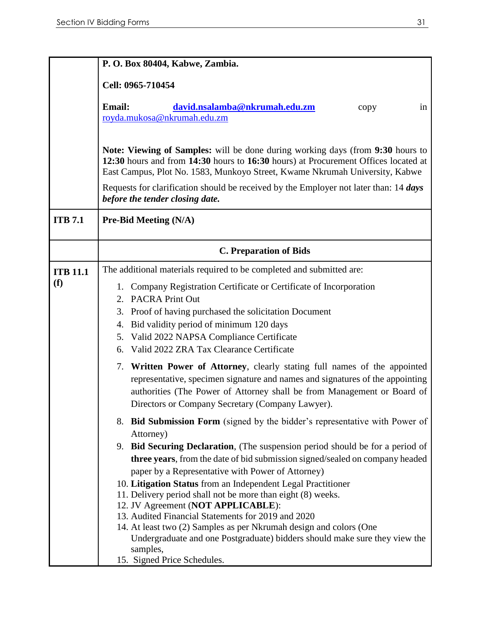|                 | P.O. Box 80404, Kabwe, Zambia.                                                                                                                                                                                                                                                            |
|-----------------|-------------------------------------------------------------------------------------------------------------------------------------------------------------------------------------------------------------------------------------------------------------------------------------------|
|                 | Cell: 0965-710454                                                                                                                                                                                                                                                                         |
|                 | <b>Email:</b><br>david.nsalamba@nkrumah.edu.zm<br>in<br>copy<br>royda.mukosa@nkrumah.edu.zm                                                                                                                                                                                               |
|                 | Note: Viewing of Samples: will be done during working days (from 9:30 hours to<br>12:30 hours and from 14:30 hours to 16:30 hours) at Procurement Offices located at<br>East Campus, Plot No. 1583, Munkoyo Street, Kwame Nkrumah University, Kabwe                                       |
|                 | Requests for clarification should be received by the Employer not later than: 14 days<br>before the tender closing date.                                                                                                                                                                  |
| <b>ITB</b> 7.1  | <b>Pre-Bid Meeting (N/A)</b>                                                                                                                                                                                                                                                              |
|                 | <b>C. Preparation of Bids</b>                                                                                                                                                                                                                                                             |
| <b>ITB 11.1</b> | The additional materials required to be completed and submitted are:                                                                                                                                                                                                                      |
| (f)             | 1. Company Registration Certificate or Certificate of Incorporation<br>2. PACRA Print Out<br>Proof of having purchased the solicitation Document<br>3.                                                                                                                                    |
|                 | Bid validity period of minimum 120 days<br>4.                                                                                                                                                                                                                                             |
|                 | Valid 2022 NAPSA Compliance Certificate<br>5.                                                                                                                                                                                                                                             |
|                 | Valid 2022 ZRA Tax Clearance Certificate<br>6.                                                                                                                                                                                                                                            |
|                 | 7. Written Power of Attorney, clearly stating full names of the appointed<br>representative, specimen signature and names and signatures of the appointing<br>authorities (The Power of Attorney shall be from Management or Board of<br>Directors or Company Secretary (Company Lawyer). |
|                 | 8. Bid Submission Form (signed by the bidder's representative with Power of<br>Attorney)                                                                                                                                                                                                  |
|                 | 9. Bid Securing Declaration, (The suspension period should be for a period of<br>three years, from the date of bid submission signed/sealed on company headed<br>paper by a Representative with Power of Attorney)                                                                        |
|                 | 10. Litigation Status from an Independent Legal Practitioner<br>11. Delivery period shall not be more than eight (8) weeks.                                                                                                                                                               |
|                 | 12. JV Agreement (NOT APPLICABLE):                                                                                                                                                                                                                                                        |
|                 | 13. Audited Financial Statements for 2019 and 2020                                                                                                                                                                                                                                        |
|                 | 14. At least two (2) Samples as per Nkrumah design and colors (One<br>Undergraduate and one Postgraduate) bidders should make sure they view the<br>samples,                                                                                                                              |
|                 | 15. Signed Price Schedules.                                                                                                                                                                                                                                                               |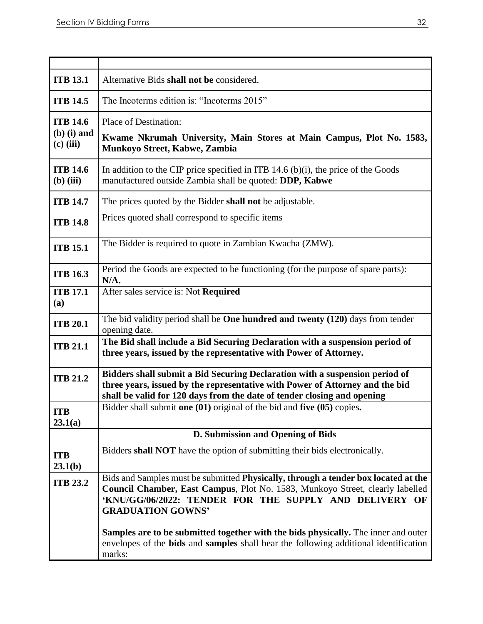| <b>ITB 13.1</b>                                 | Alternative Bids shall not be considered.                                                                                                                                                                                                                 |  |  |  |
|-------------------------------------------------|-----------------------------------------------------------------------------------------------------------------------------------------------------------------------------------------------------------------------------------------------------------|--|--|--|
| <b>ITB 14.5</b>                                 | The Incoterms edition is: "Incoterms 2015"                                                                                                                                                                                                                |  |  |  |
| <b>ITB 14.6</b><br>$(b)$ (i) and<br>$(c)$ (iii) | Place of Destination:<br>Kwame Nkrumah University, Main Stores at Main Campus, Plot No. 1583,<br>Munkoyo Street, Kabwe, Zambia                                                                                                                            |  |  |  |
| <b>ITB 14.6</b><br>$(b)$ (iii)                  | In addition to the CIP price specified in ITB 14.6 (b)(i), the price of the Goods<br>manufactured outside Zambia shall be quoted: DDP, Kabwe                                                                                                              |  |  |  |
| <b>ITB 14.7</b>                                 | The prices quoted by the Bidder shall not be adjustable.                                                                                                                                                                                                  |  |  |  |
| <b>ITB 14.8</b>                                 | Prices quoted shall correspond to specific items                                                                                                                                                                                                          |  |  |  |
| <b>ITB 15.1</b>                                 | The Bidder is required to quote in Zambian Kwacha (ZMW).                                                                                                                                                                                                  |  |  |  |
| <b>ITB 16.3</b>                                 | Period the Goods are expected to be functioning (for the purpose of spare parts):<br>N/A.                                                                                                                                                                 |  |  |  |
| <b>ITB 17.1</b><br>(a)                          | After sales service is: Not Required                                                                                                                                                                                                                      |  |  |  |
| <b>ITB 20.1</b>                                 | The bid validity period shall be One hundred and twenty (120) days from tender<br>opening date.                                                                                                                                                           |  |  |  |
| <b>ITB 21.1</b>                                 | The Bid shall include a Bid Securing Declaration with a suspension period of<br>three years, issued by the representative with Power of Attorney.                                                                                                         |  |  |  |
| <b>ITB 21.2</b>                                 | Bidders shall submit a Bid Securing Declaration with a suspension period of<br>three years, issued by the representative with Power of Attorney and the bid<br>shall be valid for 120 days from the date of tender closing and opening                    |  |  |  |
| <b>ITB</b><br>23.1(a)                           | Bidder shall submit one (01) original of the bid and five (05) copies.                                                                                                                                                                                    |  |  |  |
|                                                 | D. Submission and Opening of Bids                                                                                                                                                                                                                         |  |  |  |
| <b>ITB</b><br>23.1(b)                           | Bidders shall NOT have the option of submitting their bids electronically.                                                                                                                                                                                |  |  |  |
| <b>ITB 23.2</b>                                 | Bids and Samples must be submitted Physically, through a tender box located at the<br>Council Chamber, East Campus, Plot No. 1583, Munkoyo Street, clearly labelled<br>'KNU/GG/06/2022: TENDER FOR THE SUPPLY AND DELIVERY OF<br><b>GRADUATION GOWNS'</b> |  |  |  |
|                                                 | Samples are to be submitted together with the bids physically. The inner and outer<br>envelopes of the <b>bids</b> and <b>samples</b> shall bear the following additional identification<br>marks:                                                        |  |  |  |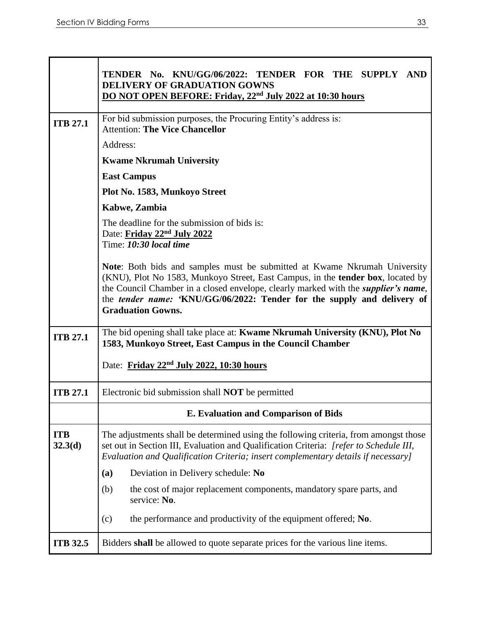|                       | TENDER No. KNU/GG/06/2022: TENDER FOR THE SUPPLY AND<br><b>DELIVERY OF GRADUATION GOWNS</b><br>DO NOT OPEN BEFORE: Friday, 22 <sup>nd</sup> July 2022 at 10:30 hours                                                                                                                                                                                                     |
|-----------------------|--------------------------------------------------------------------------------------------------------------------------------------------------------------------------------------------------------------------------------------------------------------------------------------------------------------------------------------------------------------------------|
|                       |                                                                                                                                                                                                                                                                                                                                                                          |
| <b>ITB 27.1</b>       | For bid submission purposes, the Procuring Entity's address is:<br><b>Attention: The Vice Chancellor</b>                                                                                                                                                                                                                                                                 |
|                       | Address:                                                                                                                                                                                                                                                                                                                                                                 |
|                       | <b>Kwame Nkrumah University</b>                                                                                                                                                                                                                                                                                                                                          |
|                       | <b>East Campus</b>                                                                                                                                                                                                                                                                                                                                                       |
|                       | Plot No. 1583, Munkoyo Street                                                                                                                                                                                                                                                                                                                                            |
|                       | Kabwe, Zambia                                                                                                                                                                                                                                                                                                                                                            |
|                       | The deadline for the submission of bids is:<br>Date: Friday 22 <sup>nd</sup> July 2022<br>Time: 10:30 local time                                                                                                                                                                                                                                                         |
|                       | Note: Both bids and samples must be submitted at Kwame Nkrumah University<br>(KNU), Plot No 1583, Munkoyo Street, East Campus, in the tender box, located by<br>the Council Chamber in a closed envelope, clearly marked with the <i>supplier's name</i> ,<br>the <i>tender name:</i> 'KNU/GG/06/2022: Tender for the supply and delivery of<br><b>Graduation Gowns.</b> |
| <b>ITB 27.1</b>       | The bid opening shall take place at: Kwame Nkrumah University (KNU), Plot No<br>1583, Munkoyo Street, East Campus in the Council Chamber                                                                                                                                                                                                                                 |
|                       | Date: Friday 22nd July 2022, 10:30 hours                                                                                                                                                                                                                                                                                                                                 |
| <b>ITB 27.1</b>       | Electronic bid submission shall <b>NOT</b> be permitted                                                                                                                                                                                                                                                                                                                  |
|                       | E. Evaluation and Comparison of Bids                                                                                                                                                                                                                                                                                                                                     |
| <b>ITB</b><br>32.3(d) | The adjustments shall be determined using the following criteria, from amongst those<br>set out in Section III, Evaluation and Qualification Criteria: [refer to Schedule III,<br>Evaluation and Qualification Criteria; insert complementary details if necessary]                                                                                                      |
|                       | Deviation in Delivery schedule: No<br>(a)                                                                                                                                                                                                                                                                                                                                |
|                       | the cost of major replacement components, mandatory spare parts, and<br>(b)<br>service: No.                                                                                                                                                                                                                                                                              |
|                       | the performance and productivity of the equipment offered; No.<br>(c)                                                                                                                                                                                                                                                                                                    |
| <b>ITB 32.5</b>       | Bidders shall be allowed to quote separate prices for the various line items.                                                                                                                                                                                                                                                                                            |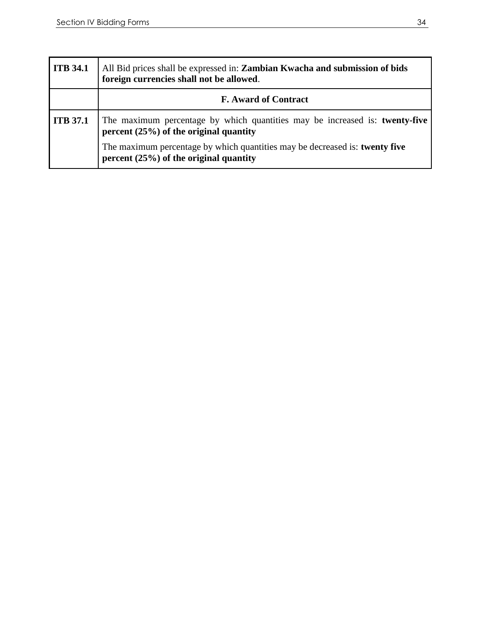| <b>ITB</b> 34.1 | All Bid prices shall be expressed in: <b>Zambian Kwacha and submission of bids</b><br>foreign currencies shall not be allowed. |
|-----------------|--------------------------------------------------------------------------------------------------------------------------------|
|                 | <b>F.</b> Award of Contract                                                                                                    |
| <b>ITB</b> 37.1 | The maximum percentage by which quantities may be increased is: twenty-five<br>percent $(25%)$ of the original quantity        |
|                 | The maximum percentage by which quantities may be decreased is: twenty five<br>percent $(25%)$ of the original quantity        |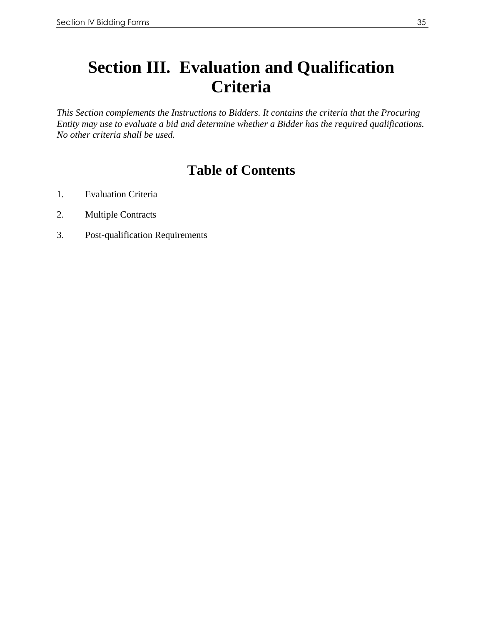# **Section III. Evaluation and Qualification Criteria**

*This Section complements the Instructions to Bidders. It contains the criteria that the Procuring Entity may use to evaluate a bid and determine whether a Bidder has the required qualifications. No other criteria shall be used.* 

## **Table of Contents**

- 1. Evaluation Criteria
- 2. Multiple Contracts
- 3. Post-qualification Requirements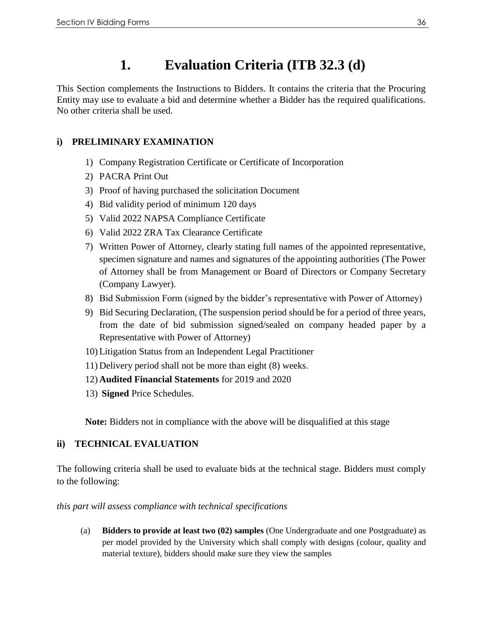## **1. Evaluation Criteria (ITB 32.3 (d)**

This Section complements the Instructions to Bidders. It contains the criteria that the Procuring Entity may use to evaluate a bid and determine whether a Bidder has the required qualifications. No other criteria shall be used.

#### **i) PRELIMINARY EXAMINATION**

- 1) Company Registration Certificate or Certificate of Incorporation
- 2) PACRA Print Out
- 3) Proof of having purchased the solicitation Document
- 4) Bid validity period of minimum 120 days
- 5) Valid 2022 NAPSA Compliance Certificate
- 6) Valid 2022 ZRA Tax Clearance Certificate
- 7) Written Power of Attorney, clearly stating full names of the appointed representative, specimen signature and names and signatures of the appointing authorities (The Power of Attorney shall be from Management or Board of Directors or Company Secretary (Company Lawyer).
- 8) Bid Submission Form (signed by the bidder's representative with Power of Attorney)
- 9) Bid Securing Declaration, (The suspension period should be for a period of three years, from the date of bid submission signed/sealed on company headed paper by a Representative with Power of Attorney)
- 10) Litigation Status from an Independent Legal Practitioner
- 11) Delivery period shall not be more than eight (8) weeks.
- 12) **Audited Financial Statements** for 2019 and 2020
- 13) **Signed** Price Schedules.

**Note:** Bidders not in compliance with the above will be disqualified at this stage

#### **ii) TECHNICAL EVALUATION**

The following criteria shall be used to evaluate bids at the technical stage. Bidders must comply to the following:

#### *this part will assess compliance with technical specifications*

(a) **Bidders to provide at least two (02) samples** (One Undergraduate and one Postgraduate) as per model provided by the University which shall comply with designs (colour, quality and material texture), bidders should make sure they view the samples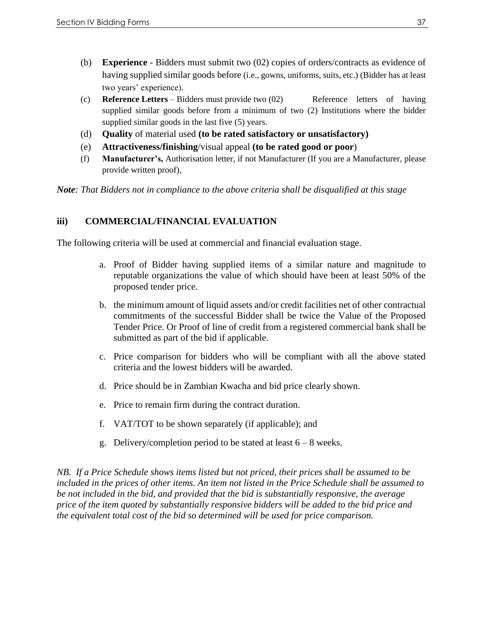- (b) **Experience** Bidders must submit two (02) copies of orders/contracts as evidence of having supplied similar goods before (i.e., gowns, uniforms, suits, etc.) (Bidder has at least two years' experience).
- (c) **Reference Letters** Bidders must provide two (02) Reference letters of having supplied similar goods before from a minimum of two (2) Institutions where the bidder supplied similar goods in the last five (5) years.
- (d) **Quality** of material used **(to be rated satisfactory or unsatisfactory)**
- (e) **Attractiveness/finishing**/visual appeal **(to be rated good or poor**)
- (f) **Manufacturer's,** Authorisation letter, if not Manufacturer (If you are a Manufacturer, please provide written proof),

*Note: That Bidders not in compliance to the above criteria shall be disqualified at this stage* 

#### **iii) COMMERCIAL/FINANCIAL EVALUATION**

The following criteria will be used at commercial and financial evaluation stage.

- a. Proof of Bidder having supplied items of a similar nature and magnitude to reputable organizations the value of which should have been at least 50% of the proposed tender price.
- b. the minimum amount of liquid assets and/or credit facilities net of other contractual commitments of the successful Bidder shall be twice the Value of the Proposed Tender Price. Or Proof of line of credit from a registered commercial bank shall be submitted as part of the bid if applicable.
- c. Price comparison for bidders who will be compliant with all the above stated criteria and the lowest bidders will be awarded.
- d. Price should be in Zambian Kwacha and bid price clearly shown.
- e. Price to remain firm during the contract duration.
- f. VAT/TOT to be shown separately (if applicable); and
- g. Delivery/completion period to be stated at least  $6 8$  weeks.

*NB. If a Price Schedule shows items listed but not priced, their prices shall be assumed to be included in the prices of other items. An item not listed in the Price Schedule shall be assumed to be not included in the bid, and provided that the bid is substantially responsive, the average price of the item quoted by substantially responsive bidders will be added to the bid price and the equivalent total cost of the bid so determined will be used for price comparison.*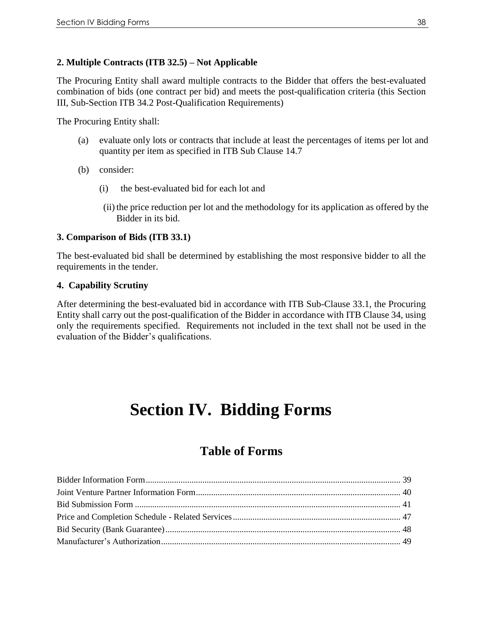#### **2. Multiple Contracts (ITB 32.5) – Not Applicable**

The Procuring Entity shall award multiple contracts to the Bidder that offers the best-evaluated combination of bids (one contract per bid) and meets the post-qualification criteria (this Section III, Sub-Section ITB 34.2 Post-Qualification Requirements)

The Procuring Entity shall:

- (a) evaluate only lots or contracts that include at least the percentages of items per lot and quantity per item as specified in ITB Sub Clause 14.7
- (b) consider:
	- (i) the best-evaluated bid for each lot and
	- (ii) the price reduction per lot and the methodology for its application as offered by the Bidder in its bid.

#### **3. Comparison of Bids (ITB 33.1)**

The best-evaluated bid shall be determined by establishing the most responsive bidder to all the requirements in the tender.

#### **4. Capability Scrutiny**

After determining the best-evaluated bid in accordance with ITB Sub-Clause 33.1, the Procuring Entity shall carry out the post-qualification of the Bidder in accordance with ITB Clause 34, using only the requirements specified. Requirements not included in the text shall not be used in the evaluation of the Bidder's qualifications.

# **Section IV. Bidding Forms**

### **Table of Forms**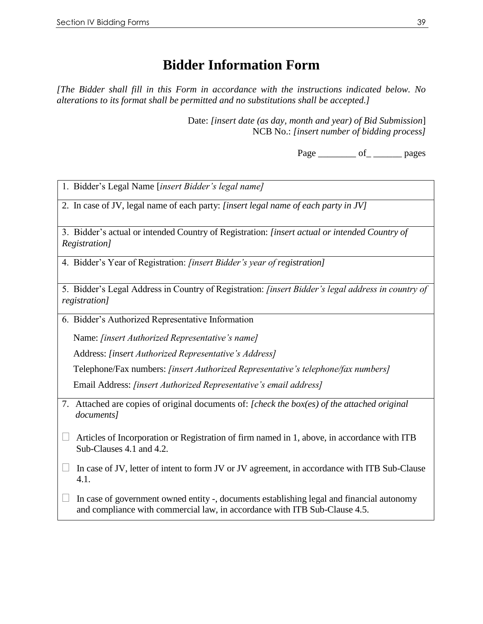### **Bidder Information Form**

*[The Bidder shall fill in this Form in accordance with the instructions indicated below. No alterations to its format shall be permitted and no substitutions shall be accepted.]*

> Date: *[insert date (as day, month and year) of Bid Submission*] NCB No.: *[insert number of bidding process]*

> > Page \_\_\_\_\_\_\_\_\_\_ of \_\_\_\_\_\_\_\_\_\_ pages

| 1. Bidder's Legal Name [insert Bidder's legal name]                                                                                                                     |  |  |  |  |  |
|-------------------------------------------------------------------------------------------------------------------------------------------------------------------------|--|--|--|--|--|
| 2. In case of JV, legal name of each party: [insert legal name of each party in JV]                                                                                     |  |  |  |  |  |
| 3. Bidder's actual or intended Country of Registration: [insert actual or intended Country of<br>Registration]                                                          |  |  |  |  |  |
| 4. Bidder's Year of Registration: [insert Bidder's year of registration]                                                                                                |  |  |  |  |  |
| 5. Bidder's Legal Address in Country of Registration: [insert Bidder's legal address in country of<br><i>registration</i> ]                                             |  |  |  |  |  |
| 6. Bidder's Authorized Representative Information                                                                                                                       |  |  |  |  |  |
| Name: <i>[insert Authorized Representative's name]</i>                                                                                                                  |  |  |  |  |  |
| Address: [insert Authorized Representative's Address]                                                                                                                   |  |  |  |  |  |
| Telephone/Fax numbers: [insert Authorized Representative's telephone/fax numbers]                                                                                       |  |  |  |  |  |
| Email Address: <i>[insert Authorized Representative's email address]</i>                                                                                                |  |  |  |  |  |
| 7. Attached are copies of original documents of: [check the box(es) of the attached original<br>documents]                                                              |  |  |  |  |  |
| Articles of Incorporation or Registration of firm named in 1, above, in accordance with ITB<br>Sub-Clauses 4.1 and 4.2.                                                 |  |  |  |  |  |
| In case of JV, letter of intent to form JV or JV agreement, in accordance with ITB Sub-Clause<br>4.1.                                                                   |  |  |  |  |  |
| In case of government owned entity -, documents establishing legal and financial autonomy<br>and compliance with commercial law, in accordance with ITB Sub-Clause 4.5. |  |  |  |  |  |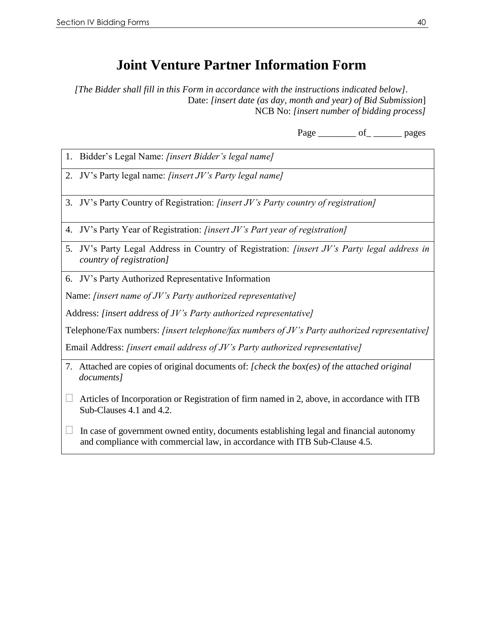### **Joint Venture Partner Information Form**

*[The Bidder shall fill in this Form in accordance with the instructions indicated below].* Date: *[insert date (as day, month and year) of Bid Submission*] NCB No: *[insert number of bidding process]*

Page \_\_\_\_\_\_\_\_ of \_\_\_\_\_\_\_\_\_ pages

- 1. Bidder's Legal Name: *[insert Bidder's legal name]*
- 2. JV's Party legal name: *[insert JV's Party legal name]*
- 3. JV's Party Country of Registration: *[insert JV's Party country of registration]*
- 4. JV's Party Year of Registration: *[insert JV's Part year of registration]*
- 5. JV's Party Legal Address in Country of Registration: *[insert JV's Party legal address in country of registration]*
- 6. JV's Party Authorized Representative Information

Name: *[insert name of JV's Party authorized representative]*

Address: *[insert address of JV's Party authorized representative]*

Telephone/Fax numbers: *[insert telephone/fax numbers of JV's Party authorized representative]*

Email Address: *[insert email address of JV's Party authorized representative]*

- 7. Attached are copies of original documents of: *[check the box(es) of the attached original documents]*
- $\Box$  Articles of Incorporation or Registration of firm named in 2, above, in accordance with ITB Sub-Clauses 4.1 and 4.2.
- $\Box$  In case of government owned entity, documents establishing legal and financial autonomy and compliance with commercial law, in accordance with ITB Sub-Clause 4.5.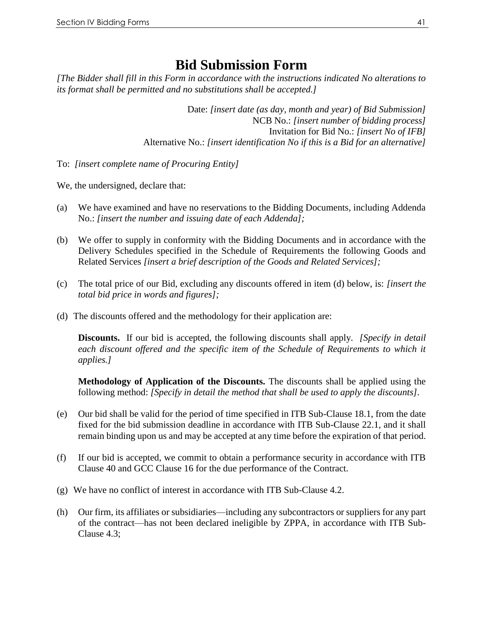### **Bid Submission Form**

*[The Bidder shall fill in this Form in accordance with the instructions indicated No alterations to its format shall be permitted and no substitutions shall be accepted.]*

> Date: *[insert date (as day, month and year) of Bid Submission]* NCB No.: *[insert number of bidding process]* Invitation for Bid No.: *[insert No of IFB]* Alternative No.: *[insert identification No if this is a Bid for an alternative]*

To: *[insert complete name of Procuring Entity]*

We, the undersigned, declare that:

- (a) We have examined and have no reservations to the Bidding Documents, including Addenda No.: *[insert the number and issuing date of each Addenda];*
- (b) We offer to supply in conformity with the Bidding Documents and in accordance with the Delivery Schedules specified in the Schedule of Requirements the following Goods and Related Services *[insert a brief description of the Goods and Related Services];*
- (c) The total price of our Bid, excluding any discounts offered in item (d) below, is: *[insert the total bid price in words and figures];*
- (d) The discounts offered and the methodology for their application are:

**Discounts.** If our bid is accepted, the following discounts shall apply.*[Specify in detail each discount offered and the specific item of the Schedule of Requirements to which it applies.]* 

**Methodology of Application of the Discounts.** The discounts shall be applied using the following method: *[Specify in detail the method that shall be used to apply the discounts].*

- (e) Our bid shall be valid for the period of time specified in ITB Sub-Clause 18.1, from the date fixed for the bid submission deadline in accordance with ITB Sub-Clause 22.1, and it shall remain binding upon us and may be accepted at any time before the expiration of that period.
- (f) If our bid is accepted, we commit to obtain a performance security in accordance with ITB Clause 40 and GCC Clause 16 for the due performance of the Contract.
- (g) We have no conflict of interest in accordance with ITB Sub-Clause 4.2.
- (h) Our firm, its affiliates or subsidiaries—including any subcontractors or suppliers for any part of the contract—has not been declared ineligible by ZPPA, in accordance with ITB Sub-Clause 4.3;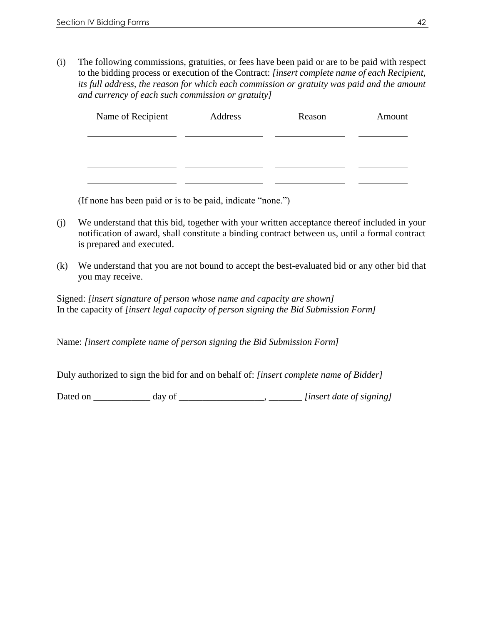(i) The following commissions, gratuities, or fees have been paid or are to be paid with respect to the bidding process or execution of the Contract: *[insert complete name of each Recipient, its full address, the reason for which each commission or gratuity was paid and the amount and currency of each such commission or gratuity]*

| Name of Recipient | Address | Reason | Amount |
|-------------------|---------|--------|--------|
|                   |         |        |        |
|                   |         |        |        |
|                   |         |        |        |
|                   |         |        |        |

(If none has been paid or is to be paid, indicate "none.")

- (j) We understand that this bid, together with your written acceptance thereof included in your notification of award, shall constitute a binding contract between us, until a formal contract is prepared and executed.
- (k) We understand that you are not bound to accept the best-evaluated bid or any other bid that you may receive.

Signed: *[insert signature of person whose name and capacity are shown]* In the capacity of *[insert legal capacity of person signing the Bid Submission Form]*

Name: *[insert complete name of person signing the Bid Submission Form]*

Duly authorized to sign the bid for and on behalf of: *[insert complete name of Bidder]*

Dated on \_\_\_\_\_\_\_\_\_\_\_\_ day of \_\_\_\_\_\_\_\_\_\_\_\_\_\_\_\_\_\_, \_\_\_\_\_\_\_ *[insert date of signing]*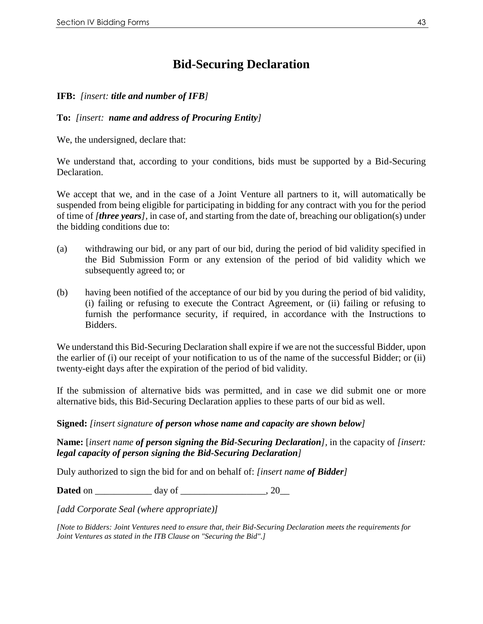### **Bid-Securing Declaration**

**IFB:** *[insert: title and number of IFB]*

**To:** *[insert: name and address of Procuring Entity]*

We, the undersigned, declare that:

We understand that, according to your conditions, bids must be supported by a Bid-Securing Declaration.

We accept that we, and in the case of a Joint Venture all partners to it, will automatically be suspended from being eligible for participating in bidding for any contract with you for the period of time of *[three years],* in case of, and starting from the date of, breaching our obligation(s) under the bidding conditions due to:

- (a) withdrawing our bid, or any part of our bid, during the period of bid validity specified in the Bid Submission Form or any extension of the period of bid validity which we subsequently agreed to; or
- (b) having been notified of the acceptance of our bid by you during the period of bid validity, (i) failing or refusing to execute the Contract Agreement, or (ii) failing or refusing to furnish the performance security, if required, in accordance with the Instructions to Bidders.

We understand this Bid-Securing Declaration shall expire if we are not the successful Bidder, upon the earlier of (i) our receipt of your notification to us of the name of the successful Bidder; or (ii) twenty-eight days after the expiration of the period of bid validity.

If the submission of alternative bids was permitted, and in case we did submit one or more alternative bids, this Bid-Securing Declaration applies to these parts of our bid as well.

#### **Signed:** *[insert signature of person whose name and capacity are shown below]*

**Name:** [*insert name of person signing the Bid-Securing Declaration],* in the capacity of *[insert: legal capacity of person signing the Bid-Securing Declaration]*

Duly authorized to sign the bid for and on behalf of: *[insert name of Bidder]*

**Dated** on \_\_\_\_\_\_\_\_\_\_\_\_\_\_\_\_\_\_\_\_\_ day of . 20

*[add Corporate Seal (where appropriate)]*

*[Note to Bidders: Joint Ventures need to ensure that, their Bid-Securing Declaration meets the requirements for Joint Ventures as stated in the ITB Clause on "Securing the Bid".]*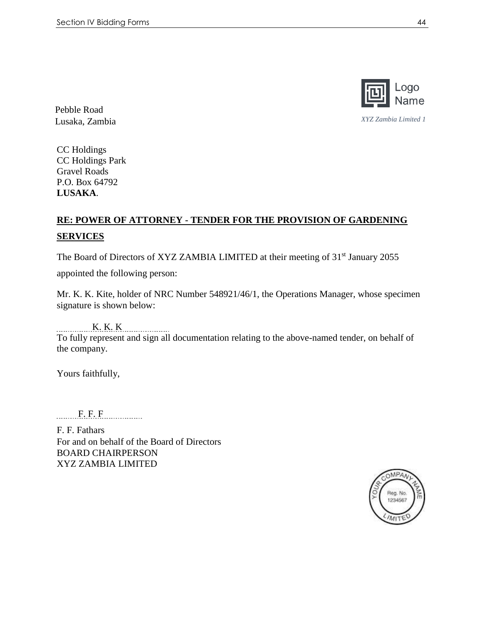

Pebble Road Lusaka, Zambia *XYZ Zambia Limited 1*

CC Holdings CC Holdings Park Gravel Roads P.O. Box 64792 **LUSAKA**.

### **RE: POWER OF ATTORNEY - TENDER FOR THE PROVISION OF GARDENING SERVICES**

The Board of Directors of XYZ ZAMBIA LIMITED at their meeting of 31<sup>st</sup> January 2055

appointed the following person:

Mr. K. K. Kite, holder of NRC Number 548921/46/1, the Operations Manager, whose specimen signature is shown below:

 K. K. K To fully represent and sign all documentation relating to the above-named tender, on behalf of the company.

Yours faithfully,

F. F. F

F. F. Fathars For and on behalf of the Board of Directors BOARD CHAIRPERSON XYZ ZAMBIA LIMITED

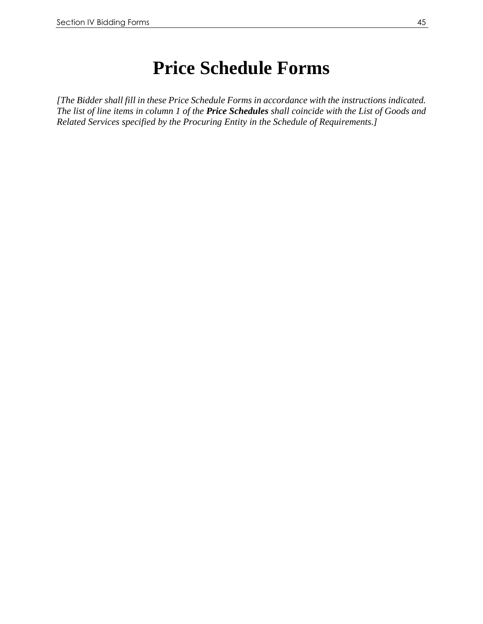# **Price Schedule Forms**

*[The Bidder shall fill in these Price Schedule Forms in accordance with the instructions indicated. The list of line items in column 1 of the Price Schedules shall coincide with the List of Goods and Related Services specified by the Procuring Entity in the Schedule of Requirements.]*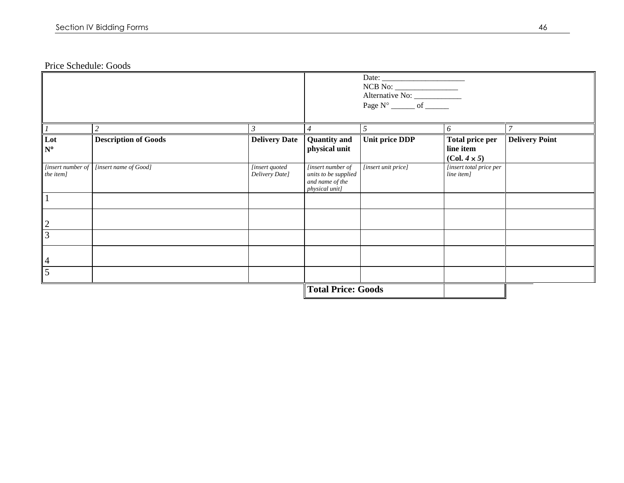Price Schedule: Goods

|                                |                             |                                  | <b>Total Price: Goods</b>                                                      |                                       |                                                            |                       |
|--------------------------------|-----------------------------|----------------------------------|--------------------------------------------------------------------------------|---------------------------------------|------------------------------------------------------------|-----------------------|
| 5                              |                             |                                  |                                                                                |                                       |                                                            |                       |
| $\overline{4}$                 |                             |                                  |                                                                                |                                       |                                                            |                       |
| $\overline{3}$                 |                             |                                  |                                                                                |                                       |                                                            |                       |
| $\sqrt{2}$                     |                             |                                  |                                                                                |                                       |                                                            |                       |
|                                |                             |                                  |                                                                                |                                       |                                                            |                       |
| [insert number of<br>the item] | [insert name of Good]       | [insert quoted<br>Delivery Date] | [insert number of<br>units to be supplied<br>and name of the<br>physical unit] | [insert unit price]                   | [insert total price per<br>line item]                      |                       |
| Lot<br>$N^{\circ}$             | <b>Description of Goods</b> | <b>Delivery Date</b>             | <b>Quantity</b> and<br>physical unit                                           | <b>Unit price DDP</b>                 | <b>Total price per</b><br>line item<br>$(Col. 4 \times 5)$ | <b>Delivery Point</b> |
|                                |                             | 3                                |                                                                                |                                       | 6                                                          |                       |
|                                |                             |                                  |                                                                                | Page $N^{\circ}$ ________ of ________ |                                                            |                       |
|                                |                             |                                  |                                                                                |                                       |                                                            |                       |
|                                |                             |                                  |                                                                                |                                       |                                                            |                       |
|                                |                             |                                  |                                                                                |                                       |                                                            |                       |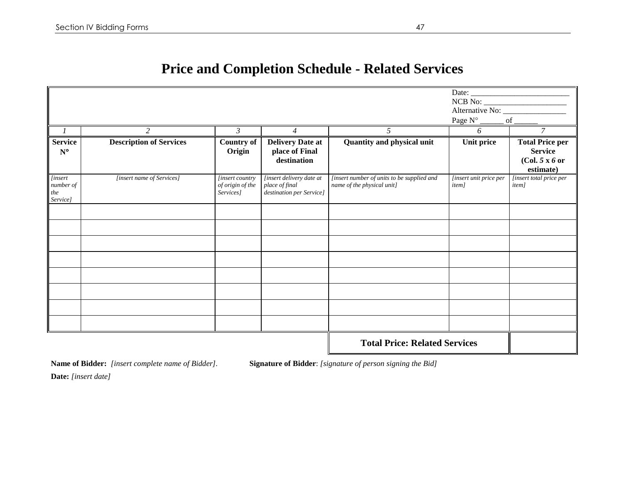## **Price and Completion Schedule - Related Services**

|                                               | $\overline{c}$                 | $\mathfrak{Z}$                                          | $\overline{4}$                                                         | 5                                                                        | NCB No:<br>Page N°<br>6                 | Alternative No: _________________<br>of<br>$\overline{7}$ |
|-----------------------------------------------|--------------------------------|---------------------------------------------------------|------------------------------------------------------------------------|--------------------------------------------------------------------------|-----------------------------------------|-----------------------------------------------------------|
| $\boldsymbol{l}$<br><b>Service</b>            | <b>Description of Services</b> | <b>Country of</b>                                       | <b>Delivery Date at</b>                                                | Quantity and physical unit                                               | Unit price                              | <b>Total Price per</b>                                    |
| $N^{\circ}$                                   |                                | Origin                                                  | place of Final<br>destination                                          |                                                                          |                                         | <b>Service</b><br>(Col. 5 x 6 or<br>estimate)             |
| [insert<br>number of<br>$\it the$<br>Service] | [insert name of Services]      | <i>finsert country</i><br>of origin of the<br>Services] | [insert delivery date at<br>place of final<br>destination per Service] | [insert number of units to be supplied and<br>name of the physical unit] | [insert unit price per<br><i>item</i> ] | [insert total price per<br>item]                          |
|                                               |                                |                                                         |                                                                        |                                                                          |                                         |                                                           |
|                                               |                                |                                                         |                                                                        |                                                                          |                                         |                                                           |
|                                               |                                |                                                         |                                                                        |                                                                          |                                         |                                                           |
|                                               |                                |                                                         |                                                                        |                                                                          |                                         |                                                           |
|                                               |                                |                                                         |                                                                        |                                                                          |                                         |                                                           |
|                                               |                                |                                                         |                                                                        |                                                                          |                                         |                                                           |
|                                               |                                |                                                         |                                                                        |                                                                          |                                         |                                                           |
|                                               |                                |                                                         |                                                                        |                                                                          |                                         |                                                           |
|                                               |                                |                                                         |                                                                        | <b>Total Price: Related Services</b>                                     |                                         |                                                           |

**Name of Bidder:** *[insert complete name of Bidder].* **Signature of Bidder**: *[signature of person signing the Bid]* 

**Date:** *[insert date]*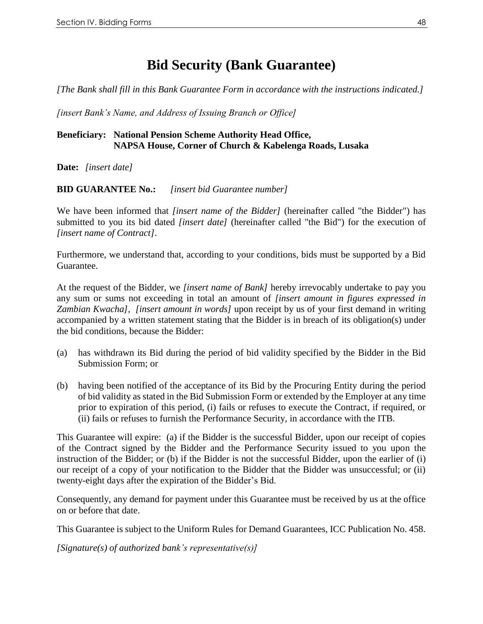## **Bid Security (Bank Guarantee)**

*[The Bank shall fill in this Bank Guarantee Form in accordance with the instructions indicated.]*

*[insert Bank's Name, and Address of Issuing Branch or Office]*

#### **Beneficiary: National Pension Scheme Authority Head Office, NAPSA House, Corner of Church & Kabelenga Roads, Lusaka**

**Date:** *[insert date]*

**BID GUARANTEE No.:** *[insert bid Guarantee number]*

We have been informed that *[insert name of the Bidder]* (hereinafter called "the Bidder") has submitted to you its bid dated *[insert date]* (hereinafter called "the Bid") for the execution of *[insert name of Contract]*.

Furthermore, we understand that, according to your conditions, bids must be supported by a Bid Guarantee.

At the request of the Bidder, we *[insert name of Bank]* hereby irrevocably undertake to pay you any sum or sums not exceeding in total an amount of *[insert amount in figures expressed in Zambian Kwacha], [insert amount in words]* upon receipt by us of your first demand in writing accompanied by a written statement stating that the Bidder is in breach of its obligation(s) under the bid conditions, because the Bidder:

- (a) has withdrawn its Bid during the period of bid validity specified by the Bidder in the Bid Submission Form; or
- (b) having been notified of the acceptance of its Bid by the Procuring Entity during the period of bid validity as stated in the Bid Submission Form or extended by the Employer at any time prior to expiration of this period, (i) fails or refuses to execute the Contract, if required, or (ii) fails or refuses to furnish the Performance Security, in accordance with the ITB.

This Guarantee will expire: (a) if the Bidder is the successful Bidder, upon our receipt of copies of the Contract signed by the Bidder and the Performance Security issued to you upon the instruction of the Bidder; or (b) if the Bidder is not the successful Bidder, upon the earlier of (i) our receipt of a copy of your notification to the Bidder that the Bidder was unsuccessful; or (ii) twenty-eight days after the expiration of the Bidder's Bid.

Consequently, any demand for payment under this Guarantee must be received by us at the office on or before that date.

This Guarantee is subject to the Uniform Rules for Demand Guarantees, ICC Publication No. 458.

*[Signature(s) of authorized bank's representative(s)]*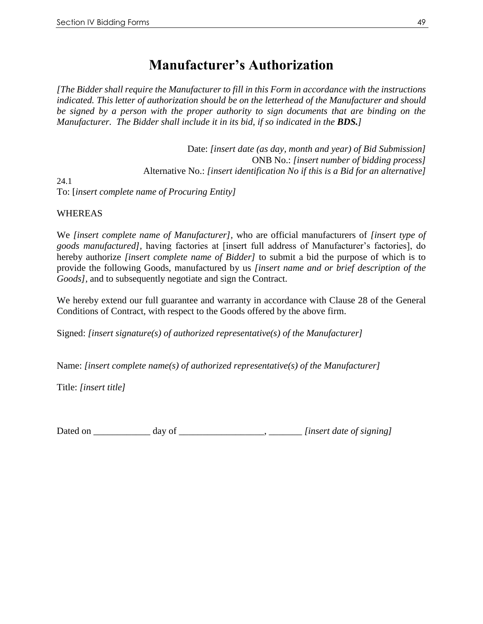### **Manufacturer's Authorization**

*[The Bidder shall require the Manufacturer to fill in this Form in accordance with the instructions indicated. This letter of authorization should be on the letterhead of the Manufacturer and should be signed by a person with the proper authority to sign documents that are binding on the Manufacturer. The Bidder shall include it in its bid, if so indicated in the BDS.]*

Date: *[insert date (as day, month and year) of Bid Submission]* ONB No.: *[insert number of bidding process]* Alternative No.: *[insert identification No if this is a Bid for an alternative]* 24.1

To: [*insert complete name of Procuring Entity]*

#### WHEREAS

We *[insert complete name of Manufacturer],* who are official manufacturers of *[insert type of goods manufactured],* having factories at [insert full address of Manufacturer's factories], do hereby authorize *[insert complete name of Bidder]* to submit a bid the purpose of which is to provide the following Goods, manufactured by us *[insert name and or brief description of the Goods],* and to subsequently negotiate and sign the Contract.

We hereby extend our full guarantee and warranty in accordance with Clause 28 of the General Conditions of Contract, with respect to the Goods offered by the above firm.

Signed: *[insert signature(s) of authorized representative(s) of the Manufacturer]* 

Name: *[insert complete name(s) of authorized representative(s) of the Manufacturer]*

Title: *[insert title]*

Dated on \_\_\_\_\_\_\_\_\_\_\_\_ day of \_\_\_\_\_\_\_\_\_\_\_\_\_\_\_\_\_\_\_\_\_\_\_*\_\_\_\_\_\_\_\_\_\_\_ [insert date of signing]*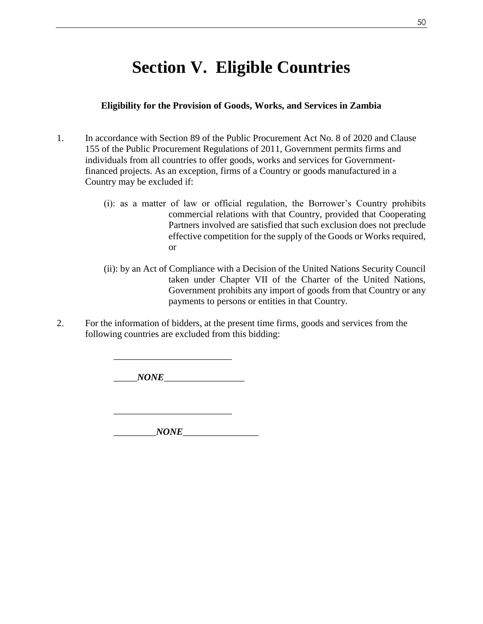# **Section V. Eligible Countries**

#### **Eligibility for the Provision of Goods, Works, and Services in Zambia**

- 1. In accordance with Section 89 of the Public Procurement Act No. 8 of 2020 and Clause 155 of the Public Procurement Regulations of 2011, Government permits firms and individuals from all countries to offer goods, works and services for Governmentfinanced projects. As an exception, firms of a Country or goods manufactured in a Country may be excluded if:
	- (i): as a matter of law or official regulation, the Borrower's Country prohibits commercial relations with that Country, provided that Cooperating Partners involved are satisfied that such exclusion does not preclude effective competition for the supply of the Goods or Works required, or
	- (ii): by an Act of Compliance with a Decision of the United Nations Security Council taken under Chapter VII of the Charter of the United Nations, Government prohibits any import of goods from that Country or any payments to persons or entities in that Country.
- 2. For the information of bidders, at the present time firms, goods and services from the following countries are excluded from this bidding:

\_\_\_\_\_*NONE*\_\_\_\_\_\_\_\_\_\_\_\_\_\_\_\_\_

\_\_\_\_\_\_\_\_\_\_\_\_\_\_\_\_\_\_\_\_\_\_\_\_\_

\_\_\_\_\_\_\_\_\_\_\_\_\_\_\_\_\_\_\_\_\_\_\_\_\_

 $NONE$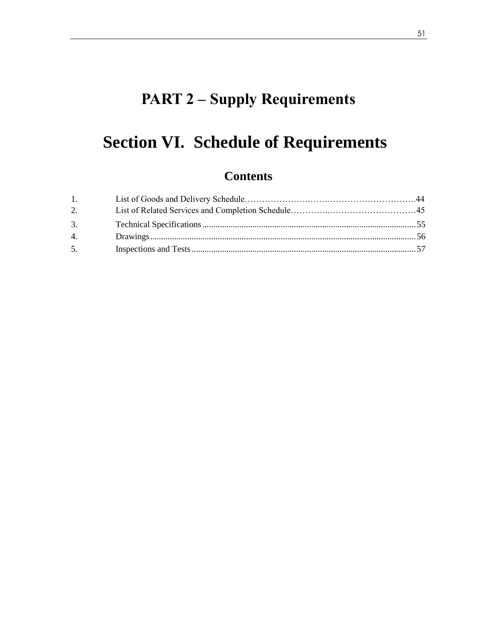# **PART 2 – Supply Requirements**

# **Section VI. Schedule of Requirements**

### **Contents**

| 1. |  |
|----|--|
| 2. |  |
| 3. |  |
| 4. |  |
| 5. |  |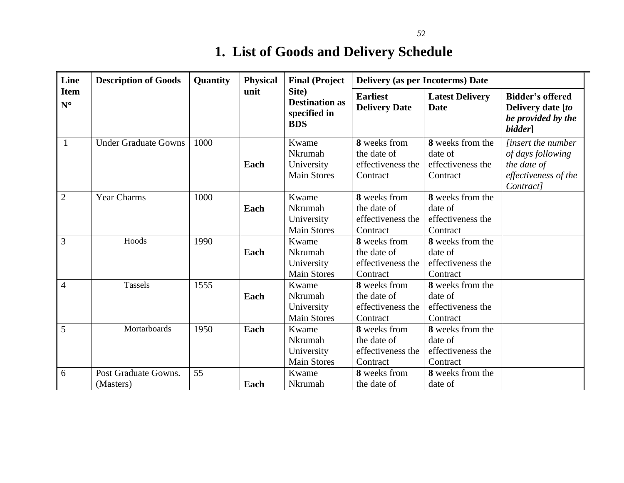# **1. List of Goods and Delivery Schedule**

| Line                       | <b>Description of Goods</b>       | <b>Quantity</b> | <b>Physical</b> | <b>Final (Project</b>                                        | <b>Delivery (as per Incoterms) Date</b>                      |                                                              |                                                                                                    |
|----------------------------|-----------------------------------|-----------------|-----------------|--------------------------------------------------------------|--------------------------------------------------------------|--------------------------------------------------------------|----------------------------------------------------------------------------------------------------|
| <b>Item</b><br>$N^{\circ}$ |                                   |                 | unit            | Site)<br><b>Destination as</b><br>specified in<br><b>BDS</b> | <b>Earliest</b><br><b>Delivery Date</b>                      | <b>Latest Delivery</b><br><b>Date</b>                        | <b>Bidder's offered</b><br>Delivery date [to<br>be provided by the<br>bidder]                      |
| $\mathbf{1}$               | <b>Under Graduate Gowns</b>       | 1000            | Each            | Kwame<br>Nkrumah<br>University<br><b>Main Stores</b>         | 8 weeks from<br>the date of<br>effectiveness the<br>Contract | 8 weeks from the<br>date of<br>effectiveness the<br>Contract | <i>linsert the number</i><br>of days following<br>the date of<br>effectiveness of the<br>Contract] |
| $\overline{2}$             | <b>Year Charms</b>                | 1000            | Each            | Kwame<br>Nkrumah<br>University<br><b>Main Stores</b>         | 8 weeks from<br>the date of<br>effectiveness the<br>Contract | 8 weeks from the<br>date of<br>effectiveness the<br>Contract |                                                                                                    |
| 3                          | Hoods                             | 1990            | Each            | Kwame<br>Nkrumah<br>University<br><b>Main Stores</b>         | 8 weeks from<br>the date of<br>effectiveness the<br>Contract | 8 weeks from the<br>date of<br>effectiveness the<br>Contract |                                                                                                    |
| $\overline{4}$             | Tassels                           | 1555            | Each            | Kwame<br>Nkrumah<br>University<br><b>Main Stores</b>         | 8 weeks from<br>the date of<br>effectiveness the<br>Contract | 8 weeks from the<br>date of<br>effectiveness the<br>Contract |                                                                                                    |
| 5                          | Mortarboards                      | 1950            | Each            | Kwame<br>Nkrumah<br>University<br><b>Main Stores</b>         | 8 weeks from<br>the date of<br>effectiveness the<br>Contract | 8 weeks from the<br>date of<br>effectiveness the<br>Contract |                                                                                                    |
| 6                          | Post Graduate Gowns.<br>(Masters) | 55              | Each            | Kwame<br>Nkrumah                                             | 8 weeks from<br>the date of                                  | 8 weeks from the<br>date of                                  |                                                                                                    |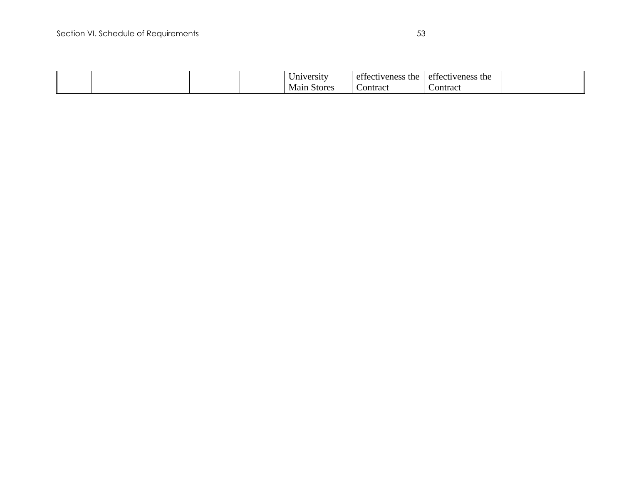|  | <b>Jniversity</b> | the<br>ette<br>ectivenes: | $\sim$<br>effectiveness the |  |
|--|-------------------|---------------------------|-----------------------------|--|
|  | Stores<br>Main    | ~<br>ontract              | Contract                    |  |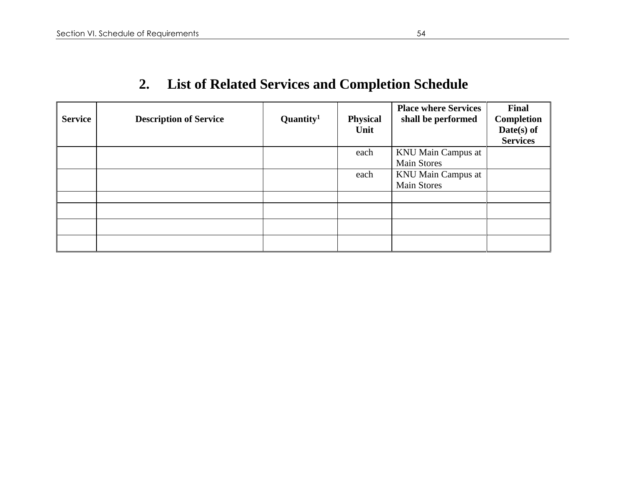| <b>Service</b> | <b>Description of Service</b> | $\mathbf{Quantity}^1$ | <b>Physical</b><br>Unit | <b>Place where Services</b><br>shall be performed | Final<br>Completion<br>Date(s) of<br><b>Services</b> |
|----------------|-------------------------------|-----------------------|-------------------------|---------------------------------------------------|------------------------------------------------------|
|                |                               |                       | each                    | <b>KNU Main Campus at</b><br><b>Main Stores</b>   |                                                      |
|                |                               |                       | each                    | <b>KNU Main Campus at</b><br><b>Main Stores</b>   |                                                      |
|                |                               |                       |                         |                                                   |                                                      |
|                |                               |                       |                         |                                                   |                                                      |
|                |                               |                       |                         |                                                   |                                                      |

## **2. List of Related Services and Completion Schedule**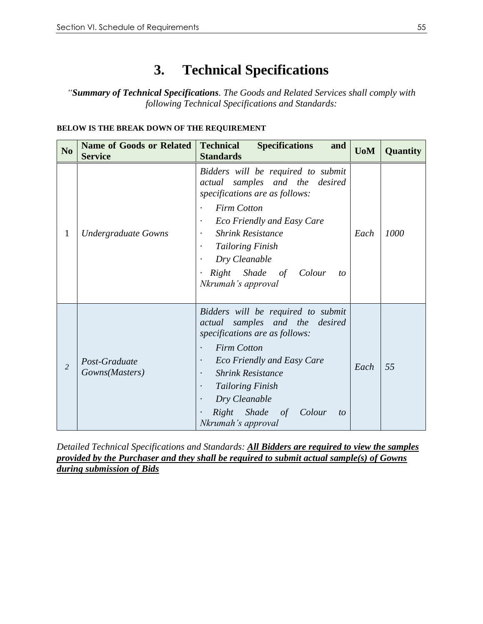## **3. Technical Specifications**

*"Summary of Technical Specifications. The Goods and Related Services shall comply with following Technical Specifications and Standards:*

#### **BELOW IS THE BREAK DOWN OF THE REQUIREMENT**

| N <sub>0</sub> | <b>Name of Goods or Related</b><br><b>Service</b> | <b>Technical</b><br><b>Specifications</b><br>and<br><b>Standards</b>                                                                                                                                                                                                                                                                           | <b>UoM</b> | Quantity |
|----------------|---------------------------------------------------|------------------------------------------------------------------------------------------------------------------------------------------------------------------------------------------------------------------------------------------------------------------------------------------------------------------------------------------------|------------|----------|
| 1              | <b>Undergraduate Gowns</b>                        | Bidders will be required to submit<br>samples and the desired<br>actual<br>specifications are as follows:<br><b>Firm Cotton</b><br><b>Eco Friendly and Easy Care</b><br>$\cdot$<br><b>Shrink Resistance</b><br>$\bullet$<br><b>Tailoring Finish</b><br>$\bullet$<br>Dry Cleanable<br>Right Shade of Colour<br>to<br>Nkrumah's approval         | Each       | 1000     |
| $\overline{2}$ | Post-Graduate<br>Gowns(Masters)                   | Bidders will be required to submit<br>samples and the<br>desired<br>actual<br>specifications are as follows:<br><b>Firm Cotton</b><br><b>Eco Friendly and Easy Care</b><br>$\bullet$<br><b>Shrink Resistance</b><br>$\bullet$<br><b>Tailoring Finish</b><br>$\bullet$<br>Dry Cleanable<br>Shade of Colour<br>Right<br>to<br>Nkrumah's approval | Each       | 55       |

*Detailed Technical Specifications and Standards: All Bidders are required to view the samples provided by the Purchaser and they shall be required to submit actual sample(s) of Gowns during submission of Bids*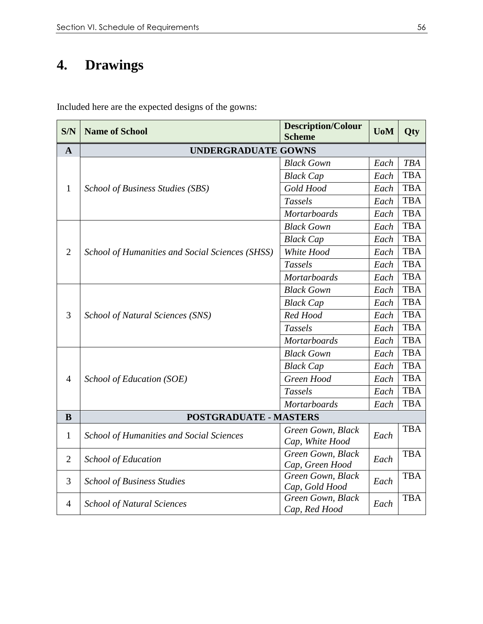## **4. Drawings**

Included here are the expected designs of the gowns:

| S/N            | <b>Name of School</b>                           | <b>Description/Colour</b><br><b>Scheme</b> | <b>UoM</b> | Qty        |
|----------------|-------------------------------------------------|--------------------------------------------|------------|------------|
| $\mathbf{A}$   | <b>UNDERGRADUATE GOWNS</b>                      |                                            |            |            |
|                |                                                 | <b>Black Gown</b>                          | Each       | <b>TBA</b> |
|                |                                                 | <b>Black Cap</b>                           | Each       | <b>TBA</b> |
| $\mathbf{1}$   | School of Business Studies (SBS)                | Gold Hood                                  | Each       | <b>TBA</b> |
|                |                                                 | <b>Tassels</b>                             | Each       | <b>TBA</b> |
|                |                                                 | <b>Mortarboards</b>                        | Each       | <b>TBA</b> |
|                |                                                 | <b>Black Gown</b>                          | Each       | <b>TBA</b> |
|                |                                                 | <b>Black Cap</b>                           | Each       | <b>TBA</b> |
| $\overline{2}$ | School of Humanities and Social Sciences (SHSS) | White Hood                                 | Each       | <b>TBA</b> |
|                |                                                 | <b>Tassels</b>                             | Each       | <b>TBA</b> |
|                |                                                 | <b>Mortarboards</b>                        | Each       | <b>TBA</b> |
|                |                                                 | <b>Black Gown</b>                          | Each       | <b>TBA</b> |
|                | School of Natural Sciences (SNS)                | <b>Black Cap</b>                           | Each       | <b>TBA</b> |
| 3              |                                                 | Red Hood                                   | Each       | <b>TBA</b> |
|                |                                                 | <b>Tassels</b>                             | Each       | <b>TBA</b> |
|                |                                                 | <b>Mortarboards</b>                        | Each       | <b>TBA</b> |
|                |                                                 | <b>Black Gown</b>                          | Each       | <b>TBA</b> |
|                |                                                 | <b>Black Cap</b>                           | Each       | <b>TBA</b> |
| $\overline{4}$ | School of Education (SOE)                       | Green Hood                                 | Each       | <b>TBA</b> |
|                |                                                 | <b>Tassels</b>                             | Each       | <b>TBA</b> |
|                |                                                 | <b>Mortarboards</b>                        | Each       | <b>TBA</b> |
| B              | <b>POSTGRADUATE - MASTERS</b>                   |                                            |            |            |
| $\mathbf{1}$   | <b>School of Humanities and Social Sciences</b> | Green Gown, Black                          | Each       | <b>TBA</b> |
|                |                                                 | Cap, White Hood                            |            |            |
| $\overline{2}$ | <b>School of Education</b>                      | Green Gown, Black                          | Each       | <b>TBA</b> |
|                |                                                 | Cap, Green Hood                            |            |            |
| 3              | <b>School of Business Studies</b>               | Green Gown, Black<br>Cap, Gold Hood        | Each       | <b>TBA</b> |
|                |                                                 | Green Gown, Black                          |            | <b>TBA</b> |
| $\overline{4}$ | <b>School of Natural Sciences</b>               | Cap, Red Hood                              | Each       |            |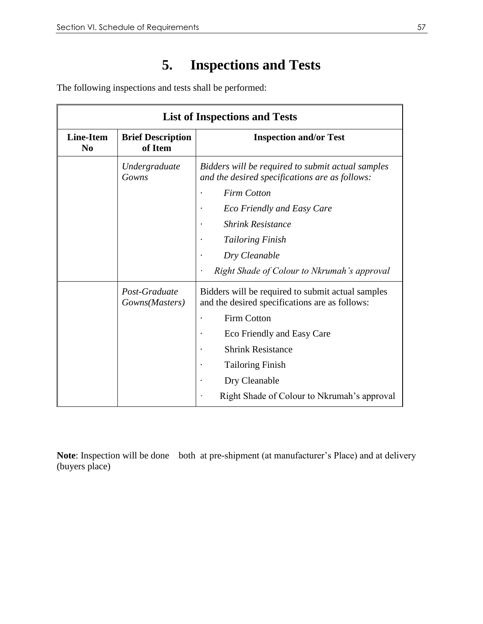## **5. Inspections and Tests**

The following inspections and tests shall be performed:

|                                    | <b>List of Inspections and Tests</b> |                                                                                                     |  |  |  |
|------------------------------------|--------------------------------------|-----------------------------------------------------------------------------------------------------|--|--|--|
| <b>Line-Item</b><br>N <sub>0</sub> | <b>Brief Description</b><br>of Item  | <b>Inspection and/or Test</b>                                                                       |  |  |  |
|                                    | Undergraduate<br>Gowns               | Bidders will be required to submit actual samples<br>and the desired specifications are as follows: |  |  |  |
|                                    |                                      | <b>Firm Cotton</b>                                                                                  |  |  |  |
|                                    |                                      | <b>Eco Friendly and Easy Care</b>                                                                   |  |  |  |
|                                    |                                      | <b>Shrink Resistance</b>                                                                            |  |  |  |
|                                    |                                      | <b>Tailoring Finish</b>                                                                             |  |  |  |
|                                    |                                      | Dry Cleanable                                                                                       |  |  |  |
|                                    |                                      | Right Shade of Colour to Nkrumah's approval                                                         |  |  |  |
|                                    | Post-Graduate<br>Gowns(Masters)      | Bidders will be required to submit actual samples<br>and the desired specifications are as follows: |  |  |  |
|                                    |                                      | <b>Firm Cotton</b>                                                                                  |  |  |  |
|                                    |                                      | Eco Friendly and Easy Care                                                                          |  |  |  |
|                                    |                                      | <b>Shrink Resistance</b>                                                                            |  |  |  |
|                                    |                                      | <b>Tailoring Finish</b>                                                                             |  |  |  |
|                                    |                                      | Dry Cleanable                                                                                       |  |  |  |
|                                    |                                      | Right Shade of Colour to Nkrumah's approval                                                         |  |  |  |

**Note**: Inspection will be done both at pre-shipment (at manufacturer's Place) and at delivery (buyers place)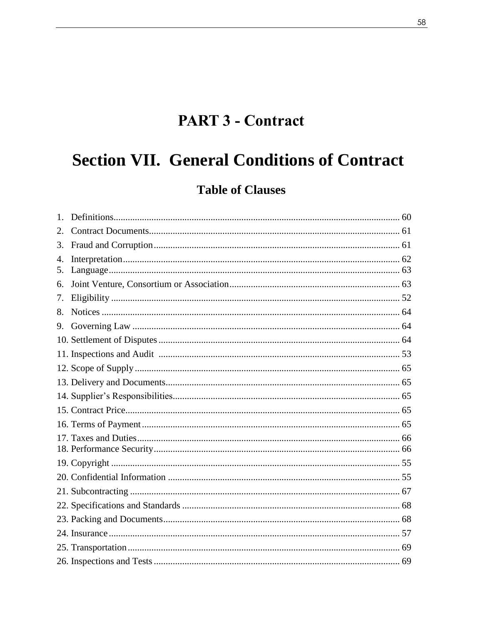## **PART 3 - Contract**

# **Section VII. General Conditions of Contract**

### **Table of Clauses**

| 2.                     |  |
|------------------------|--|
| 3.                     |  |
| $\overline{4}$ .<br>5. |  |
| 6.                     |  |
| 7.                     |  |
| 8.                     |  |
| 9.                     |  |
|                        |  |
|                        |  |
|                        |  |
|                        |  |
|                        |  |
|                        |  |
|                        |  |
|                        |  |
|                        |  |
|                        |  |
|                        |  |
|                        |  |
|                        |  |
|                        |  |
|                        |  |
|                        |  |
|                        |  |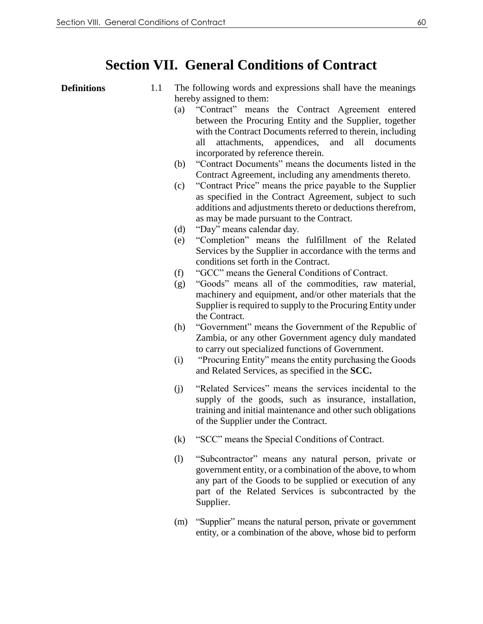### **Section VII. General Conditions of Contract**

- **Definitions** 1.1 The following words and expressions shall have the meanings hereby assigned to them:
	- (a) "Contract" means the Contract Agreement entered between the Procuring Entity and the Supplier, together with the Contract Documents referred to therein, including all attachments, appendices, and all documents incorporated by reference therein.
	- (b) "Contract Documents" means the documents listed in the Contract Agreement, including any amendments thereto.
	- (c) "Contract Price" means the price payable to the Supplier as specified in the Contract Agreement, subject to such additions and adjustments thereto or deductions therefrom, as may be made pursuant to the Contract.
	- (d) "Day" means calendar day.
	- (e) "Completion" means the fulfillment of the Related Services by the Supplier in accordance with the terms and conditions set forth in the Contract.
	- (f) "GCC" means the General Conditions of Contract.
	- (g) "Goods" means all of the commodities, raw material, machinery and equipment, and/or other materials that the Supplier is required to supply to the Procuring Entity under the Contract.
	- (h) "Government" means the Government of the Republic of Zambia, or any other Government agency duly mandated to carry out specialized functions of Government.
	- (i) "Procuring Entity" means the entity purchasing the Goods and Related Services, as specified in the **SCC.**
	- (j) "Related Services" means the services incidental to the supply of the goods, such as insurance, installation, training and initial maintenance and other such obligations of the Supplier under the Contract.
	- (k) "SCC" means the Special Conditions of Contract.
	- (l) "Subcontractor" means any natural person, private or government entity, or a combination of the above, to whom any part of the Goods to be supplied or execution of any part of the Related Services is subcontracted by the Supplier.
	- (m) "Supplier" means the natural person, private or government entity, or a combination of the above, whose bid to perform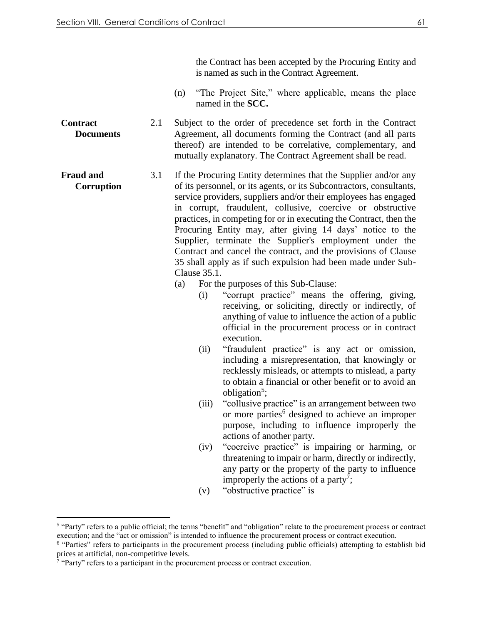**Contract** 

**Fraud and** 

 $\overline{a}$ 

**Documents**

**Corruption** 

the Contract has been accepted by the Procuring Entity and is named as such in the Contract Agreement.

- (n) "The Project Site," where applicable, means the place named in the **SCC.**
- 2.1 Subject to the order of precedence set forth in the Contract Agreement, all documents forming the Contract (and all parts thereof) are intended to be correlative, complementary, and mutually explanatory. The Contract Agreement shall be read.
- 3.1 If the Procuring Entity determines that the Supplier and/or any of its personnel, or its agents, or its Subcontractors, consultants, service providers, suppliers and/or their employees has engaged in corrupt, fraudulent, collusive, coercive or obstructive practices, in competing for or in executing the Contract, then the Procuring Entity may, after giving 14 days' notice to the Supplier, terminate the Supplier's employment under the Contract and cancel the contract, and the provisions of Clause 35 shall apply as if such expulsion had been made under Sub-Clause 35.1.
	- (a) For the purposes of this Sub-Clause:
		- (i) "corrupt practice" means the offering, giving, receiving, or soliciting, directly or indirectly, of anything of value to influence the action of a public official in the procurement process or in contract execution.
		- (ii) "fraudulent practice" is any act or omission, including a misrepresentation, that knowingly or recklessly misleads, or attempts to mislead, a party to obtain a financial or other benefit or to avoid an obligation<sup>5</sup>;
		- (iii) "collusive practice" is an arrangement between two or more parties<sup>6</sup> designed to achieve an improper purpose, including to influence improperly the actions of another party.
		- (iv) "coercive practice" is impairing or harming, or threatening to impair or harm, directly or indirectly, any party or the property of the party to influence improperly the actions of a party<sup>7</sup>;
		- (v) "obstructive practice" is

<sup>&</sup>lt;sup>5</sup> "Party" refers to a public official; the terms "benefit" and "obligation" relate to the procurement process or contract execution; and the "act or omission" is intended to influence the procurement process or contract execution.

<sup>&</sup>lt;sup>6</sup> "Parties" refers to participants in the procurement process (including public officials) attempting to establish bid prices at artificial, non-competitive levels.<br><sup>7</sup> "Party" refers to a participant in the procurement process or contract execution.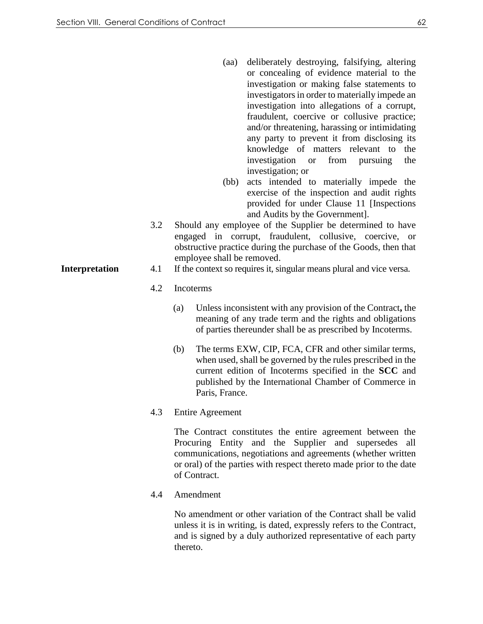- (aa) deliberately destroying, falsifying, altering or concealing of evidence material to the investigation or making false statements to investigators in order to materially impede an investigation into allegations of a corrupt, fraudulent, coercive or collusive practice; and/or threatening, harassing or intimidating any party to prevent it from disclosing its knowledge of matters relevant to the investigation or from pursuing the investigation; or
- (bb) acts intended to materially impede the exercise of the inspection and audit rights provided for under Clause 11 [Inspections and Audits by the Government].
- 3.2 Should any employee of the Supplier be determined to have engaged in corrupt, fraudulent, collusive, coercive, or obstructive practice during the purchase of the Goods, then that employee shall be removed.
- **Interpretation** 4.1 If the context so requires it, singular means plural and vice versa.

#### 4.2 Incoterms

- (a) Unless inconsistent with any provision of the Contract**,** the meaning of any trade term and the rights and obligations of parties thereunder shall be as prescribed by Incoterms.
- (b) The terms EXW, CIP, FCA, CFR and other similar terms, when used, shall be governed by the rules prescribed in the current edition of Incoterms specified in the **SCC** and published by the International Chamber of Commerce in Paris, France.
- 4.3 Entire Agreement

The Contract constitutes the entire agreement between the Procuring Entity and the Supplier and supersedes all communications, negotiations and agreements (whether written or oral) of the parties with respect thereto made prior to the date of Contract.

4.4 Amendment

No amendment or other variation of the Contract shall be valid unless it is in writing, is dated, expressly refers to the Contract, and is signed by a duly authorized representative of each party thereto.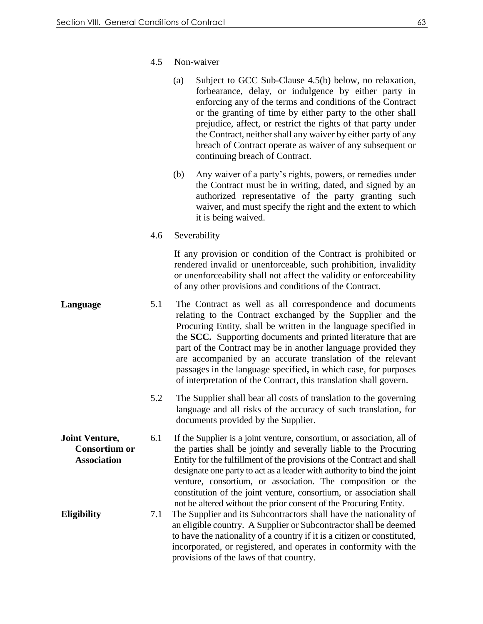4.5 Non-waiver

| (a) | Subject to GCC Sub-Clause 4.5(b) below, no relaxation,        |
|-----|---------------------------------------------------------------|
|     | forbearance, delay, or indulgence by either party in          |
|     | enforcing any of the terms and conditions of the Contract     |
|     | or the granting of time by either party to the other shall    |
|     | prejudice, affect, or restrict the rights of that party under |
|     | the Contract, neither shall any waiver by either party of any |
|     | breach of Contract operate as waiver of any subsequent or     |
|     | continuing breach of Contract.                                |

- (b) Any waiver of a party's rights, powers, or remedies under the Contract must be in writing, dated, and signed by an authorized representative of the party granting such waiver, and must specify the right and the extent to which it is being waived.
- 4.6 Severability

If any provision or condition of the Contract is prohibited or rendered invalid or unenforceable, such prohibition, invalidity or unenforceability shall not affect the validity or enforceability of any other provisions and conditions of the Contract.

- **Language** 5.1 The Contract as well as all correspondence and documents relating to the Contract exchanged by the Supplier and the Procuring Entity, shall be written in the language specified in the **SCC.** Supporting documents and printed literature that are part of the Contract may be in another language provided they are accompanied by an accurate translation of the relevant passages in the language specified**,** in which case, for purposes of interpretation of the Contract, this translation shall govern.
	- 5.2 The Supplier shall bear all costs of translation to the governing language and all risks of the accuracy of such translation, for documents provided by the Supplier.
- **Joint Venture, Consortium or Association** 6.1 If the Supplier is a joint venture, consortium, or association, all of the parties shall be jointly and severally liable to the Procuring Entity for the fulfillment of the provisions of the Contract and shall designate one party to act as a leader with authority to bind the joint venture, consortium, or association. The composition or the constitution of the joint venture, consortium, or association shall not be altered without the prior consent of the Procuring Entity.
- **Eligibility** 7.1 The Supplier and its Subcontractors shall have the nationality of an eligible country. A Supplier or Subcontractor shall be deemed to have the nationality of a country if it is a citizen or constituted, incorporated, or registered, and operates in conformity with the provisions of the laws of that country.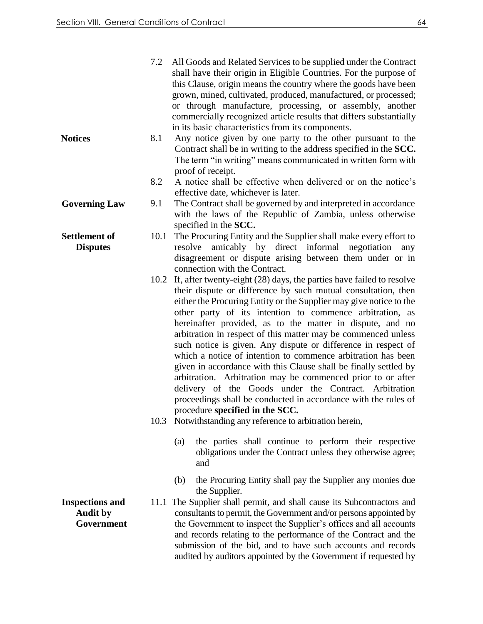| All Goods and Related Services to be supplied under the Contract<br>shall have their origin in Eligible Countries. For the purpose of<br>this Clause, origin means the country where the goods have been<br>grown, mined, cultivated, produced, manufactured, or processed;<br>or through manufacture, processing, or assembly, another<br>commercially recognized article results that differs substantially<br>in its basic characteristics from its components.                                                                                                                                                                                                                                                                                                                                                                                                                                        |
|-----------------------------------------------------------------------------------------------------------------------------------------------------------------------------------------------------------------------------------------------------------------------------------------------------------------------------------------------------------------------------------------------------------------------------------------------------------------------------------------------------------------------------------------------------------------------------------------------------------------------------------------------------------------------------------------------------------------------------------------------------------------------------------------------------------------------------------------------------------------------------------------------------------|
| Any notice given by one party to the other pursuant to the<br>Contract shall be in writing to the address specified in the SCC.<br>The term "in writing" means communicated in written form with<br>proof of receipt.                                                                                                                                                                                                                                                                                                                                                                                                                                                                                                                                                                                                                                                                                     |
| A notice shall be effective when delivered or on the notice's<br>effective date, whichever is later.                                                                                                                                                                                                                                                                                                                                                                                                                                                                                                                                                                                                                                                                                                                                                                                                      |
| The Contract shall be governed by and interpreted in accordance<br>with the laws of the Republic of Zambia, unless otherwise<br>specified in the SCC.                                                                                                                                                                                                                                                                                                                                                                                                                                                                                                                                                                                                                                                                                                                                                     |
| 10.1<br>The Procuring Entity and the Supplier shall make every effort to<br>amicably by direct informal negotiation<br>resolve<br>any<br>disagreement or dispute arising between them under or in<br>connection with the Contract.                                                                                                                                                                                                                                                                                                                                                                                                                                                                                                                                                                                                                                                                        |
| 10.2 If, after twenty-eight (28) days, the parties have failed to resolve<br>their dispute or difference by such mutual consultation, then<br>either the Procuring Entity or the Supplier may give notice to the<br>other party of its intention to commence arbitration, as<br>hereinafter provided, as to the matter in dispute, and no<br>arbitration in respect of this matter may be commenced unless<br>such notice is given. Any dispute or difference in respect of<br>which a notice of intention to commence arbitration has been<br>given in accordance with this Clause shall be finally settled by<br>arbitration. Arbitration may be commenced prior to or after<br>delivery of the Goods under the Contract. Arbitration<br>proceedings shall be conducted in accordance with the rules of<br>procedure specified in the SCC.<br>10.3 Notwithstanding any reference to arbitration herein, |
| the parties shall continue to perform their respective<br>(a)<br>obligations under the Contract unless they otherwise agree;<br>and                                                                                                                                                                                                                                                                                                                                                                                                                                                                                                                                                                                                                                                                                                                                                                       |
| the Procuring Entity shall pay the Supplier any monies due<br>(b)<br>the Supplier.<br>11.1 The Supplier shall permit, and shall cause its Subcontractors and<br>consultants to permit, the Government and/or persons appointed by<br>the Government to inspect the Supplier's offices and all accounts<br>and records relating to the performance of the Contract and the<br>submission of the bid, and to have such accounts and records<br>audited by auditors appointed by the Government if requested by                                                                                                                                                                                                                                                                                                                                                                                              |
| 7.2<br>8.1<br>8.2<br>9.1                                                                                                                                                                                                                                                                                                                                                                                                                                                                                                                                                                                                                                                                                                                                                                                                                                                                                  |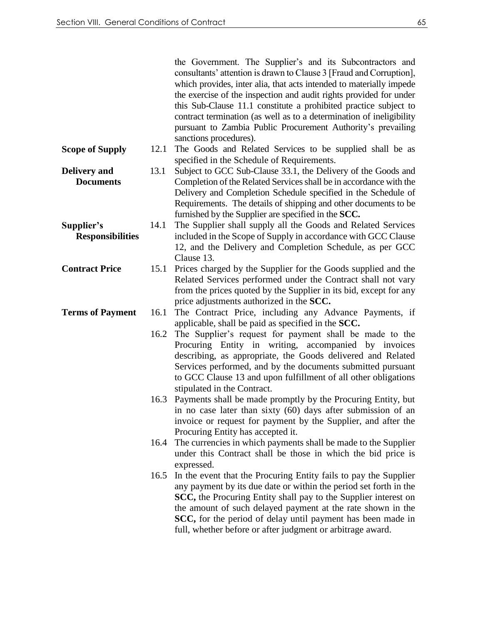|                         |      | the Government. The Supplier's and its Subcontractors and<br>consultants' attention is drawn to Clause 3 [Fraud and Corruption],<br>which provides, inter alia, that acts intended to materially impede<br>the exercise of the inspection and audit rights provided for under<br>this Sub-Clause 11.1 constitute a prohibited practice subject to |
|-------------------------|------|---------------------------------------------------------------------------------------------------------------------------------------------------------------------------------------------------------------------------------------------------------------------------------------------------------------------------------------------------|
|                         |      | contract termination (as well as to a determination of ineligibility<br>pursuant to Zambia Public Procurement Authority's prevailing<br>sanctions procedures).                                                                                                                                                                                    |
| <b>Scope of Supply</b>  | 12.1 | The Goods and Related Services to be supplied shall be as<br>specified in the Schedule of Requirements.                                                                                                                                                                                                                                           |
| <b>Delivery</b> and     | 13.1 | Subject to GCC Sub-Clause 33.1, the Delivery of the Goods and                                                                                                                                                                                                                                                                                     |
| <b>Documents</b>        |      | Completion of the Related Services shall be in accordance with the                                                                                                                                                                                                                                                                                |
|                         |      | Delivery and Completion Schedule specified in the Schedule of                                                                                                                                                                                                                                                                                     |
|                         |      | Requirements. The details of shipping and other documents to be                                                                                                                                                                                                                                                                                   |
|                         |      | furnished by the Supplier are specified in the SCC.                                                                                                                                                                                                                                                                                               |
| Supplier's              | 14.1 | The Supplier shall supply all the Goods and Related Services                                                                                                                                                                                                                                                                                      |
| <b>Responsibilities</b> |      | included in the Scope of Supply in accordance with GCC Clause                                                                                                                                                                                                                                                                                     |
|                         |      | 12, and the Delivery and Completion Schedule, as per GCC                                                                                                                                                                                                                                                                                          |
|                         |      | Clause 13.                                                                                                                                                                                                                                                                                                                                        |
| <b>Contract Price</b>   | 15.1 | Prices charged by the Supplier for the Goods supplied and the                                                                                                                                                                                                                                                                                     |
|                         |      | Related Services performed under the Contract shall not vary                                                                                                                                                                                                                                                                                      |
|                         |      | from the prices quoted by the Supplier in its bid, except for any                                                                                                                                                                                                                                                                                 |
|                         |      | price adjustments authorized in the SCC.                                                                                                                                                                                                                                                                                                          |
| <b>Terms of Payment</b> | 16.1 | The Contract Price, including any Advance Payments, if                                                                                                                                                                                                                                                                                            |
|                         |      | applicable, shall be paid as specified in the SCC.                                                                                                                                                                                                                                                                                                |
|                         | 16.2 | The Supplier's request for payment shall be made to the                                                                                                                                                                                                                                                                                           |
|                         |      | Procuring Entity in writing, accompanied by invoices                                                                                                                                                                                                                                                                                              |
|                         |      | describing, as appropriate, the Goods delivered and Related                                                                                                                                                                                                                                                                                       |
|                         |      | Services performed, and by the documents submitted pursuant                                                                                                                                                                                                                                                                                       |
|                         |      | to GCC Clause 13 and upon fulfillment of all other obligations                                                                                                                                                                                                                                                                                    |
|                         |      | stipulated in the Contract.                                                                                                                                                                                                                                                                                                                       |
|                         |      | 16.3 Payments shall be made promptly by the Procuring Entity, but                                                                                                                                                                                                                                                                                 |
|                         |      | in no case later than sixty (60) days after submission of an                                                                                                                                                                                                                                                                                      |
|                         |      | invoice or request for payment by the Supplier, and after the                                                                                                                                                                                                                                                                                     |
|                         |      | Procuring Entity has accepted it.                                                                                                                                                                                                                                                                                                                 |
|                         | 16.4 | The currencies in which payments shall be made to the Supplier                                                                                                                                                                                                                                                                                    |
|                         |      | under this Contract shall be those in which the bid price is                                                                                                                                                                                                                                                                                      |
|                         | 16.5 | expressed.<br>In the event that the Procuring Entity fails to pay the Supplier                                                                                                                                                                                                                                                                    |
|                         |      | any payment by its due date or within the period set forth in the                                                                                                                                                                                                                                                                                 |
|                         |      | SCC, the Procuring Entity shall pay to the Supplier interest on                                                                                                                                                                                                                                                                                   |
|                         |      | the amount of such delayed payment at the rate shown in the                                                                                                                                                                                                                                                                                       |
|                         |      | SCC, for the period of delay until payment has been made in                                                                                                                                                                                                                                                                                       |
|                         |      | full, whether before or after judgment or arbitrage award.                                                                                                                                                                                                                                                                                        |
|                         |      |                                                                                                                                                                                                                                                                                                                                                   |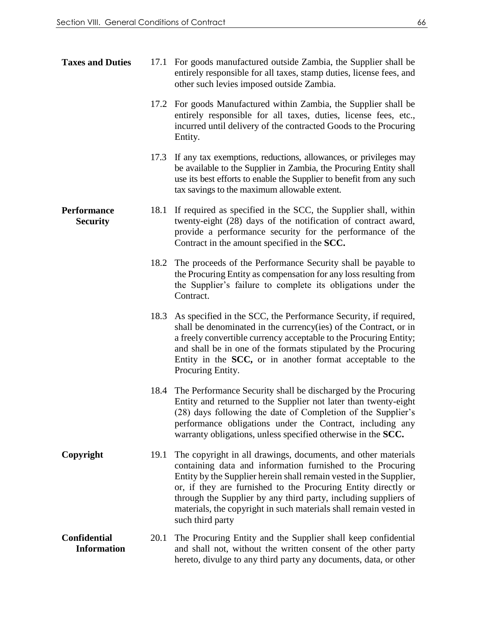| <b>Taxes and Duties</b>                   |      | 17.1 For goods manufactured outside Zambia, the Supplier shall be<br>entirely responsible for all taxes, stamp duties, license fees, and<br>other such levies imposed outside Zambia.                                                                                                                                                                                                                                          |
|-------------------------------------------|------|--------------------------------------------------------------------------------------------------------------------------------------------------------------------------------------------------------------------------------------------------------------------------------------------------------------------------------------------------------------------------------------------------------------------------------|
|                                           |      | 17.2 For goods Manufactured within Zambia, the Supplier shall be<br>entirely responsible for all taxes, duties, license fees, etc.,<br>incurred until delivery of the contracted Goods to the Procuring<br>Entity.                                                                                                                                                                                                             |
|                                           | 17.3 | If any tax exemptions, reductions, allowances, or privileges may<br>be available to the Supplier in Zambia, the Procuring Entity shall<br>use its best efforts to enable the Supplier to benefit from any such<br>tax savings to the maximum allowable extent.                                                                                                                                                                 |
| <b>Performance</b><br><b>Security</b>     |      | 18.1 If required as specified in the SCC, the Supplier shall, within<br>twenty-eight (28) days of the notification of contract award,<br>provide a performance security for the performance of the<br>Contract in the amount specified in the SCC.                                                                                                                                                                             |
|                                           | 18.2 | The proceeds of the Performance Security shall be payable to<br>the Procuring Entity as compensation for any loss resulting from<br>the Supplier's failure to complete its obligations under the<br>Contract.                                                                                                                                                                                                                  |
|                                           | 18.3 | As specified in the SCC, the Performance Security, if required,<br>shall be denominated in the currency(ies) of the Contract, or in<br>a freely convertible currency acceptable to the Procuring Entity;<br>and shall be in one of the formats stipulated by the Procuring<br>Entity in the SCC, or in another format acceptable to the<br>Procuring Entity.                                                                   |
|                                           | 18.4 | The Performance Security shall be discharged by the Procuring<br>Entity and returned to the Supplier not later than twenty-eight<br>(28) days following the date of Completion of the Supplier's<br>performance obligations under the Contract, including any<br>warranty obligations, unless specified otherwise in the SCC.                                                                                                  |
| Copyright                                 | 19.1 | The copyright in all drawings, documents, and other materials<br>containing data and information furnished to the Procuring<br>Entity by the Supplier herein shall remain vested in the Supplier,<br>or, if they are furnished to the Procuring Entity directly or<br>through the Supplier by any third party, including suppliers of<br>materials, the copyright in such materials shall remain vested in<br>such third party |
| <b>Confidential</b><br><b>Information</b> | 20.1 | The Procuring Entity and the Supplier shall keep confidential<br>and shall not, without the written consent of the other party<br>hereto, divulge to any third party any documents, data, or other                                                                                                                                                                                                                             |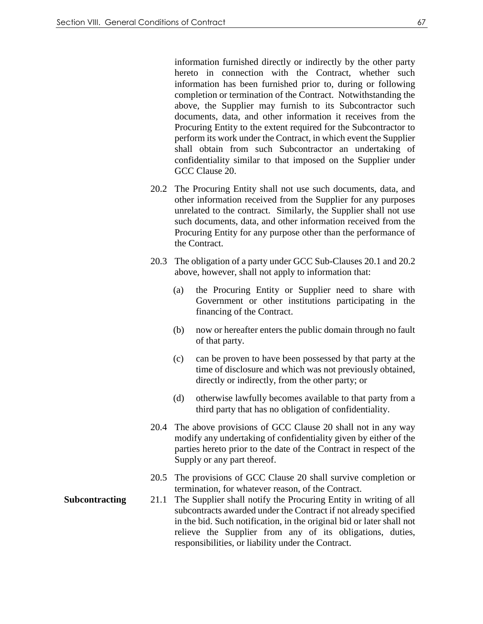information furnished directly or indirectly by the other party hereto in connection with the Contract, whether such information has been furnished prior to, during or following completion or termination of the Contract. Notwithstanding the above, the Supplier may furnish to its Subcontractor such documents, data, and other information it receives from the Procuring Entity to the extent required for the Subcontractor to perform its work under the Contract, in which event the Supplier shall obtain from such Subcontractor an undertaking of confidentiality similar to that imposed on the Supplier under GCC Clause 20.

- 20.2 The Procuring Entity shall not use such documents, data, and other information received from the Supplier for any purposes unrelated to the contract. Similarly, the Supplier shall not use such documents, data, and other information received from the Procuring Entity for any purpose other than the performance of the Contract.
- 20.3 The obligation of a party under GCC Sub-Clauses 20.1 and 20.2 above, however, shall not apply to information that:
	- (a) the Procuring Entity or Supplier need to share with Government or other institutions participating in the financing of the Contract.
	- (b) now or hereafter enters the public domain through no fault of that party.
	- (c) can be proven to have been possessed by that party at the time of disclosure and which was not previously obtained, directly or indirectly, from the other party; or
	- (d) otherwise lawfully becomes available to that party from a third party that has no obligation of confidentiality.
- 20.4 The above provisions of GCC Clause 20 shall not in any way modify any undertaking of confidentiality given by either of the parties hereto prior to the date of the Contract in respect of the Supply or any part thereof.
- 20.5 The provisions of GCC Clause 20 shall survive completion or termination, for whatever reason, of the Contract.
- **Subcontracting** 21.1 The Supplier shall notify the Procuring Entity in writing of all subcontracts awarded under the Contract if not already specified in the bid. Such notification, in the original bid or later shall not relieve the Supplier from any of its obligations, duties, responsibilities, or liability under the Contract.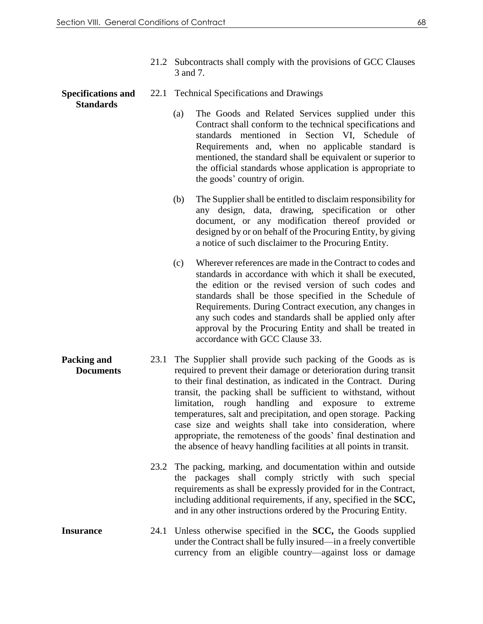21.2 Subcontracts shall comply with the provisions of GCC Clauses 3 and 7.

#### **Specifications and Standards**

- 22.1 Technical Specifications and Drawings
	- (a) The Goods and Related Services supplied under this Contract shall conform to the technical specifications and standards mentioned in Section VI, Schedule of Requirements and, when no applicable standard is mentioned, the standard shall be equivalent or superior to the official standards whose application is appropriate to the goods' country of origin.
	- (b) The Supplier shall be entitled to disclaim responsibility for any design, data, drawing, specification or other document, or any modification thereof provided or designed by or on behalf of the Procuring Entity, by giving a notice of such disclaimer to the Procuring Entity.
	- (c) Wherever references are made in the Contract to codes and standards in accordance with which it shall be executed, the edition or the revised version of such codes and standards shall be those specified in the Schedule of Requirements. During Contract execution, any changes in any such codes and standards shall be applied only after approval by the Procuring Entity and shall be treated in accordance with GCC Clause 33.
- **Packing and Documents** 23.1 The Supplier shall provide such packing of the Goods as is required to prevent their damage or deterioration during transit to their final destination, as indicated in the Contract. During transit, the packing shall be sufficient to withstand, without limitation, rough handling and exposure to extreme temperatures, salt and precipitation, and open storage. Packing case size and weights shall take into consideration, where appropriate, the remoteness of the goods' final destination and the absence of heavy handling facilities at all points in transit.
	- 23.2 The packing, marking, and documentation within and outside the packages shall comply strictly with such special requirements as shall be expressly provided for in the Contract, including additional requirements, if any, specified in the **SCC,** and in any other instructions ordered by the Procuring Entity.
- **Insurance** 24.1 Unless otherwise specified in the **SCC,** the Goods supplied under the Contract shall be fully insured—in a freely convertible currency from an eligible country—against loss or damage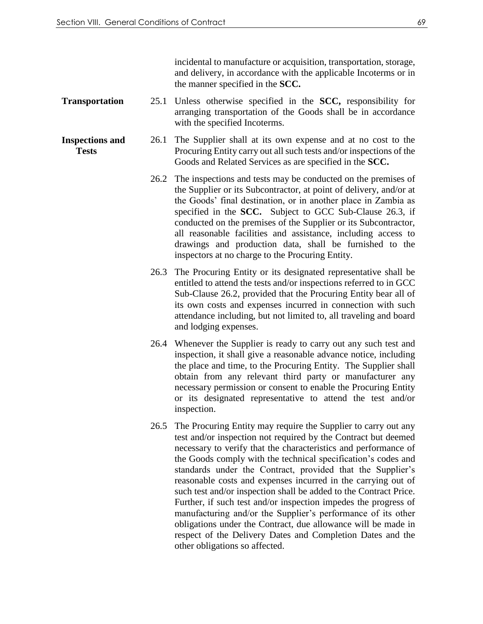incidental to manufacture or acquisition, transportation, storage, and delivery, in accordance with the applicable Incoterms or in the manner specified in the **SCC.**

- **Transportation** 25.1 Unless otherwise specified in the **SCC,** responsibility for arranging transportation of the Goods shall be in accordance with the specified Incoterms.
- **Inspections and Tests** 26.1 The Supplier shall at its own expense and at no cost to the Procuring Entity carry out all such tests and/or inspections of the Goods and Related Services as are specified in the **SCC.**
	- 26.2 The inspections and tests may be conducted on the premises of the Supplier or its Subcontractor, at point of delivery, and/or at the Goods' final destination, or in another place in Zambia as specified in the **SCC.** Subject to GCC Sub-Clause 26.3, if conducted on the premises of the Supplier or its Subcontractor, all reasonable facilities and assistance, including access to drawings and production data, shall be furnished to the inspectors at no charge to the Procuring Entity.
	- 26.3 The Procuring Entity or its designated representative shall be entitled to attend the tests and/or inspections referred to in GCC Sub-Clause 26.2, provided that the Procuring Entity bear all of its own costs and expenses incurred in connection with such attendance including, but not limited to, all traveling and board and lodging expenses.
	- 26.4 Whenever the Supplier is ready to carry out any such test and inspection, it shall give a reasonable advance notice, including the place and time, to the Procuring Entity. The Supplier shall obtain from any relevant third party or manufacturer any necessary permission or consent to enable the Procuring Entity or its designated representative to attend the test and/or inspection.
	- 26.5 The Procuring Entity may require the Supplier to carry out any test and/or inspection not required by the Contract but deemed necessary to verify that the characteristics and performance of the Goods comply with the technical specification's codes and standards under the Contract, provided that the Supplier's reasonable costs and expenses incurred in the carrying out of such test and/or inspection shall be added to the Contract Price. Further, if such test and/or inspection impedes the progress of manufacturing and/or the Supplier's performance of its other obligations under the Contract, due allowance will be made in respect of the Delivery Dates and Completion Dates and the other obligations so affected.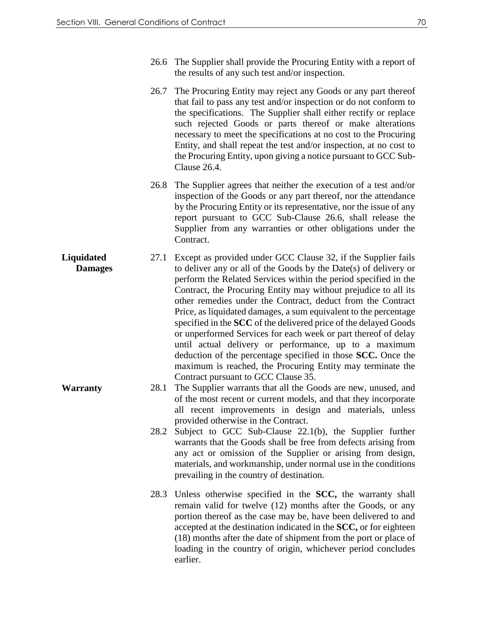- 26.6 The Supplier shall provide the Procuring Entity with a report of the results of any such test and/or inspection.
- 26.7 The Procuring Entity may reject any Goods or any part thereof that fail to pass any test and/or inspection or do not conform to the specifications. The Supplier shall either rectify or replace such rejected Goods or parts thereof or make alterations necessary to meet the specifications at no cost to the Procuring Entity, and shall repeat the test and/or inspection, at no cost to the Procuring Entity, upon giving a notice pursuant to GCC Sub-Clause 26.4.
- 26.8 The Supplier agrees that neither the execution of a test and/or inspection of the Goods or any part thereof, nor the attendance by the Procuring Entity or its representative, nor the issue of any report pursuant to GCC Sub-Clause 26.6, shall release the Supplier from any warranties or other obligations under the Contract.
- **Liquidated Damages** 27.1 Except as provided under GCC Clause 32, if the Supplier fails to deliver any or all of the Goods by the Date(s) of delivery or perform the Related Services within the period specified in the Contract, the Procuring Entity may without prejudice to all its other remedies under the Contract, deduct from the Contract Price, as liquidated damages, a sum equivalent to the percentage specified in the **SCC** of the delivered price of the delayed Goods or unperformed Services for each week or part thereof of delay until actual delivery or performance, up to a maximum deduction of the percentage specified in those **SCC.** Once the maximum is reached, the Procuring Entity may terminate the Contract pursuant to GCC Clause 35.
- **Warranty** 28.1 The Supplier warrants that all the Goods are new, unused, and of the most recent or current models, and that they incorporate all recent improvements in design and materials, unless provided otherwise in the Contract.
	- 28.2 Subject to GCC Sub-Clause 22.1(b), the Supplier further warrants that the Goods shall be free from defects arising from any act or omission of the Supplier or arising from design, materials, and workmanship, under normal use in the conditions prevailing in the country of destination.
	- 28.3 Unless otherwise specified in the **SCC,** the warranty shall remain valid for twelve (12) months after the Goods, or any portion thereof as the case may be, have been delivered to and accepted at the destination indicated in the **SCC,** or for eighteen (18) months after the date of shipment from the port or place of loading in the country of origin, whichever period concludes earlier.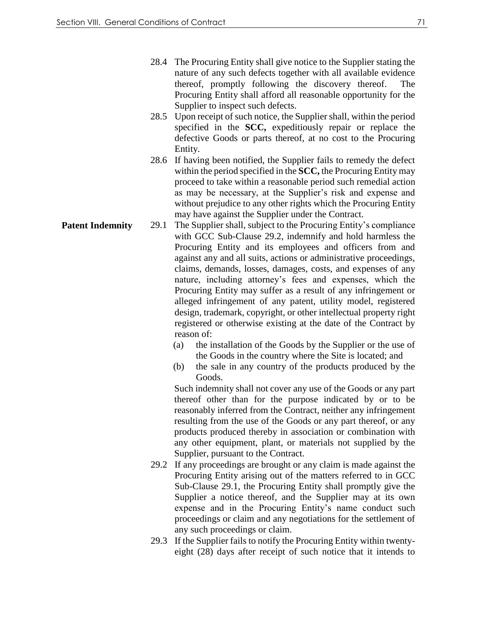- 28.4 The Procuring Entity shall give notice to the Supplier stating the nature of any such defects together with all available evidence thereof, promptly following the discovery thereof. The Procuring Entity shall afford all reasonable opportunity for the Supplier to inspect such defects.
- 28.5 Upon receipt of such notice, the Supplier shall, within the period specified in the **SCC,** expeditiously repair or replace the defective Goods or parts thereof, at no cost to the Procuring Entity.
- 28.6 If having been notified, the Supplier fails to remedy the defect within the period specified in the **SCC,** the Procuring Entity may proceed to take within a reasonable period such remedial action as may be necessary, at the Supplier's risk and expense and without prejudice to any other rights which the Procuring Entity may have against the Supplier under the Contract.
- **Patent Indemnity** 29.1 The Supplier shall, subject to the Procuring Entity's compliance with GCC Sub-Clause 29.2, indemnify and hold harmless the Procuring Entity and its employees and officers from and against any and all suits, actions or administrative proceedings, claims, demands, losses, damages, costs, and expenses of any nature, including attorney's fees and expenses, which the Procuring Entity may suffer as a result of any infringement or alleged infringement of any patent, utility model, registered design, trademark, copyright, or other intellectual property right registered or otherwise existing at the date of the Contract by reason of:
	- (a) the installation of the Goods by the Supplier or the use of the Goods in the country where the Site is located; and
	- (b) the sale in any country of the products produced by the Goods.

Such indemnity shall not cover any use of the Goods or any part thereof other than for the purpose indicated by or to be reasonably inferred from the Contract, neither any infringement resulting from the use of the Goods or any part thereof, or any products produced thereby in association or combination with any other equipment, plant, or materials not supplied by the Supplier, pursuant to the Contract.

- 29.2 If any proceedings are brought or any claim is made against the Procuring Entity arising out of the matters referred to in GCC Sub-Clause 29.1, the Procuring Entity shall promptly give the Supplier a notice thereof, and the Supplier may at its own expense and in the Procuring Entity's name conduct such proceedings or claim and any negotiations for the settlement of any such proceedings or claim.
- 29.3 If the Supplier fails to notify the Procuring Entity within twentyeight (28) days after receipt of such notice that it intends to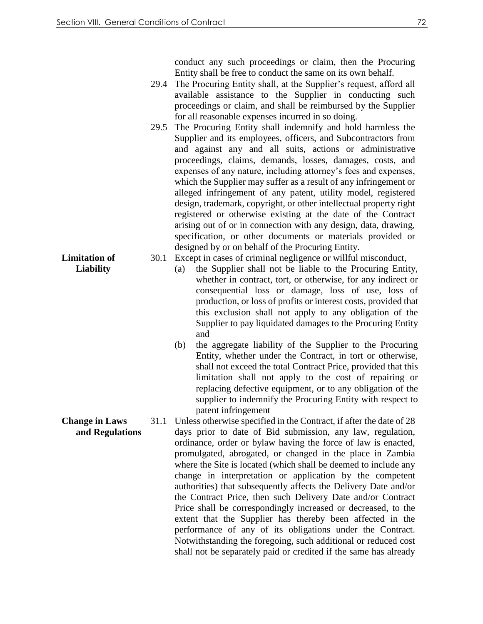conduct any such proceedings or claim, then the Procuring Entity shall be free to conduct the same on its own behalf.

- 29.4 The Procuring Entity shall, at the Supplier's request, afford all available assistance to the Supplier in conducting such proceedings or claim, and shall be reimbursed by the Supplier for all reasonable expenses incurred in so doing.
- 29.5 The Procuring Entity shall indemnify and hold harmless the Supplier and its employees, officers, and Subcontractors from and against any and all suits, actions or administrative proceedings, claims, demands, losses, damages, costs, and expenses of any nature, including attorney's fees and expenses, which the Supplier may suffer as a result of any infringement or alleged infringement of any patent, utility model, registered design, trademark, copyright, or other intellectual property right registered or otherwise existing at the date of the Contract arising out of or in connection with any design, data, drawing, specification, or other documents or materials provided or designed by or on behalf of the Procuring Entity.
- 30.1 Except in cases of criminal negligence or willful misconduct,
	- (a) the Supplier shall not be liable to the Procuring Entity, whether in contract, tort, or otherwise, for any indirect or consequential loss or damage, loss of use, loss of production, or loss of profits or interest costs, provided that this exclusion shall not apply to any obligation of the Supplier to pay liquidated damages to the Procuring Entity and
	- (b) the aggregate liability of the Supplier to the Procuring Entity, whether under the Contract, in tort or otherwise, shall not exceed the total Contract Price, provided that this limitation shall not apply to the cost of repairing or replacing defective equipment, or to any obligation of the supplier to indemnify the Procuring Entity with respect to patent infringement
- **Change in Laws and Regulations** 31.1 Unless otherwise specified in the Contract, if after the date of 28 days prior to date of Bid submission, any law, regulation, ordinance, order or bylaw having the force of law is enacted, promulgated, abrogated, or changed in the place in Zambia where the Site is located (which shall be deemed to include any change in interpretation or application by the competent authorities) that subsequently affects the Delivery Date and/or the Contract Price, then such Delivery Date and/or Contract Price shall be correspondingly increased or decreased, to the extent that the Supplier has thereby been affected in the performance of any of its obligations under the Contract. Notwithstanding the foregoing, such additional or reduced cost shall not be separately paid or credited if the same has already

**Limitation of Liability**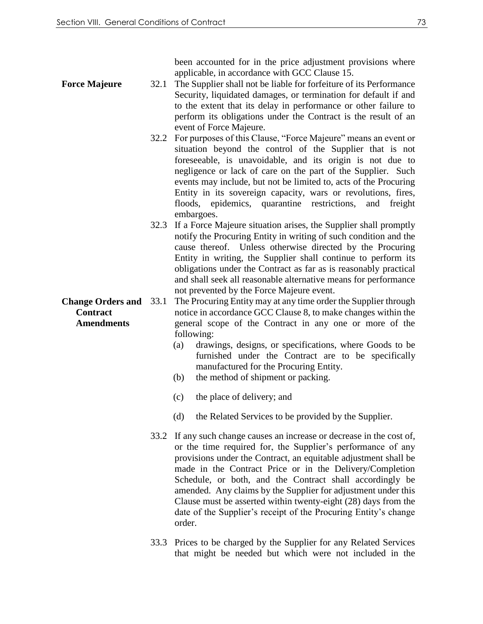been accounted for in the price adjustment provisions where applicable, in accordance with GCC Clause 15.

- **Force Majeure** 32.1 The Supplier shall not be liable for forfeiture of its Performance Security, liquidated damages, or termination for default if and to the extent that its delay in performance or other failure to perform its obligations under the Contract is the result of an event of Force Majeure.
	- 32.2 For purposes of this Clause, "Force Majeure" means an event or situation beyond the control of the Supplier that is not foreseeable, is unavoidable, and its origin is not due to negligence or lack of care on the part of the Supplier. Such events may include, but not be limited to, acts of the Procuring Entity in its sovereign capacity, wars or revolutions, fires, floods, epidemics, quarantine restrictions, and freight embargoes.
	- 32.3 If a Force Majeure situation arises, the Supplier shall promptly notify the Procuring Entity in writing of such condition and the cause thereof. Unless otherwise directed by the Procuring Entity in writing, the Supplier shall continue to perform its obligations under the Contract as far as is reasonably practical and shall seek all reasonable alternative means for performance not prevented by the Force Majeure event.
- **Change Orders and**  33.1 The Procuring Entity may at any time order the Supplier through notice in accordance GCC Clause 8, to make changes within the general scope of the Contract in any one or more of the following:
	- (a) drawings, designs, or specifications, where Goods to be furnished under the Contract are to be specifically manufactured for the Procuring Entity.
	- (b) the method of shipment or packing.
	- (c) the place of delivery; and
	- (d) the Related Services to be provided by the Supplier.
	- 33.2 If any such change causes an increase or decrease in the cost of, or the time required for, the Supplier's performance of any provisions under the Contract, an equitable adjustment shall be made in the Contract Price or in the Delivery/Completion Schedule, or both, and the Contract shall accordingly be amended. Any claims by the Supplier for adjustment under this Clause must be asserted within twenty-eight (28) days from the date of the Supplier's receipt of the Procuring Entity's change order.
	- 33.3 Prices to be charged by the Supplier for any Related Services that might be needed but which were not included in the

**Contract Amendments**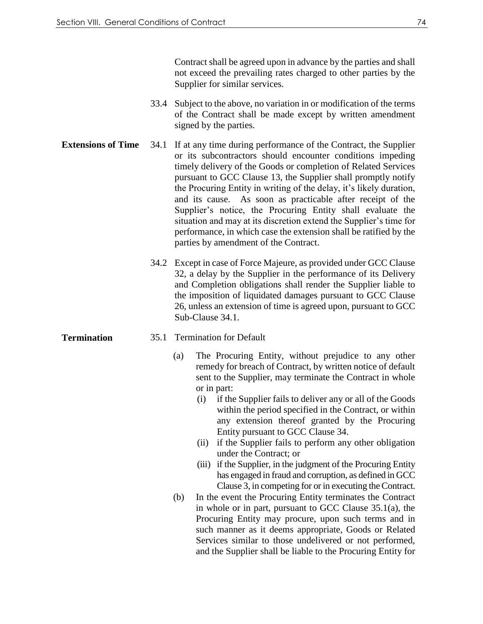Contract shall be agreed upon in advance by the parties and shall not exceed the prevailing rates charged to other parties by the Supplier for similar services.

- 33.4 Subject to the above, no variation in or modification of the terms of the Contract shall be made except by written amendment signed by the parties.
- **Extensions of Time** 34.1 If at any time during performance of the Contract, the Supplier or its subcontractors should encounter conditions impeding timely delivery of the Goods or completion of Related Services pursuant to GCC Clause 13, the Supplier shall promptly notify the Procuring Entity in writing of the delay, it's likely duration, and its cause. As soon as practicable after receipt of the Supplier's notice, the Procuring Entity shall evaluate the situation and may at its discretion extend the Supplier's time for performance, in which case the extension shall be ratified by the parties by amendment of the Contract.
	- 34.2 Except in case of Force Majeure, as provided under GCC Clause 32, a delay by the Supplier in the performance of its Delivery and Completion obligations shall render the Supplier liable to the imposition of liquidated damages pursuant to GCC Clause 26, unless an extension of time is agreed upon, pursuant to GCC Sub-Clause 34.1.

#### **Termination** 35.1 Termination for Default

- (a) The Procuring Entity, without prejudice to any other remedy for breach of Contract, by written notice of default sent to the Supplier, may terminate the Contract in whole or in part:
	- (i) if the Supplier fails to deliver any or all of the Goods within the period specified in the Contract, or within any extension thereof granted by the Procuring Entity pursuant to GCC Clause 34.
	- (ii) if the Supplier fails to perform any other obligation under the Contract; or
	- (iii) if the Supplier, in the judgment of the Procuring Entity has engaged in fraud and corruption, as defined in GCC Clause 3, in competing for or in executing the Contract.
- (b) In the event the Procuring Entity terminates the Contract in whole or in part, pursuant to GCC Clause 35.1(a), the Procuring Entity may procure, upon such terms and in such manner as it deems appropriate, Goods or Related Services similar to those undelivered or not performed, and the Supplier shall be liable to the Procuring Entity for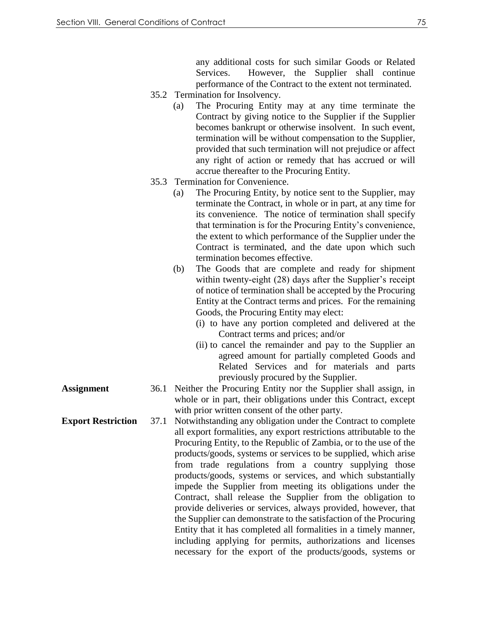any additional costs for such similar Goods or Related Services. However, the Supplier shall continue performance of the Contract to the extent not terminated.

- 35.2 Termination for Insolvency.
	- (a) The Procuring Entity may at any time terminate the Contract by giving notice to the Supplier if the Supplier becomes bankrupt or otherwise insolvent. In such event, termination will be without compensation to the Supplier, provided that such termination will not prejudice or affect any right of action or remedy that has accrued or will accrue thereafter to the Procuring Entity.
- 35.3 Termination for Convenience.
	- (a) The Procuring Entity, by notice sent to the Supplier, may terminate the Contract, in whole or in part, at any time for its convenience. The notice of termination shall specify that termination is for the Procuring Entity's convenience, the extent to which performance of the Supplier under the Contract is terminated, and the date upon which such termination becomes effective.
	- (b) The Goods that are complete and ready for shipment within twenty-eight (28) days after the Supplier's receipt of notice of termination shall be accepted by the Procuring Entity at the Contract terms and prices. For the remaining Goods, the Procuring Entity may elect:
		- (i) to have any portion completed and delivered at the Contract terms and prices; and/or
		- (ii) to cancel the remainder and pay to the Supplier an agreed amount for partially completed Goods and Related Services and for materials and parts previously procured by the Supplier.
- **Assignment** 36.1 Neither the Procuring Entity nor the Supplier shall assign, in whole or in part, their obligations under this Contract, except with prior written consent of the other party.
- **Export Restriction** 37.1 Notwithstanding any obligation under the Contract to complete all export formalities, any export restrictions attributable to the Procuring Entity, to the Republic of Zambia, or to the use of the products/goods, systems or services to be supplied, which arise from trade regulations from a country supplying those products/goods, systems or services, and which substantially impede the Supplier from meeting its obligations under the Contract, shall release the Supplier from the obligation to provide deliveries or services, always provided, however, that the Supplier can demonstrate to the satisfaction of the Procuring Entity that it has completed all formalities in a timely manner, including applying for permits, authorizations and licenses necessary for the export of the products/goods, systems or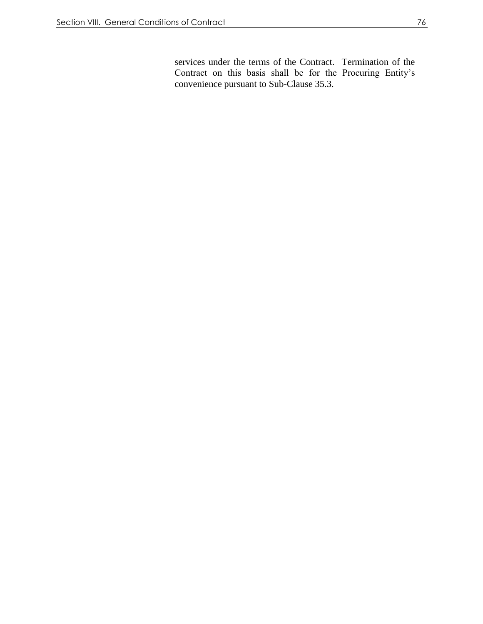services under the terms of the Contract. Termination of the Contract on this basis shall be for the Procuring Entity's convenience pursuant to Sub-Clause 35.3.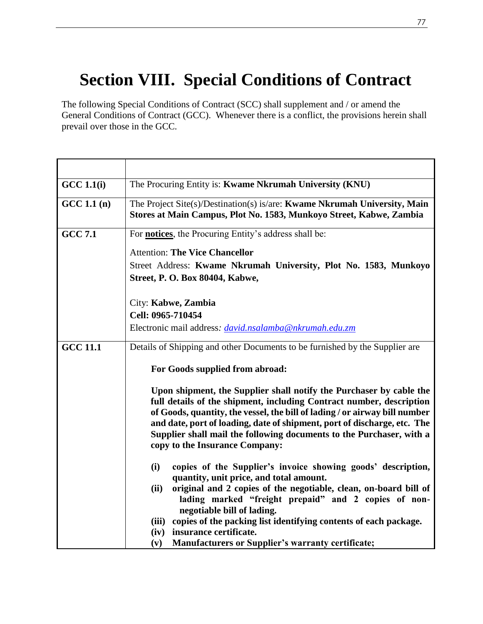# **Section VIII. Special Conditions of Contract**

The following Special Conditions of Contract (SCC) shall supplement and / or amend the General Conditions of Contract (GCC). Whenever there is a conflict, the provisions herein shall prevail over those in the GCC*.* 

| <b>GCC 1.1(i)</b> | The Procuring Entity is: Kwame Nkrumah University (KNU)                                                                                                                                                                                                                                                                                                                                                                                                            |
|-------------------|--------------------------------------------------------------------------------------------------------------------------------------------------------------------------------------------------------------------------------------------------------------------------------------------------------------------------------------------------------------------------------------------------------------------------------------------------------------------|
| GCC 1.1(n)        | The Project Site(s)/Destination(s) is/are: Kwame Nkrumah University, Main<br>Stores at Main Campus, Plot No. 1583, Munkoyo Street, Kabwe, Zambia                                                                                                                                                                                                                                                                                                                   |
| <b>GCC 7.1</b>    | For <b>notices</b> , the Procuring Entity's address shall be:                                                                                                                                                                                                                                                                                                                                                                                                      |
|                   | <b>Attention: The Vice Chancellor</b>                                                                                                                                                                                                                                                                                                                                                                                                                              |
|                   | Street Address: Kwame Nkrumah University, Plot No. 1583, Munkoyo                                                                                                                                                                                                                                                                                                                                                                                                   |
|                   | <b>Street, P. O. Box 80404, Kabwe,</b>                                                                                                                                                                                                                                                                                                                                                                                                                             |
|                   | City: Kabwe, Zambia                                                                                                                                                                                                                                                                                                                                                                                                                                                |
|                   | Cell: 0965-710454                                                                                                                                                                                                                                                                                                                                                                                                                                                  |
|                   | Electronic mail address: <i>david.nsalamba@nkrumah.edu.zm</i>                                                                                                                                                                                                                                                                                                                                                                                                      |
| <b>GCC 11.1</b>   | Details of Shipping and other Documents to be furnished by the Supplier are                                                                                                                                                                                                                                                                                                                                                                                        |
|                   |                                                                                                                                                                                                                                                                                                                                                                                                                                                                    |
|                   | For Goods supplied from abroad:                                                                                                                                                                                                                                                                                                                                                                                                                                    |
|                   | Upon shipment, the Supplier shall notify the Purchaser by cable the<br>full details of the shipment, including Contract number, description<br>of Goods, quantity, the vessel, the bill of lading / or airway bill number<br>and date, port of loading, date of shipment, port of discharge, etc. The<br>Supplier shall mail the following documents to the Purchaser, with a<br>copy to the Insurance Company:                                                    |
|                   | copies of the Supplier's invoice showing goods' description,<br>(i)<br>quantity, unit price, and total amount.<br>original and 2 copies of the negotiable, clean, on-board bill of<br>(ii)<br>lading marked "freight prepaid" and 2 copies of non-<br>negotiable bill of lading.<br>copies of the packing list identifying contents of each package.<br>(iii)<br>insurance certificate.<br>(iv)<br><b>Manufacturers or Supplier's warranty certificate;</b><br>(v) |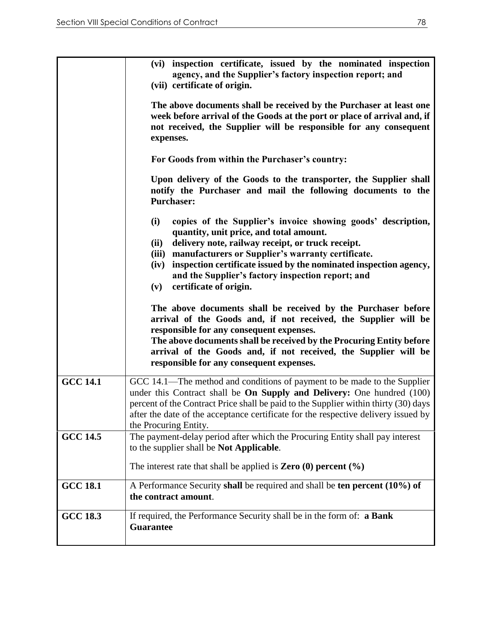|                 | (vi) inspection certificate, issued by the nominated inspection<br>agency, and the Supplier's factory inspection report; and<br>(vii) certificate of origin.                                                                                                                                                                                                                                                 |
|-----------------|--------------------------------------------------------------------------------------------------------------------------------------------------------------------------------------------------------------------------------------------------------------------------------------------------------------------------------------------------------------------------------------------------------------|
|                 | The above documents shall be received by the Purchaser at least one<br>week before arrival of the Goods at the port or place of arrival and, if<br>not received, the Supplier will be responsible for any consequent<br>expenses.                                                                                                                                                                            |
|                 | For Goods from within the Purchaser's country:                                                                                                                                                                                                                                                                                                                                                               |
|                 | Upon delivery of the Goods to the transporter, the Supplier shall<br>notify the Purchaser and mail the following documents to the<br><b>Purchaser:</b>                                                                                                                                                                                                                                                       |
|                 | (i)<br>copies of the Supplier's invoice showing goods' description,<br>quantity, unit price, and total amount.<br>delivery note, railway receipt, or truck receipt.<br>(ii)<br>manufacturers or Supplier's warranty certificate.<br>(iii)<br>inspection certificate issued by the nominated inspection agency,<br>(iv)<br>and the Supplier's factory inspection report; and<br>certificate of origin.<br>(v) |
|                 | The above documents shall be received by the Purchaser before<br>arrival of the Goods and, if not received, the Supplier will be<br>responsible for any consequent expenses.<br>The above documents shall be received by the Procuring Entity before<br>arrival of the Goods and, if not received, the Supplier will be<br>responsible for any consequent expenses.                                          |
| <b>GCC 14.1</b> | GCC 14.1—The method and conditions of payment to be made to the Supplier<br>under this Contract shall be <b>On Supply and Delivery:</b> One hundred (100)<br>percent of the Contract Price shall be paid to the Supplier within thirty (30) days<br>after the date of the acceptance certificate for the respective delivery issued by<br>the Procuring Entity.                                              |
| <b>GCC 14.5</b> | The payment-delay period after which the Procuring Entity shall pay interest<br>to the supplier shall be <b>Not Applicable</b> .                                                                                                                                                                                                                                                                             |
|                 | The interest rate that shall be applied is <b>Zero</b> (0) percent $(\% )$                                                                                                                                                                                                                                                                                                                                   |
| <b>GCC 18.1</b> | A Performance Security shall be required and shall be ten percent (10%) of<br>the contract amount.                                                                                                                                                                                                                                                                                                           |
| <b>GCC 18.3</b> | If required, the Performance Security shall be in the form of: a Bank<br><b>Guarantee</b>                                                                                                                                                                                                                                                                                                                    |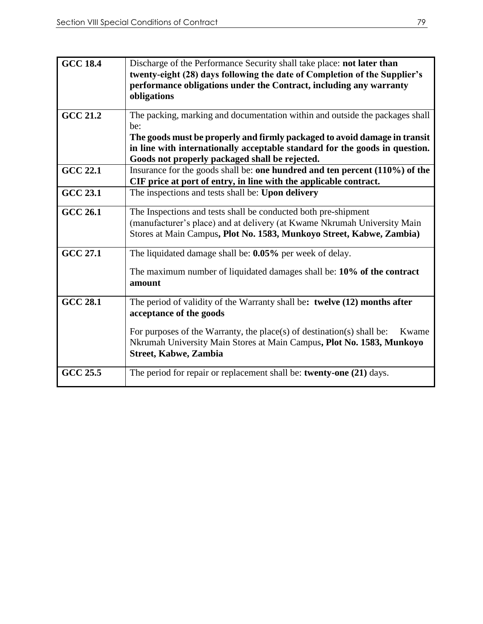| <b>GCC 18.4</b> | Discharge of the Performance Security shall take place: not later than<br>twenty-eight (28) days following the date of Completion of the Supplier's<br>performance obligations under the Contract, including any warranty<br>obligations                                                          |
|-----------------|---------------------------------------------------------------------------------------------------------------------------------------------------------------------------------------------------------------------------------------------------------------------------------------------------|
| <b>GCC 21.2</b> | The packing, marking and documentation within and outside the packages shall<br>be:<br>The goods must be properly and firmly packaged to avoid damage in transit<br>in line with internationally acceptable standard for the goods in question.<br>Goods not properly packaged shall be rejected. |
| <b>GCC 22.1</b> | Insurance for the goods shall be: one hundred and ten percent (110%) of the<br>CIF price at port of entry, in line with the applicable contract.                                                                                                                                                  |
| <b>GCC 23.1</b> | The inspections and tests shall be: Upon delivery                                                                                                                                                                                                                                                 |
| <b>GCC 26.1</b> | The Inspections and tests shall be conducted both pre-shipment<br>(manufacturer's place) and at delivery (at Kwame Nkrumah University Main<br>Stores at Main Campus, Plot No. 1583, Munkoyo Street, Kabwe, Zambia)                                                                                |
| <b>GCC 27.1</b> | The liquidated damage shall be: 0.05% per week of delay.<br>The maximum number of liquidated damages shall be: $10\%$ of the contract<br>amount                                                                                                                                                   |
| <b>GCC 28.1</b> | The period of validity of the Warranty shall be: twelve (12) months after<br>acceptance of the goods<br>For purposes of the Warranty, the place(s) of destination(s) shall be:<br>Kwame<br>Nkrumah University Main Stores at Main Campus, Plot No. 1583, Munkoyo<br><b>Street, Kabwe, Zambia</b>  |
| GCC 25.5        | The period for repair or replacement shall be: twenty-one (21) days.                                                                                                                                                                                                                              |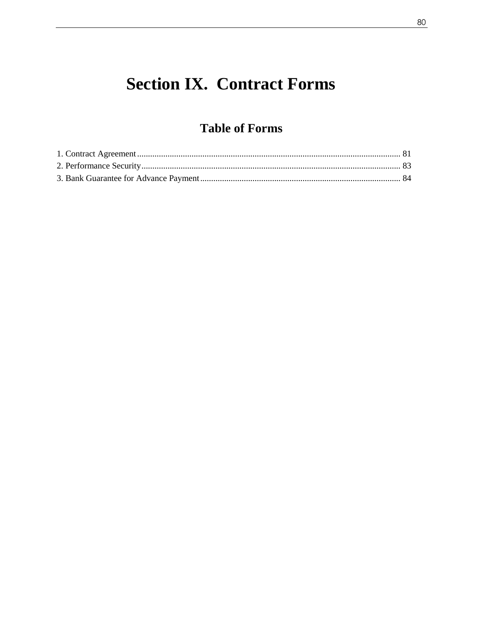# **Section IX. Contract Forms**

### **Table of Forms**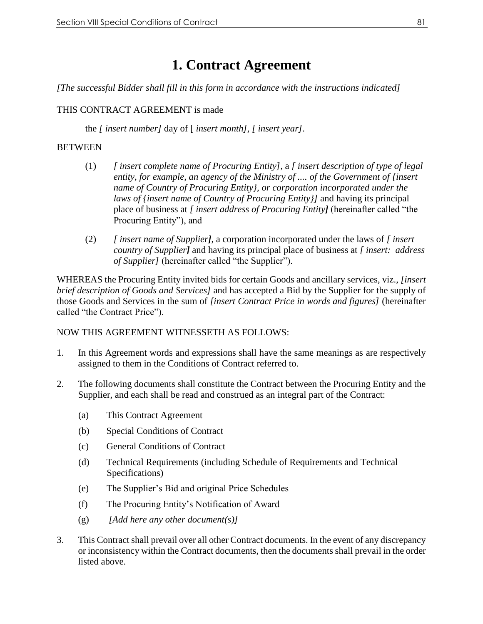## **1. Contract Agreement**

<span id="page-80-0"></span>*[The successful Bidder shall fill in this form in accordance with the instructions indicated]*

#### THIS CONTRACT AGREEMENT is made

the *[ insert number]* day of [ *insert month]*, *[ insert year]*.

#### **BETWEEN**

- (1) *[ insert complete name of Procuring Entity]*, a *[ insert description of type of legal entity, for example, an agency of the Ministry of .... of the Government of {insert name of Country of Procuring Entity}, or corporation incorporated under the laws of {insert name of Country of Procuring Entity}]* and having its principal place of business at *[ insert address of Procuring Entity]* (hereinafter called "the Procuring Entity"), and
- (2) *[ insert name of Supplier]*, a corporation incorporated under the laws of *[ insert country of Supplier]* and having its principal place of business at *[ insert: address of Supplier]* (hereinafter called "the Supplier").

WHEREAS the Procuring Entity invited bids for certain Goods and ancillary services, viz., *[insert brief description of Goods and Services]* and has accepted a Bid by the Supplier for the supply of those Goods and Services in the sum of *[insert Contract Price in words and figures]* (hereinafter called "the Contract Price").

#### NOW THIS AGREEMENT WITNESSETH AS FOLLOWS:

- 1. In this Agreement words and expressions shall have the same meanings as are respectively assigned to them in the Conditions of Contract referred to.
- 2. The following documents shall constitute the Contract between the Procuring Entity and the Supplier, and each shall be read and construed as an integral part of the Contract:
	- (a) This Contract Agreement
	- (b) Special Conditions of Contract
	- (c) General Conditions of Contract
	- (d) Technical Requirements (including Schedule of Requirements and Technical Specifications)
	- (e) The Supplier's Bid and original Price Schedules
	- (f) The Procuring Entity's Notification of Award
	- (g) *[Add here any other document(s)]*
- 3. This Contract shall prevail over all other Contract documents. In the event of any discrepancy or inconsistency within the Contract documents, then the documents shall prevail in the order listed above.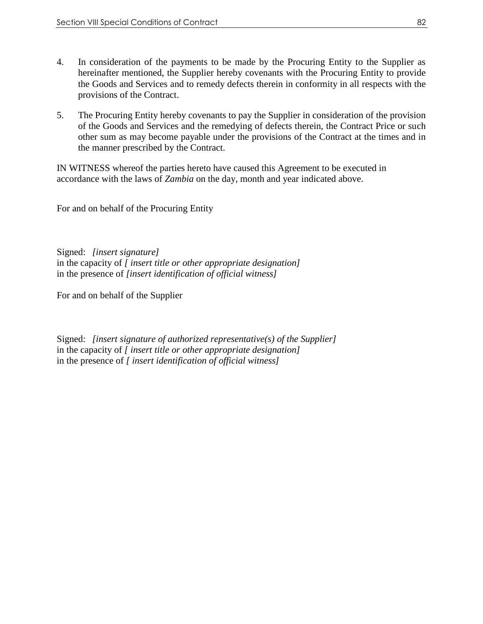- 4. In consideration of the payments to be made by the Procuring Entity to the Supplier as hereinafter mentioned, the Supplier hereby covenants with the Procuring Entity to provide the Goods and Services and to remedy defects therein in conformity in all respects with the provisions of the Contract.
- 5. The Procuring Entity hereby covenants to pay the Supplier in consideration of the provision of the Goods and Services and the remedying of defects therein, the Contract Price or such other sum as may become payable under the provisions of the Contract at the times and in the manner prescribed by the Contract.

IN WITNESS whereof the parties hereto have caused this Agreement to be executed in accordance with the laws of *Zambia* on the day, month and year indicated above.

For and on behalf of the Procuring Entity

Signed: *[insert signature]*  in the capacity of *[ insert title or other appropriate designation]* in the presence of *[insert identification of official witness]*

For and on behalf of the Supplier

Signed: *[insert signature of authorized representative(s) of the Supplier]* in the capacity of *[ insert title or other appropriate designation]* in the presence of *[ insert identification of official witness]*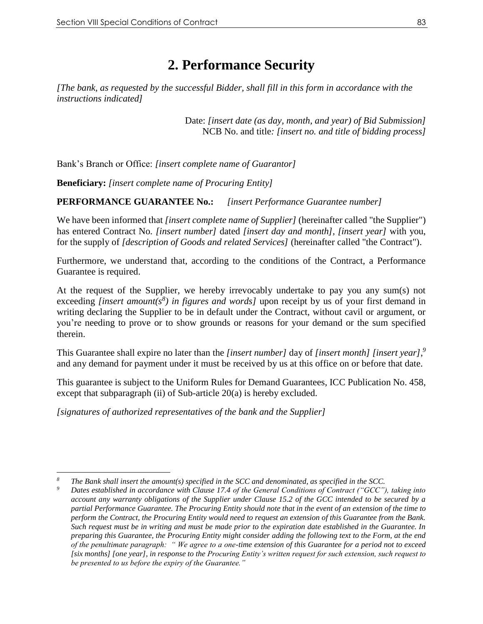## **2. Performance Security**

<span id="page-82-0"></span>*[The bank, as requested by the successful Bidder, shall fill in this form in accordance with the instructions indicated]* 

> Date: *[insert date (as day, month, and year) of Bid Submission]* NCB No. and title*: [insert no. and title of bidding process]*

Bank's Branch or Office: *[insert complete name of Guarantor]*

**Beneficiary:** *[insert complete name of Procuring Entity]*

**PERFORMANCE GUARANTEE No.:** *[insert Performance Guarantee number]*

We have been informed that *[insert complete name of Supplier]* (hereinafter called "the Supplier") has entered Contract No*. [insert number]* dated *[insert day and month], [insert year]* with you, for the supply of *[description of Goods and related Services]* (hereinafter called "the Contract").

Furthermore, we understand that, according to the conditions of the Contract, a Performance Guarantee is required.

At the request of the Supplier, we hereby irrevocably undertake to pay you any sum(s) not exceeding *[insert amount(s<sup>8</sup> ) in figures and words]* upon receipt by us of your first demand in writing declaring the Supplier to be in default under the Contract, without cavil or argument, or you're needing to prove or to show grounds or reasons for your demand or the sum specified therein.

This Guarantee shall expire no later than the *[insert number]* day of *[insert month] [insert year]*, *9* and any demand for payment under it must be received by us at this office on or before that date.

This guarantee is subject to the Uniform Rules for Demand Guarantees, ICC Publication No. 458, except that subparagraph (ii) of Sub-article 20(a) is hereby excluded.

*[signatures of authorized representatives of the bank and the Supplier]*

 $\overline{a}$ *<sup>8</sup> The Bank shall insert the amount(s) specified in the SCC and denominated, as specified in the SCC.*

*<sup>9</sup> Dates established in accordance with Clause 17.4 of the General Conditions of Contract ("GCC"), taking into account any warranty obligations of the Supplier under Clause 15.2 of the GCC intended to be secured by a partial Performance Guarantee. The Procuring Entity should note that in the event of an extension of the time to perform the Contract, the Procuring Entity would need to request an extension of this Guarantee from the Bank. Such request must be in writing and must be made prior to the expiration date established in the Guarantee. In preparing this Guarantee, the Procuring Entity might consider adding the following text to the Form, at the end of the penultimate paragraph: " We agree to a one-time extension of this Guarantee for a period not to exceed [six months] [one year], in response to the Procuring Entity's written request for such extension, such request to be presented to us before the expiry of the Guarantee."*